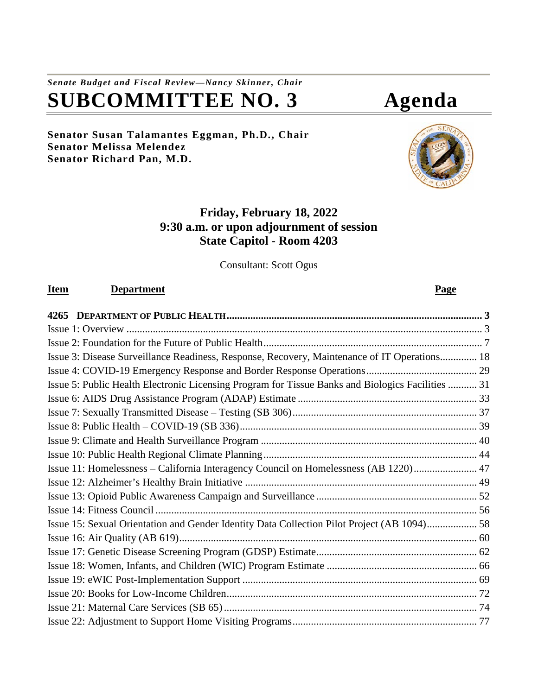# *Senate Budget and Fiscal Review—Nancy Skinner, Chair* **SUBCOMMITTEE NO. 3 Agenda**

#### **Senator Susan Talamantes Eggman, Ph.D., Chair Senator Melissa Melendez Senator Richard Pan, M.D.**

# **Friday, February 18, 2022 9:30 a.m. or upon adjournment of session State Capitol - Room 4203**

Consultant: Scott Ogus

### **Item Department Page**

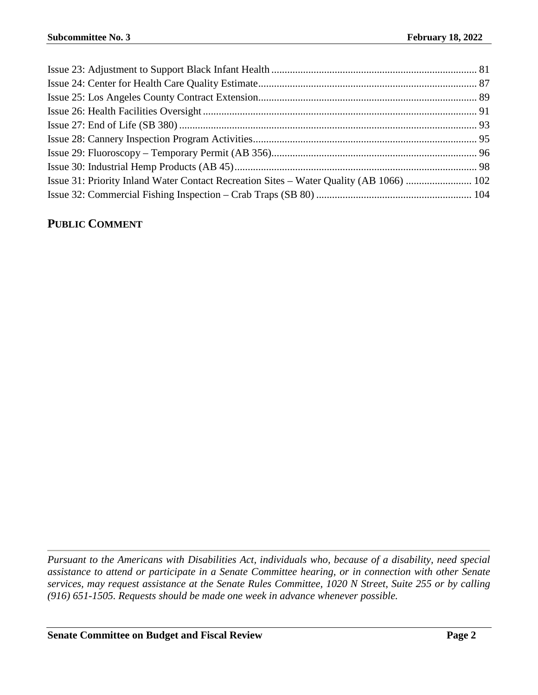| Issue 31: Priority Inland Water Contact Recreation Sites – Water Quality (AB 1066)  102 |  |
|-----------------------------------------------------------------------------------------|--|
|                                                                                         |  |

## **PUBLIC COMMENT**

*Pursuant to the Americans with Disabilities Act, individuals who, because of a disability, need special assistance to attend or participate in a Senate Committee hearing, or in connection with other Senate services, may request assistance at the Senate Rules Committee, 1020 N Street, Suite 255 or by calling (916) 651-1505. Requests should be made one week in advance whenever possible.*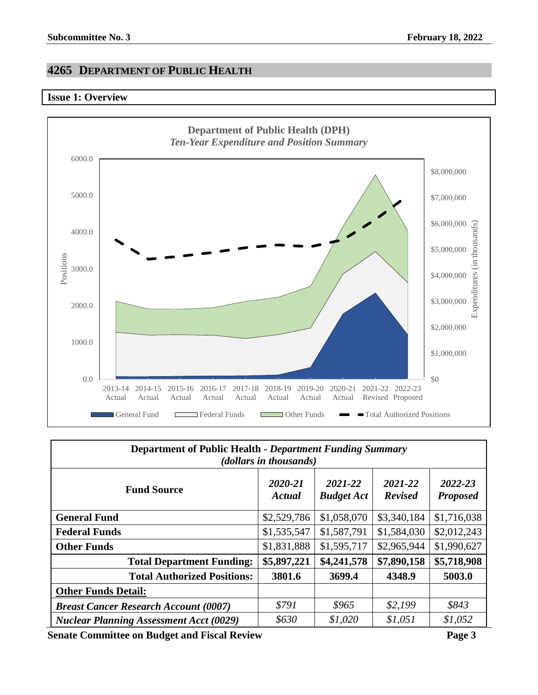# <span id="page-2-0"></span>**4265 DEPARTMENT OF PUBLIC HEALTH**

#### <span id="page-2-1"></span>**Issue 1: Overview**



| <b>Department of Public Health - Department Funding Summary</b><br>( <i>dollars in thousands</i> ) |                   |                              |                           |                            |
|----------------------------------------------------------------------------------------------------|-------------------|------------------------------|---------------------------|----------------------------|
| <b>Fund Source</b>                                                                                 | 2020-21<br>Actual | 2021-22<br><b>Budget Act</b> | 2021-22<br><b>Revised</b> | 2022-23<br><b>Proposed</b> |
| <b>General Fund</b>                                                                                | \$2,529,786       | \$1,058,070                  | \$3,340,184               | \$1,716,038                |
| <b>Federal Funds</b>                                                                               | \$1,535,547       | \$1,587,791                  | \$1,584,030               | \$2,012,243                |
| <b>Other Funds</b>                                                                                 | \$1,831,888       | \$1,595,717                  | \$2,965,944               | \$1,990,627                |
| <b>Total Department Funding:</b>                                                                   | \$5,897,221       | \$4,241,578                  | \$7,890,158               | \$5,718,908                |
| <b>Total Authorized Positions:</b>                                                                 | 3801.6            | 3699.4                       | 4348.9                    | 5003.0                     |
| <b>Other Funds Detail:</b>                                                                         |                   |                              |                           |                            |
| <b>Breast Cancer Research Account (0007)</b>                                                       | \$791             | \$965                        | \$2,199                   | \$843                      |
| <b>Nuclear Planning Assessment Acct (0029)</b>                                                     | \$630             | \$1,020                      | \$1,051                   | \$1,052                    |

**Senate Committee on Budget and Fiscal Review <b>Page 3 Page 3**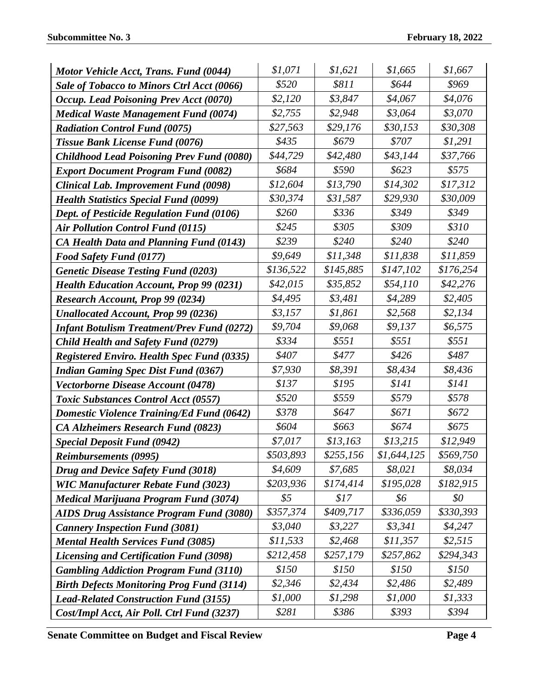| Motor Vehicle Acct, Trans. Fund (0044)            | \$1,071       | \$1,621   | \$1,665     | \$1,667   |
|---------------------------------------------------|---------------|-----------|-------------|-----------|
| Sale of Tobacco to Minors Ctrl Acct (0066)        | \$520         | \$811     | \$644       | \$969     |
| Occup. Lead Poisoning Prev Acct (0070)            | \$2,120       | \$3,847   | \$4,067     | \$4,076   |
| <b>Medical Waste Management Fund (0074)</b>       | \$2,755       | \$2,948   | \$3,064     | \$3,070   |
| <b>Radiation Control Fund (0075)</b>              | \$27,563      | \$29,176  | \$30,153    | \$30,308  |
| Tissue Bank License Fund (0076)                   | \$435         | \$679     | \$707       | \$1,291   |
| <b>Childhood Lead Poisoning Prev Fund (0080)</b>  | \$44,729      | \$42,480  | \$43,144    | \$37,766  |
| <b>Export Document Program Fund (0082)</b>        | \$684         | \$590     | \$623       | \$575     |
| <b>Clinical Lab. Improvement Fund (0098)</b>      | \$12,604      | \$13,790  | \$14,302    | \$17,312  |
| <b>Health Statistics Special Fund (0099)</b>      | \$30,374      | \$31,587  | \$29,930    | \$30,009  |
| Dept. of Pesticide Regulation Fund (0106)         | \$260         | \$336     | \$349       | \$349     |
| <b>Air Pollution Control Fund (0115)</b>          | \$245         | \$305     | \$309       | \$310     |
| <b>CA Health Data and Planning Fund (0143)</b>    | \$239         | \$240     | \$240       | \$240     |
| <b>Food Safety Fund (0177)</b>                    | \$9,649       | \$11,348  | \$11,838    | \$11,859  |
| <b>Genetic Disease Testing Fund (0203)</b>        | \$136,522     | \$145,885 | \$147,102   | \$176,254 |
| <b>Health Education Account, Prop 99 (0231)</b>   | \$42,015      | \$35,852  | \$54,110    | \$42,276  |
| <b>Research Account, Prop 99 (0234)</b>           | \$4,495       | \$3,481   | \$4,289     | \$2,405   |
| <b>Unallocated Account, Prop 99 (0236)</b>        | \$3,157       | \$1,861   | \$2,568     | \$2,134   |
| <b>Infant Botulism Treatment/Prev Fund (0272)</b> | \$9,704       | \$9,068   | \$9,137     | \$6,575   |
| <b>Child Health and Safety Fund (0279)</b>        | \$334         | \$551     | \$551       | \$551     |
| <b>Registered Enviro. Health Spec Fund (0335)</b> | \$407         | \$477     | \$426       | \$487     |
| <b>Indian Gaming Spec Dist Fund (0367)</b>        | \$7,930       | \$8,391   | \$8,434     | \$8,436   |
| Vectorborne Disease Account (0478)                | \$137         | \$195     | \$141       | \$141     |
| <b>Toxic Substances Control Acct (0557)</b>       | \$520         | \$559     | \$579       | \$578     |
| <b>Domestic Violence Training/Ed Fund (0642)</b>  | \$378         | \$647     | \$671       | \$672     |
| <b>CA Alzheimers Research Fund (0823)</b>         | \$604         | \$663     | \$674       | \$675     |
| <b>Special Deposit Fund (0942)</b>                | \$7,017       | \$13,163  | \$13,215    | \$12,949  |
| <b>Reimbursements (0995)</b>                      | \$503,893     | \$255,156 | \$1,644,125 | \$569,750 |
| Drug and Device Safety Fund (3018)                | \$4,609       | \$7,685   | \$8,021     | \$8,034   |
| <b>WIC Manufacturer Rebate Fund (3023)</b>        | \$203,936     | \$174,414 | \$195,028   | \$182,915 |
| <b>Medical Marijuana Program Fund (3074)</b>      | $\frac{1}{2}$ | \$17      | \$6         | \$0       |
| <b>AIDS Drug Assistance Program Fund (3080)</b>   | \$357,374     | \$409,717 | \$336,059   | \$330,393 |
| <b>Cannery Inspection Fund (3081)</b>             | \$3,040       | \$3,227   | \$3,341     | \$4,247   |
| <b>Mental Health Services Fund (3085)</b>         | \$11,533      | \$2,468   | \$11,357    | \$2,515   |
| <b>Licensing and Certification Fund (3098)</b>    | \$212,458     | \$257,179 | \$257,862   | \$294,343 |
| <b>Gambling Addiction Program Fund (3110)</b>     | \$150         | \$150     | \$150       | \$150     |
| <b>Birth Defects Monitoring Prog Fund (3114)</b>  | \$2,346       | \$2,434   | \$2,486     | \$2,489   |
| <b>Lead-Related Construction Fund (3155)</b>      | \$1,000       | \$1,298   | \$1,000     | \$1,333   |
| Cost/Impl Acct, Air Poll. Ctrl Fund (3237)        | \$281         | \$386     | \$393       | \$394     |

**Senate Committee on Budget and Fiscal Review Page 4**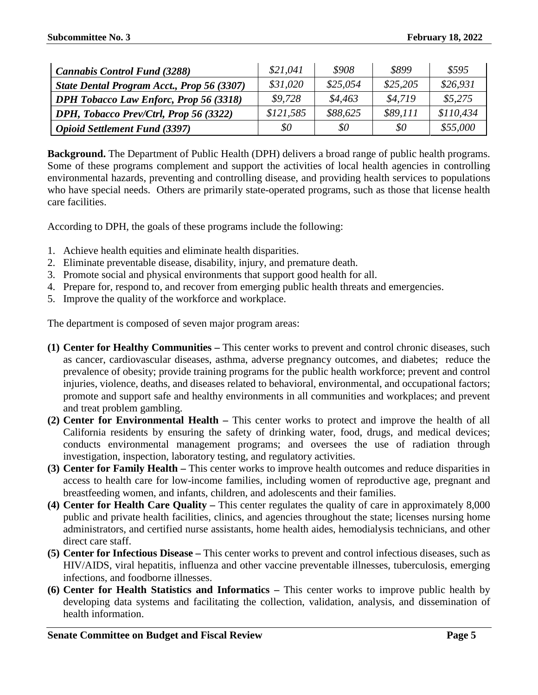| <b>Cannabis Control Fund (3288)</b>           | \$21,041  | \$908    | \$899    | \$595     |
|-----------------------------------------------|-----------|----------|----------|-----------|
| State Dental Program Acct., Prop 56 (3307)    | \$31,020  | \$25,054 | \$25,205 | \$26,931  |
| <b>DPH Tobacco Law Enforc, Prop 56 (3318)</b> | \$9,728   | \$4,463  | \$4.719  | \$5,275   |
| DPH, Tobacco Prev/Ctrl, Prop 56 (3322)        | \$121,585 | \$88,625 | \$89,111 | \$110,434 |
| <b>Opioid Settlement Fund (3397)</b>          | \$0       | \$0      | $\$0$    | \$55,000  |

**Background.** The Department of Public Health (DPH) delivers a broad range of public health programs. Some of these programs complement and support the activities of local health agencies in controlling environmental hazards, preventing and controlling disease, and providing health services to populations who have special needs. Others are primarily state-operated programs, such as those that license health care facilities.

According to DPH, the goals of these programs include the following:

- 1. Achieve health equities and eliminate health disparities.
- 2. Eliminate preventable disease, disability, injury, and premature death.
- 3. Promote social and physical environments that support good health for all.
- 4. Prepare for, respond to, and recover from emerging public health threats and emergencies.
- 5. Improve the quality of the workforce and workplace.

The department is composed of seven major program areas:

- **(1) Center for Healthy Communities –** This center works to prevent and control chronic diseases, such as cancer, cardiovascular diseases, asthma, adverse pregnancy outcomes, and diabetes; reduce the prevalence of obesity; provide training programs for the public health workforce; prevent and control injuries, violence, deaths, and diseases related to behavioral, environmental, and occupational factors; promote and support safe and healthy environments in all communities and workplaces; and prevent and treat problem gambling.
- **(2) Center for Environmental Health –** This center works to protect and improve the health of all California residents by ensuring the safety of drinking water, food, drugs, and medical devices; conducts environmental management programs; and oversees the use of radiation through investigation, inspection, laboratory testing, and regulatory activities.
- **(3) Center for Family Health –** This center works to improve health outcomes and reduce disparities in access to health care for low-income families, including women of reproductive age, pregnant and breastfeeding women, and infants, children, and adolescents and their families.
- **(4) Center for Health Care Quality –** This center regulates the quality of care in approximately 8,000 public and private health facilities, clinics, and agencies throughout the state; licenses nursing home administrators, and certified nurse assistants, home health aides, hemodialysis technicians, and other direct care staff.
- **(5) Center for Infectious Disease –** This center works to prevent and control infectious diseases, such as HIV/AIDS, viral hepatitis, influenza and other vaccine preventable illnesses, tuberculosis, emerging infections, and foodborne illnesses.
- **(6) Center for Health Statistics and Informatics –** This center works to improve public health by developing data systems and facilitating the collection, validation, analysis, and dissemination of health information.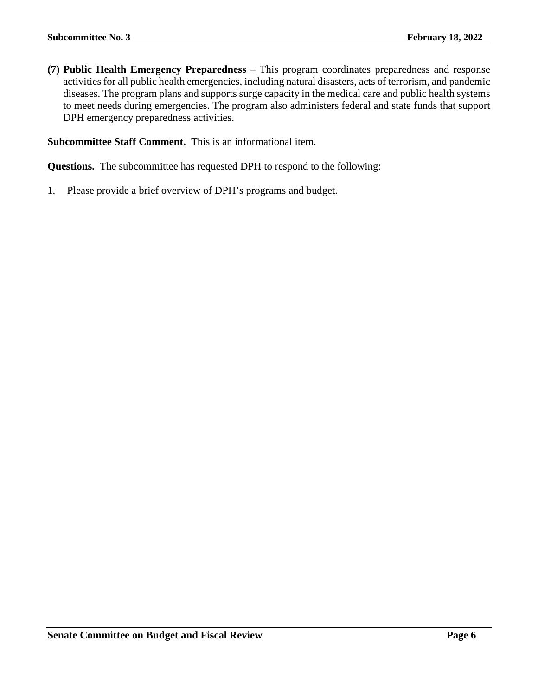**(7) Public Health Emergency Preparedness** – This program coordinates preparedness and response activities for all public health emergencies, including natural disasters, acts of terrorism, and pandemic diseases. The program plans and supports surge capacity in the medical care and public health systems to meet needs during emergencies. The program also administers federal and state funds that support DPH emergency preparedness activities.

**Subcommittee Staff Comment.** This is an informational item.

**Questions.** The subcommittee has requested DPH to respond to the following:

1. Please provide a brief overview of DPH's programs and budget.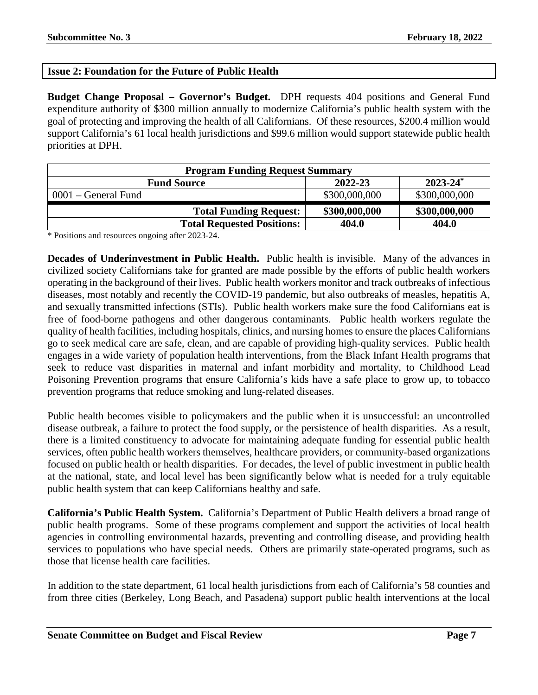### <span id="page-6-0"></span>**Issue 2: Foundation for the Future of Public Health**

**Budget Change Proposal – Governor's Budget.** DPH requests 404 positions and General Fund expenditure authority of \$300 million annually to modernize California's public health system with the goal of protecting and improving the health of all Californians. Of these resources, \$200.4 million would support California's 61 local health jurisdictions and \$99.6 million would support statewide public health priorities at DPH.

| <b>Program Funding Request Summary</b>         |               |               |  |
|------------------------------------------------|---------------|---------------|--|
| $2023 - 24^*$<br>2022-23<br><b>Fund Source</b> |               |               |  |
| $0001$ – General Fund                          | \$300,000,000 | \$300,000,000 |  |
| <b>Total Funding Request:</b>                  | \$300,000,000 | \$300,000,000 |  |
| <b>Total Requested Positions:</b>              | 404.0         | 404.0         |  |

\* Positions and resources ongoing after 2023-24.

**Decades of Underinvestment in Public Health.** Public health is invisible. Many of the advances in civilized society Californians take for granted are made possible by the efforts of public health workers operating in the background of their lives. Public health workers monitor and track outbreaks of infectious diseases, most notably and recently the COVID-19 pandemic, but also outbreaks of measles, hepatitis A, and sexually transmitted infections (STIs). Public health workers make sure the food Californians eat is free of food-borne pathogens and other dangerous contaminants. Public health workers regulate the quality of health facilities, including hospitals, clinics, and nursing homes to ensure the places Californians go to seek medical care are safe, clean, and are capable of providing high-quality services. Public health engages in a wide variety of population health interventions, from the Black Infant Health programs that seek to reduce vast disparities in maternal and infant morbidity and mortality, to Childhood Lead Poisoning Prevention programs that ensure California's kids have a safe place to grow up, to tobacco prevention programs that reduce smoking and lung-related diseases.

Public health becomes visible to policymakers and the public when it is unsuccessful: an uncontrolled disease outbreak, a failure to protect the food supply, or the persistence of health disparities. As a result, there is a limited constituency to advocate for maintaining adequate funding for essential public health services, often public health workers themselves, healthcare providers, or community-based organizations focused on public health or health disparities. For decades, the level of public investment in public health at the national, state, and local level has been significantly below what is needed for a truly equitable public health system that can keep Californians healthy and safe.

**California's Public Health System.** California's Department of Public Health delivers a broad range of public health programs. Some of these programs complement and support the activities of local health agencies in controlling environmental hazards, preventing and controlling disease, and providing health services to populations who have special needs. Others are primarily state-operated programs, such as those that license health care facilities.

In addition to the state department, 61 local health jurisdictions from each of California's 58 counties and from three cities (Berkeley, Long Beach, and Pasadena) support public health interventions at the local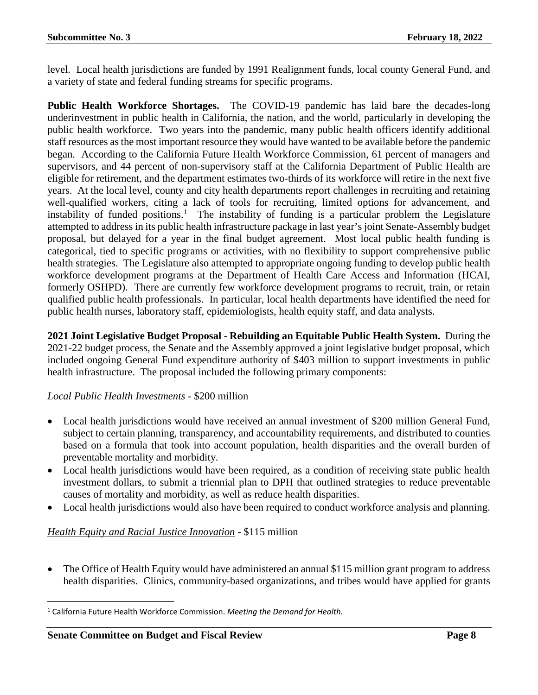level. Local health jurisdictions are funded by 1991 Realignment funds, local county General Fund, and a variety of state and federal funding streams for specific programs.

**Public Health Workforce Shortages.** The COVID-19 pandemic has laid bare the decades-long underinvestment in public health in California, the nation, and the world, particularly in developing the public health workforce. Two years into the pandemic, many public health officers identify additional staff resources as the most important resource they would have wanted to be available before the pandemic began. According to the California Future Health Workforce Commission, 61 percent of managers and supervisors, and 44 percent of non-supervisory staff at the California Department of Public Health are eligible for retirement, and the department estimates two-thirds of its workforce will retire in the next five years. At the local level, county and city health departments report challenges in recruiting and retaining well-qualified workers, citing a lack of tools for recruiting, limited options for advancement, and instability of funded positions.<sup>[1](#page-7-0)</sup> The instability of funding is a particular problem the Legislature attempted to address in its public health infrastructure package in last year's joint Senate-Assembly budget proposal, but delayed for a year in the final budget agreement. Most local public health funding is categorical, tied to specific programs or activities, with no flexibility to support comprehensive public health strategies. The Legislature also attempted to appropriate ongoing funding to develop public health workforce development programs at the Department of Health Care Access and Information (HCAI, formerly OSHPD). There are currently few workforce development programs to recruit, train, or retain qualified public health professionals. In particular, local health departments have identified the need for public health nurses, laboratory staff, epidemiologists, health equity staff, and data analysts.

**2021 Joint Legislative Budget Proposal - Rebuilding an Equitable Public Health System.** During the 2021-22 budget process, the Senate and the Assembly approved a joint legislative budget proposal, which included ongoing General Fund expenditure authority of \$403 million to support investments in public health infrastructure. The proposal included the following primary components:

#### *Local Public Health Investments* - \$200 million

- Local health jurisdictions would have received an annual investment of \$200 million General Fund, subject to certain planning, transparency, and accountability requirements, and distributed to counties based on a formula that took into account population, health disparities and the overall burden of preventable mortality and morbidity.
- Local health jurisdictions would have been required, as a condition of receiving state public health investment dollars, to submit a triennial plan to DPH that outlined strategies to reduce preventable causes of mortality and morbidity, as well as reduce health disparities.
- Local health jurisdictions would also have been required to conduct workforce analysis and planning.

#### *Health Equity and Racial Justice Innovation -* \$115 million

• The Office of Health Equity would have administered an annual \$115 million grant program to address health disparities. Clinics, community-based organizations, and tribes would have applied for grants

<span id="page-7-0"></span> <sup>1</sup> California Future Health Workforce Commission. *Meeting the Demand for Health.*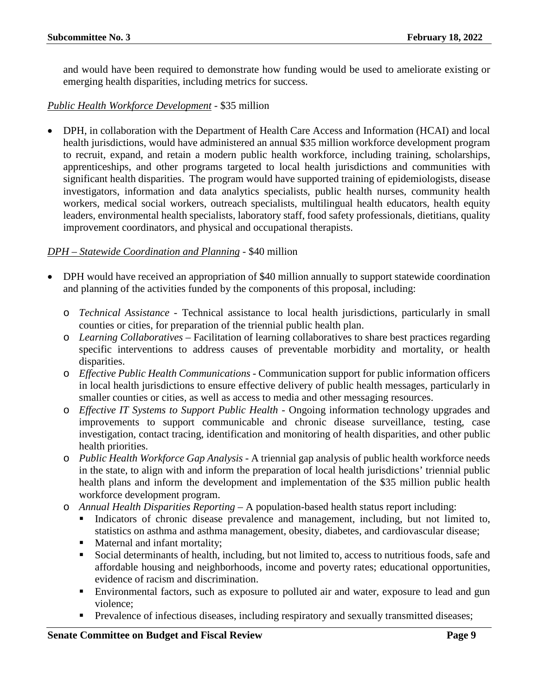and would have been required to demonstrate how funding would be used to ameliorate existing or emerging health disparities, including metrics for success.

#### *Public Health Workforce Development* - \$35 million

• DPH, in collaboration with the Department of Health Care Access and Information (HCAI) and local health jurisdictions, would have administered an annual \$35 million workforce development program to recruit, expand, and retain a modern public health workforce, including training, scholarships, apprenticeships, and other programs targeted to local health jurisdictions and communities with significant health disparities. The program would have supported training of epidemiologists, disease investigators, information and data analytics specialists, public health nurses, community health workers, medical social workers, outreach specialists, multilingual health educators, health equity leaders, environmental health specialists, laboratory staff, food safety professionals, dietitians, quality improvement coordinators, and physical and occupational therapists.

#### *DPH – Statewide Coordination and Planning* - \$40 million

- DPH would have received an appropriation of \$40 million annually to support statewide coordination and planning of the activities funded by the components of this proposal, including:
	- o *Technical Assistance* Technical assistance to local health jurisdictions, particularly in small counties or cities, for preparation of the triennial public health plan.
	- o *Learning Collaboratives –* Facilitation of learning collaboratives to share best practices regarding specific interventions to address causes of preventable morbidity and mortality, or health disparities.
	- o *Effective Public Health Communications -* Communication support for public information officers in local health jurisdictions to ensure effective delivery of public health messages, particularly in smaller counties or cities, as well as access to media and other messaging resources.
	- o *Effective IT Systems to Support Public Health -* Ongoing information technology upgrades and improvements to support communicable and chronic disease surveillance, testing, case investigation, contact tracing, identification and monitoring of health disparities, and other public health priorities.
	- o *Public Health Workforce Gap Analysis -* A triennial gap analysis of public health workforce needs in the state, to align with and inform the preparation of local health jurisdictions' triennial public health plans and inform the development and implementation of the \$35 million public health workforce development program.
	- o *Annual Health Disparities Reporting –* A population-based health status report including:
		- Indicators of chronic disease prevalence and management, including, but not limited to, statistics on asthma and asthma management, obesity, diabetes, and cardiovascular disease;
		- **Maternal and infant mortality;**
		- Social determinants of health, including, but not limited to, access to nutritious foods, safe and affordable housing and neighborhoods, income and poverty rates; educational opportunities, evidence of racism and discrimination.
		- Environmental factors, such as exposure to polluted air and water, exposure to lead and gun violence;
		- **Prevalence of infectious diseases, including respiratory and sexually transmitted diseases;**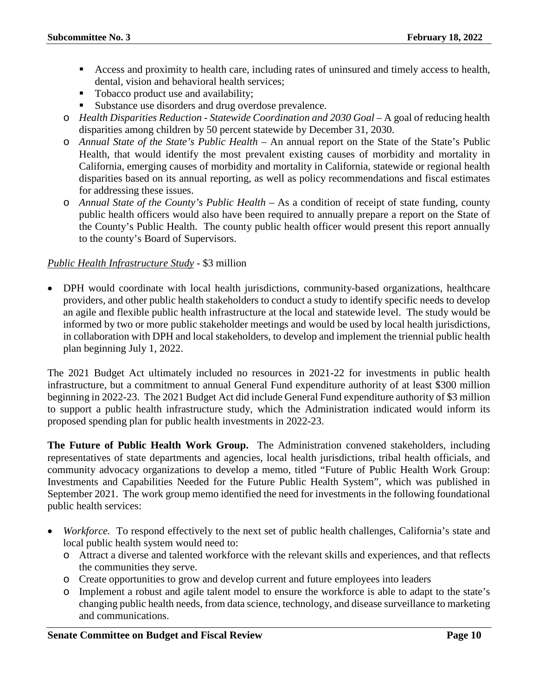- Access and proximity to health care, including rates of uninsured and timely access to health, dental, vision and behavioral health services;
- Tobacco product use and availability;
- Substance use disorders and drug overdose prevalence.
- o *Health Disparities Reduction - Statewide Coordination and 2030 Goal –* A goal of reducing health disparities among children by 50 percent statewide by December 31, 2030.
- o *Annual State of the State's Public Health –* An annual report on the State of the State's Public Health, that would identify the most prevalent existing causes of morbidity and mortality in California, emerging causes of morbidity and mortality in California, statewide or regional health disparities based on its annual reporting, as well as policy recommendations and fiscal estimates for addressing these issues.
- o *Annual State of the County's Public Health –* As a condition of receipt of state funding, county public health officers would also have been required to annually prepare a report on the State of the County's Public Health. The county public health officer would present this report annually to the county's Board of Supervisors.

#### *Public Health Infrastructure Study* - \$3 million

• DPH would coordinate with local health jurisdictions, community-based organizations, healthcare providers, and other public health stakeholders to conduct a study to identify specific needs to develop an agile and flexible public health infrastructure at the local and statewide level. The study would be informed by two or more public stakeholder meetings and would be used by local health jurisdictions, in collaboration with DPH and local stakeholders, to develop and implement the triennial public health plan beginning July 1, 2022.

The 2021 Budget Act ultimately included no resources in 2021-22 for investments in public health infrastructure, but a commitment to annual General Fund expenditure authority of at least \$300 million beginning in 2022-23. The 2021 Budget Act did include General Fund expenditure authority of \$3 million to support a public health infrastructure study, which the Administration indicated would inform its proposed spending plan for public health investments in 2022-23.

**The Future of Public Health Work Group.** The Administration convened stakeholders, including representatives of state departments and agencies, local health jurisdictions, tribal health officials, and community advocacy organizations to develop a memo, titled "Future of Public Health Work Group: Investments and Capabilities Needed for the Future Public Health System", which was published in September 2021. The work group memo identified the need for investments in the following foundational public health services:

- *Workforce.* To respond effectively to the next set of public health challenges, California's state and local public health system would need to:
	- o Attract a diverse and talented workforce with the relevant skills and experiences, and that reflects the communities they serve.
	- o Create opportunities to grow and develop current and future employees into leaders
	- o Implement a robust and agile talent model to ensure the workforce is able to adapt to the state's changing public health needs, from data science, technology, and disease surveillance to marketing and communications.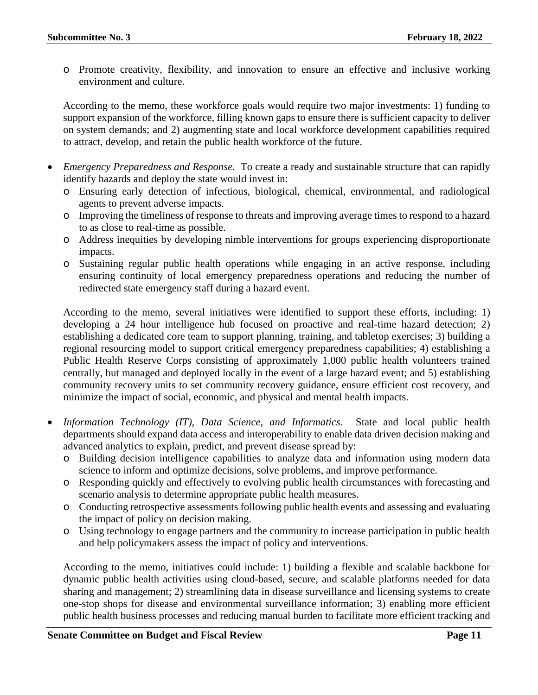o Promote creativity, flexibility, and innovation to ensure an effective and inclusive working environment and culture.

According to the memo, these workforce goals would require two major investments: 1) funding to support expansion of the workforce, filling known gaps to ensure there is sufficient capacity to deliver on system demands; and 2) augmenting state and local workforce development capabilities required to attract, develop, and retain the public health workforce of the future.

- *Emergency Preparedness and Response.* To create a ready and sustainable structure that can rapidly identify hazards and deploy the state would invest in:
	- o Ensuring early detection of infectious, biological, chemical, environmental, and radiological agents to prevent adverse impacts.
	- o Improving the timeliness of response to threats and improving average times to respond to a hazard to as close to real-time as possible.
	- o Address inequities by developing nimble interventions for groups experiencing disproportionate impacts.
	- o Sustaining regular public health operations while engaging in an active response, including ensuring continuity of local emergency preparedness operations and reducing the number of redirected state emergency staff during a hazard event.

According to the memo, several initiatives were identified to support these efforts, including: 1) developing a 24 hour intelligence hub focused on proactive and real-time hazard detection; 2) establishing a dedicated core team to support planning, training, and tabletop exercises; 3) building a regional resourcing model to support critical emergency preparedness capabilities; 4) establishing a Public Health Reserve Corps consisting of approximately 1,000 public health volunteers trained centrally, but managed and deployed locally in the event of a large hazard event; and 5) establishing community recovery units to set community recovery guidance, ensure efficient cost recovery, and minimize the impact of social, economic, and physical and mental health impacts.

- *Information Technology (IT), Data Science, and Informatics.* State and local public health departments should expand data access and interoperability to enable data driven decision making and advanced analytics to explain, predict, and prevent disease spread by:
	- o Building decision intelligence capabilities to analyze data and information using modern data science to inform and optimize decisions, solve problems, and improve performance.
	- o Responding quickly and effectively to evolving public health circumstances with forecasting and scenario analysis to determine appropriate public health measures.
	- o Conducting retrospective assessments following public health events and assessing and evaluating the impact of policy on decision making.
	- o Using technology to engage partners and the community to increase participation in public health and help policymakers assess the impact of policy and interventions.

According to the memo, initiatives could include: 1) building a flexible and scalable backbone for dynamic public health activities using cloud-based, secure, and scalable platforms needed for data sharing and management; 2) streamlining data in disease surveillance and licensing systems to create one-stop shops for disease and environmental surveillance information; 3) enabling more efficient public health business processes and reducing manual burden to facilitate more efficient tracking and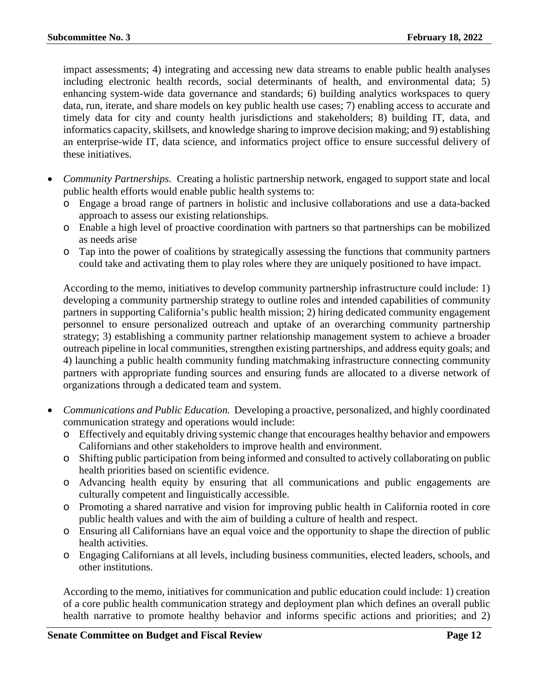impact assessments; 4) integrating and accessing new data streams to enable public health analyses including electronic health records, social determinants of health, and environmental data; 5) enhancing system-wide data governance and standards; 6) building analytics workspaces to query data, run, iterate, and share models on key public health use cases; 7) enabling access to accurate and timely data for city and county health jurisdictions and stakeholders; 8) building IT, data, and informatics capacity, skillsets, and knowledge sharing to improve decision making; and 9) establishing an enterprise-wide IT, data science, and informatics project office to ensure successful delivery of these initiatives.

- *Community Partnerships.* Creating a holistic partnership network, engaged to support state and local public health efforts would enable public health systems to:
	- o Engage a broad range of partners in holistic and inclusive collaborations and use a data-backed approach to assess our existing relationships.
	- o Enable a high level of proactive coordination with partners so that partnerships can be mobilized as needs arise
	- o Tap into the power of coalitions by strategically assessing the functions that community partners could take and activating them to play roles where they are uniquely positioned to have impact.

According to the memo, initiatives to develop community partnership infrastructure could include: 1) developing a community partnership strategy to outline roles and intended capabilities of community partners in supporting California's public health mission; 2) hiring dedicated community engagement personnel to ensure personalized outreach and uptake of an overarching community partnership strategy; 3) establishing a community partner relationship management system to achieve a broader outreach pipeline in local communities, strengthen existing partnerships, and address equity goals; and 4) launching a public health community funding matchmaking infrastructure connecting community partners with appropriate funding sources and ensuring funds are allocated to a diverse network of organizations through a dedicated team and system.

- *Communications and Public Education.* Developing a proactive, personalized, and highly coordinated communication strategy and operations would include:
	- o Effectively and equitably driving systemic change that encourages healthy behavior and empowers Californians and other stakeholders to improve health and environment.
	- o Shifting public participation from being informed and consulted to actively collaborating on public health priorities based on scientific evidence.
	- o Advancing health equity by ensuring that all communications and public engagements are culturally competent and linguistically accessible.
	- o Promoting a shared narrative and vision for improving public health in California rooted in core public health values and with the aim of building a culture of health and respect.
	- o Ensuring all Californians have an equal voice and the opportunity to shape the direction of public health activities.
	- o Engaging Californians at all levels, including business communities, elected leaders, schools, and other institutions.

According to the memo, initiatives for communication and public education could include: 1) creation of a core public health communication strategy and deployment plan which defines an overall public health narrative to promote healthy behavior and informs specific actions and priorities; and 2)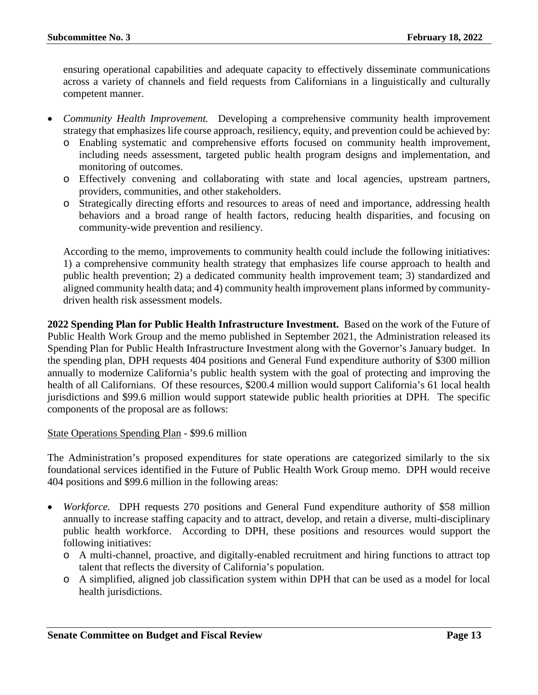ensuring operational capabilities and adequate capacity to effectively disseminate communications across a variety of channels and field requests from Californians in a linguistically and culturally competent manner.

- *Community Health Improvement.* Developing a comprehensive community health improvement strategy that emphasizes life course approach, resiliency, equity, and prevention could be achieved by:
	- o Enabling systematic and comprehensive efforts focused on community health improvement, including needs assessment, targeted public health program designs and implementation, and monitoring of outcomes.
	- o Effectively convening and collaborating with state and local agencies, upstream partners, providers, communities, and other stakeholders.
	- o Strategically directing efforts and resources to areas of need and importance, addressing health behaviors and a broad range of health factors, reducing health disparities, and focusing on community-wide prevention and resiliency.

According to the memo, improvements to community health could include the following initiatives: 1) a comprehensive community health strategy that emphasizes life course approach to health and public health prevention; 2) a dedicated community health improvement team; 3) standardized and aligned community health data; and 4) community health improvement plans informed by communitydriven health risk assessment models.

**2022 Spending Plan for Public Health Infrastructure Investment.** Based on the work of the Future of Public Health Work Group and the memo published in September 2021, the Administration released its Spending Plan for Public Health Infrastructure Investment along with the Governor's January budget. In the spending plan, DPH requests 404 positions and General Fund expenditure authority of \$300 million annually to modernize California's public health system with the goal of protecting and improving the health of all Californians. Of these resources, \$200.4 million would support California's 61 local health jurisdictions and \$99.6 million would support statewide public health priorities at DPH. The specific components of the proposal are as follows:

#### State Operations Spending Plan - \$99.6 million

The Administration's proposed expenditures for state operations are categorized similarly to the six foundational services identified in the Future of Public Health Work Group memo. DPH would receive 404 positions and \$99.6 million in the following areas:

- *Workforce.* DPH requests 270 positions and General Fund expenditure authority of \$58 million annually to increase staffing capacity and to attract, develop, and retain a diverse, multi-disciplinary public health workforce. According to DPH, these positions and resources would support the following initiatives:
	- o A multi-channel, proactive, and digitally-enabled recruitment and hiring functions to attract top talent that reflects the diversity of California's population.
	- o A simplified, aligned job classification system within DPH that can be used as a model for local health jurisdictions.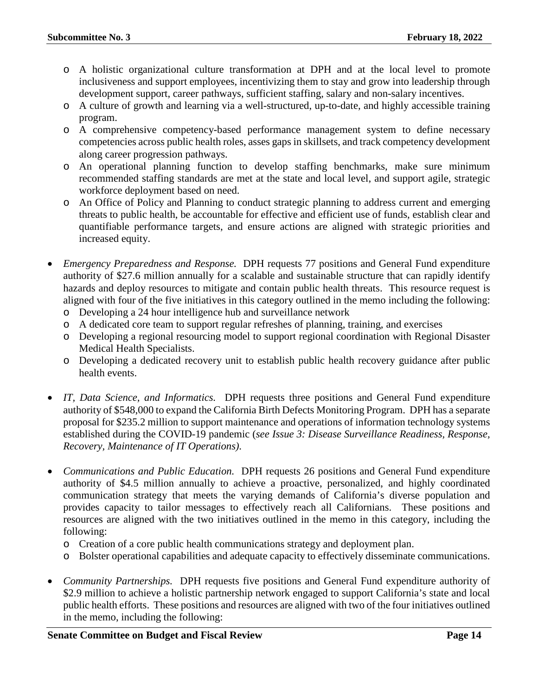- o A holistic organizational culture transformation at DPH and at the local level to promote inclusiveness and support employees, incentivizing them to stay and grow into leadership through development support, career pathways, sufficient staffing, salary and non-salary incentives.
- o A culture of growth and learning via a well-structured, up-to-date, and highly accessible training program.
- o A comprehensive competency-based performance management system to define necessary competencies across public health roles, asses gaps in skillsets, and track competency development along career progression pathways.
- o An operational planning function to develop staffing benchmarks, make sure minimum recommended staffing standards are met at the state and local level, and support agile, strategic workforce deployment based on need.
- o An Office of Policy and Planning to conduct strategic planning to address current and emerging threats to public health, be accountable for effective and efficient use of funds, establish clear and quantifiable performance targets, and ensure actions are aligned with strategic priorities and increased equity.
- *Emergency Preparedness and Response.* DPH requests 77 positions and General Fund expenditure authority of \$27.6 million annually for a scalable and sustainable structure that can rapidly identify hazards and deploy resources to mitigate and contain public health threats. This resource request is aligned with four of the five initiatives in this category outlined in the memo including the following:
	- o Developing a 24 hour intelligence hub and surveillance network
	- o A dedicated core team to support regular refreshes of planning, training, and exercises
	- o Developing a regional resourcing model to support regional coordination with Regional Disaster Medical Health Specialists.
	- o Developing a dedicated recovery unit to establish public health recovery guidance after public health events.
- *IT, Data Science, and Informatics.* DPH requests three positions and General Fund expenditure authority of \$548,000 to expand the California Birth Defects Monitoring Program. DPH has a separate proposal for \$235.2 million to support maintenance and operations of information technology systems established during the COVID-19 pandemic (*see Issue 3: Disease Surveillance Readiness, Response, Recovery, Maintenance of IT Operations)*.
- *Communications and Public Education.* DPH requests 26 positions and General Fund expenditure authority of \$4.5 million annually to achieve a proactive, personalized, and highly coordinated communication strategy that meets the varying demands of California's diverse population and provides capacity to tailor messages to effectively reach all Californians. These positions and resources are aligned with the two initiatives outlined in the memo in this category, including the following:
	- o Creation of a core public health communications strategy and deployment plan.
	- o Bolster operational capabilities and adequate capacity to effectively disseminate communications.
- *Community Partnerships.* DPH requests five positions and General Fund expenditure authority of \$2.9 million to achieve a holistic partnership network engaged to support California's state and local public health efforts. These positions and resources are aligned with two of the four initiatives outlined in the memo, including the following: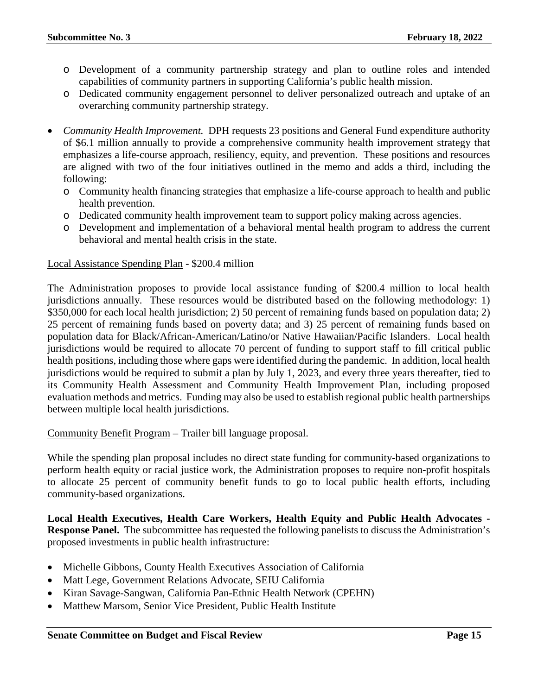- o Development of a community partnership strategy and plan to outline roles and intended capabilities of community partners in supporting California's public health mission.
- o Dedicated community engagement personnel to deliver personalized outreach and uptake of an overarching community partnership strategy.
- *Community Health Improvement.* DPH requests 23 positions and General Fund expenditure authority of \$6.1 million annually to provide a comprehensive community health improvement strategy that emphasizes a life-course approach, resiliency, equity, and prevention. These positions and resources are aligned with two of the four initiatives outlined in the memo and adds a third, including the following:
	- o Community health financing strategies that emphasize a life-course approach to health and public health prevention.
	- o Dedicated community health improvement team to support policy making across agencies.
	- o Development and implementation of a behavioral mental health program to address the current behavioral and mental health crisis in the state.

#### Local Assistance Spending Plan - \$200.4 million

The Administration proposes to provide local assistance funding of \$200.4 million to local health jurisdictions annually. These resources would be distributed based on the following methodology: 1) \$350,000 for each local health jurisdiction; 2) 50 percent of remaining funds based on population data; 2) 25 percent of remaining funds based on poverty data; and 3) 25 percent of remaining funds based on population data for Black/African-American/Latino/or Native Hawaiian/Pacific Islanders. Local health jurisdictions would be required to allocate 70 percent of funding to support staff to fill critical public health positions, including those where gaps were identified during the pandemic. In addition, local health jurisdictions would be required to submit a plan by July 1, 2023, and every three years thereafter, tied to its Community Health Assessment and Community Health Improvement Plan, including proposed evaluation methods and metrics. Funding may also be used to establish regional public health partnerships between multiple local health jurisdictions.

Community Benefit Program – Trailer bill language proposal.

While the spending plan proposal includes no direct state funding for community-based organizations to perform health equity or racial justice work, the Administration proposes to require non-profit hospitals to allocate 25 percent of community benefit funds to go to local public health efforts, including community-based organizations.

**Local Health Executives, Health Care Workers, Health Equity and Public Health Advocates - Response Panel.** The subcommittee has requested the following panelists to discuss the Administration's proposed investments in public health infrastructure:

- Michelle Gibbons, County Health Executives Association of California
- Matt Lege, Government Relations Advocate, SEIU California
- Kiran Savage-Sangwan, California Pan-Ethnic Health Network (CPEHN)
- Matthew Marsom, Senior Vice President, Public Health Institute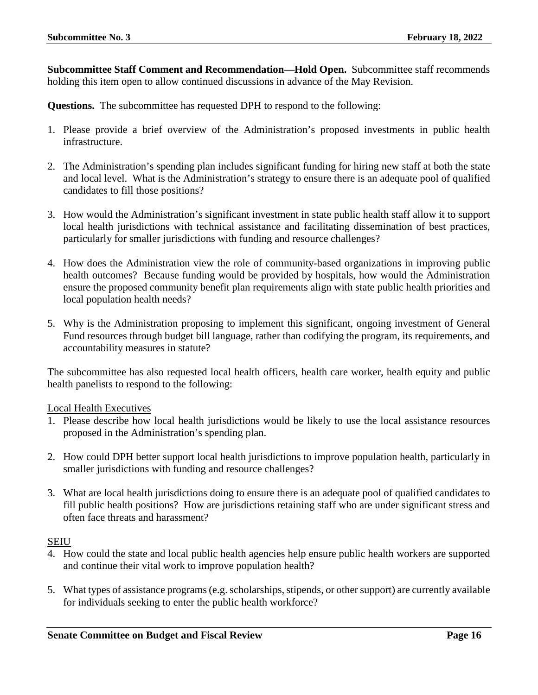**Subcommittee Staff Comment and Recommendation—Hold Open.** Subcommittee staff recommends holding this item open to allow continued discussions in advance of the May Revision.

**Questions.** The subcommittee has requested DPH to respond to the following:

- 1. Please provide a brief overview of the Administration's proposed investments in public health infrastructure.
- 2. The Administration's spending plan includes significant funding for hiring new staff at both the state and local level. What is the Administration's strategy to ensure there is an adequate pool of qualified candidates to fill those positions?
- 3. How would the Administration's significant investment in state public health staff allow it to support local health jurisdictions with technical assistance and facilitating dissemination of best practices, particularly for smaller jurisdictions with funding and resource challenges?
- 4. How does the Administration view the role of community-based organizations in improving public health outcomes? Because funding would be provided by hospitals, how would the Administration ensure the proposed community benefit plan requirements align with state public health priorities and local population health needs?
- 5. Why is the Administration proposing to implement this significant, ongoing investment of General Fund resources through budget bill language, rather than codifying the program, its requirements, and accountability measures in statute?

The subcommittee has also requested local health officers, health care worker, health equity and public health panelists to respond to the following:

#### Local Health Executives

- 1. Please describe how local health jurisdictions would be likely to use the local assistance resources proposed in the Administration's spending plan.
- 2. How could DPH better support local health jurisdictions to improve population health, particularly in smaller jurisdictions with funding and resource challenges?
- 3. What are local health jurisdictions doing to ensure there is an adequate pool of qualified candidates to fill public health positions? How are jurisdictions retaining staff who are under significant stress and often face threats and harassment?

#### SEIU

- 4. How could the state and local public health agencies help ensure public health workers are supported and continue their vital work to improve population health?
- 5. What types of assistance programs (e.g. scholarships, stipends, or other support) are currently available for individuals seeking to enter the public health workforce?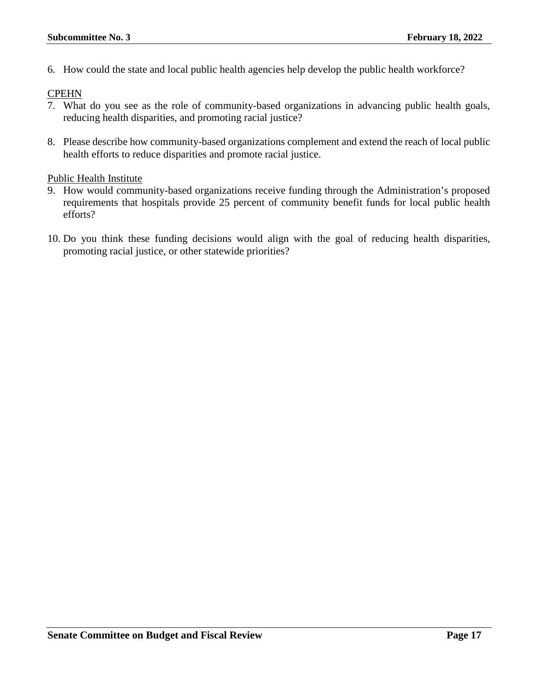6. How could the state and local public health agencies help develop the public health workforce?

#### **CPEHN**

- 7. What do you see as the role of community-based organizations in advancing public health goals, reducing health disparities, and promoting racial justice?
- 8. Please describe how community-based organizations complement and extend the reach of local public health efforts to reduce disparities and promote racial justice.

#### Public Health Institute

- 9. How would community-based organizations receive funding through the Administration's proposed requirements that hospitals provide 25 percent of community benefit funds for local public health efforts?
- 10. Do you think these funding decisions would align with the goal of reducing health disparities, promoting racial justice, or other statewide priorities?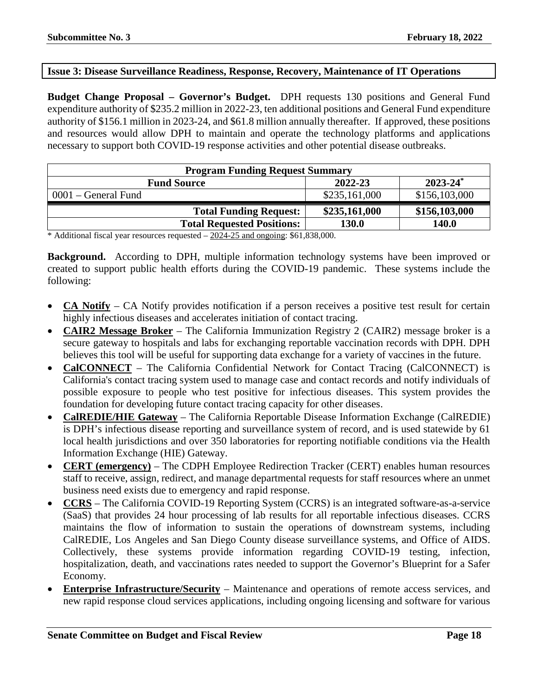#### <span id="page-17-0"></span>**Issue 3: Disease Surveillance Readiness, Response, Recovery, Maintenance of IT Operations**

**Budget Change Proposal – Governor's Budget.** DPH requests 130 positions and General Fund expenditure authority of \$235.2 million in 2022-23, ten additional positions and General Fund expenditure authority of \$156.1 million in 2023-24, and \$61.8 million annually thereafter. If approved, these positions and resources would allow DPH to maintain and operate the technology platforms and applications necessary to support both COVID-19 response activities and other potential disease outbreaks.

| <b>Program Funding Request Summary</b>                                                                     |               |               |  |
|------------------------------------------------------------------------------------------------------------|---------------|---------------|--|
| $2023 - 24^*$<br>2022-23<br><b>Fund Source</b>                                                             |               |               |  |
| $0001$ – General Fund                                                                                      | \$235,161,000 | \$156,103,000 |  |
| <b>Total Funding Request:</b>                                                                              | \$235,161,000 | \$156,103,000 |  |
| <b>Total Requested Positions:</b>                                                                          | <b>130.0</b>  | 140.0         |  |
| $*$ A 44 $\pm$ and $\pm$ and $\pm$ and $\pm$ and $\pm$ and $\pm$ 0.000 $\pm$ 0.000 $\pm$ 0.000 0.000 $\pm$ |               |               |  |

 $*$  Additional fiscal year resources requested  $-2024-25$  and ongoing: \$61,838,000.

**Background.** According to DPH, multiple information technology systems have been improved or created to support public health efforts during the COVID-19 pandemic. These systems include the following:

- **CA Notify** CA Notify provides notification if a person receives a positive test result for certain highly infectious diseases and accelerates initiation of contact tracing.
- **CAIR2 Message Broker** The California Immunization Registry 2 (CAIR2) message broker is a secure gateway to hospitals and labs for exchanging reportable vaccination records with DPH. DPH believes this tool will be useful for supporting data exchange for a variety of vaccines in the future.
- **CalCONNECT** The California Confidential Network for Contact Tracing (CalCONNECT) is California's contact tracing system used to manage case and contact records and notify individuals of possible exposure to people who test positive for infectious diseases. This system provides the foundation for developing future contact tracing capacity for other diseases.
- **CalREDIE/HIE Gateway** The California Reportable Disease Information Exchange (CalREDIE) is DPH's infectious disease reporting and surveillance system of record, and is used statewide by 61 local health jurisdictions and over 350 laboratories for reporting notifiable conditions via the Health Information Exchange (HIE) Gateway.
- **CERT (emergency)** The CDPH Employee Redirection Tracker (CERT) enables human resources staff to receive, assign, redirect, and manage departmental requests for staff resources where an unmet business need exists due to emergency and rapid response.
- **CCRS** The California COVID-19 Reporting System (CCRS) is an integrated software-as-a-service (SaaS) that provides 24 hour processing of lab results for all reportable infectious diseases. CCRS maintains the flow of information to sustain the operations of downstream systems, including CalREDIE, Los Angeles and San Diego County disease surveillance systems, and Office of AIDS. Collectively, these systems provide information regarding COVID-19 testing, infection, hospitalization, death, and vaccinations rates needed to support the Governor's Blueprint for a Safer Economy.
- **Enterprise Infrastructure/Security** Maintenance and operations of remote access services, and new rapid response cloud services applications, including ongoing licensing and software for various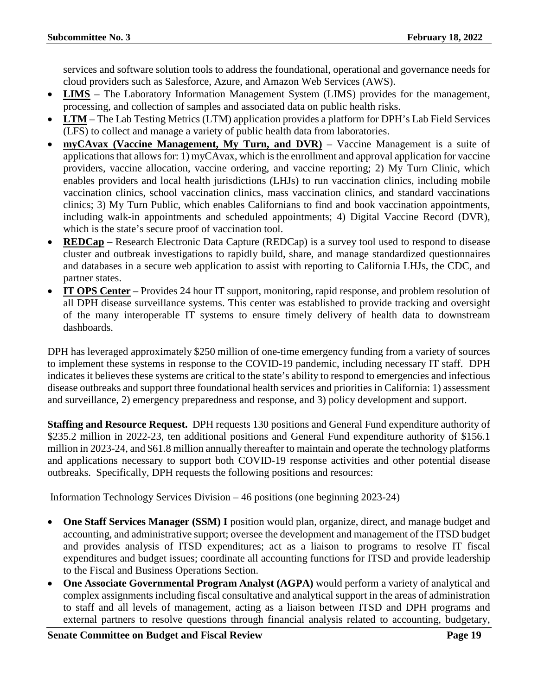services and software solution tools to address the foundational, operational and governance needs for cloud providers such as Salesforce, Azure, and Amazon Web Services (AWS).

- **LIMS** The Laboratory Information Management System (LIMS) provides for the management, processing, and collection of samples and associated data on public health risks.
- **LTM** The Lab Testing Metrics (LTM) application provides a platform for DPH's Lab Field Services (LFS) to collect and manage a variety of public health data from laboratories.
- **myCAvax (Vaccine Management, My Turn, and DVR)** Vaccine Management is a suite of applications that allows for: 1) myCAvax, which is the enrollment and approval application for vaccine providers, vaccine allocation, vaccine ordering, and vaccine reporting; 2) My Turn Clinic, which enables providers and local health jurisdictions (LHJs) to run vaccination clinics, including mobile vaccination clinics, school vaccination clinics, mass vaccination clinics, and standard vaccinations clinics; 3) My Turn Public, which enables Californians to find and book vaccination appointments, including walk-in appointments and scheduled appointments; 4) Digital Vaccine Record (DVR), which is the state's secure proof of vaccination tool.
- **REDCap** Research Electronic Data Capture (REDCap) is a survey tool used to respond to disease cluster and outbreak investigations to rapidly build, share, and manage standardized questionnaires and databases in a secure web application to assist with reporting to California LHJs, the CDC, and partner states.
- **IT OPS Center** Provides 24 hour IT support, monitoring, rapid response, and problem resolution of all DPH disease surveillance systems. This center was established to provide tracking and oversight of the many interoperable IT systems to ensure timely delivery of health data to downstream dashboards.

DPH has leveraged approximately \$250 million of one-time emergency funding from a variety of sources to implement these systems in response to the COVID-19 pandemic, including necessary IT staff. DPH indicates it believes these systems are critical to the state's ability to respond to emergencies and infectious disease outbreaks and support three foundational health services and priorities in California: 1) assessment and surveillance, 2) emergency preparedness and response, and 3) policy development and support.

**Staffing and Resource Request.** DPH requests 130 positions and General Fund expenditure authority of \$235.2 million in 2022-23, ten additional positions and General Fund expenditure authority of \$156.1 million in 2023-24, and \$61.8 million annually thereafter to maintain and operate the technology platforms and applications necessary to support both COVID-19 response activities and other potential disease outbreaks. Specifically, DPH requests the following positions and resources:

Information Technology Services Division – 46 positions (one beginning 2023-24)

- **One Staff Services Manager (SSM) I** position would plan, organize, direct, and manage budget and accounting, and administrative support; oversee the development and management of the ITSD budget and provides analysis of ITSD expenditures; act as a liaison to programs to resolve IT fiscal expenditures and budget issues; coordinate all accounting functions for ITSD and provide leadership to the Fiscal and Business Operations Section.
- **One Associate Governmental Program Analyst (AGPA)** would perform a variety of analytical and complex assignments including fiscal consultative and analytical support in the areas of administration to staff and all levels of management, acting as a liaison between ITSD and DPH programs and external partners to resolve questions through financial analysis related to accounting, budgetary,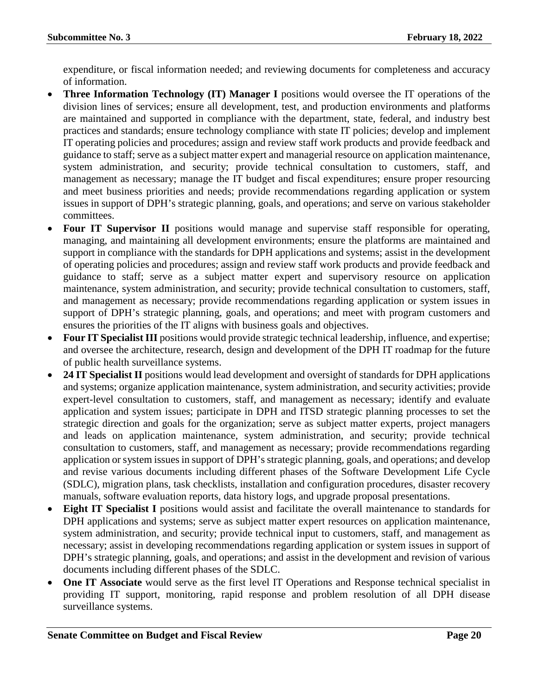expenditure, or fiscal information needed; and reviewing documents for completeness and accuracy of information.

- **Three Information Technology (IT) Manager I** positions would oversee the IT operations of the division lines of services; ensure all development, test, and production environments and platforms are maintained and supported in compliance with the department, state, federal, and industry best practices and standards; ensure technology compliance with state IT policies; develop and implement IT operating policies and procedures; assign and review staff work products and provide feedback and guidance to staff; serve as a subject matter expert and managerial resource on application maintenance, system administration, and security; provide technical consultation to customers, staff, and management as necessary; manage the IT budget and fiscal expenditures; ensure proper resourcing and meet business priorities and needs; provide recommendations regarding application or system issues in support of DPH's strategic planning, goals, and operations; and serve on various stakeholder committees.
- **Four IT Supervisor II** positions would manage and supervise staff responsible for operating, managing, and maintaining all development environments; ensure the platforms are maintained and support in compliance with the standards for DPH applications and systems; assist in the development of operating policies and procedures; assign and review staff work products and provide feedback and guidance to staff; serve as a subject matter expert and supervisory resource on application maintenance, system administration, and security; provide technical consultation to customers, staff, and management as necessary; provide recommendations regarding application or system issues in support of DPH's strategic planning, goals, and operations; and meet with program customers and ensures the priorities of the IT aligns with business goals and objectives.
- **Four IT Specialist III** positions would provide strategic technical leadership, influence, and expertise; and oversee the architecture, research, design and development of the DPH IT roadmap for the future of public health surveillance systems.
- **24 IT Specialist II** positions would lead development and oversight of standards for DPH applications and systems; organize application maintenance, system administration, and security activities; provide expert-level consultation to customers, staff, and management as necessary; identify and evaluate application and system issues; participate in DPH and ITSD strategic planning processes to set the strategic direction and goals for the organization; serve as subject matter experts, project managers and leads on application maintenance, system administration, and security; provide technical consultation to customers, staff, and management as necessary; provide recommendations regarding application or system issues in support of DPH'sstrategic planning, goals, and operations; and develop and revise various documents including different phases of the Software Development Life Cycle (SDLC), migration plans, task checklists, installation and configuration procedures, disaster recovery manuals, software evaluation reports, data history logs, and upgrade proposal presentations.
- **Eight IT Specialist I** positions would assist and facilitate the overall maintenance to standards for DPH applications and systems; serve as subject matter expert resources on application maintenance, system administration, and security; provide technical input to customers, staff, and management as necessary; assist in developing recommendations regarding application or system issues in support of DPH's strategic planning, goals, and operations; and assist in the development and revision of various documents including different phases of the SDLC.
- **One IT Associate** would serve as the first level IT Operations and Response technical specialist in providing IT support, monitoring, rapid response and problem resolution of all DPH disease surveillance systems.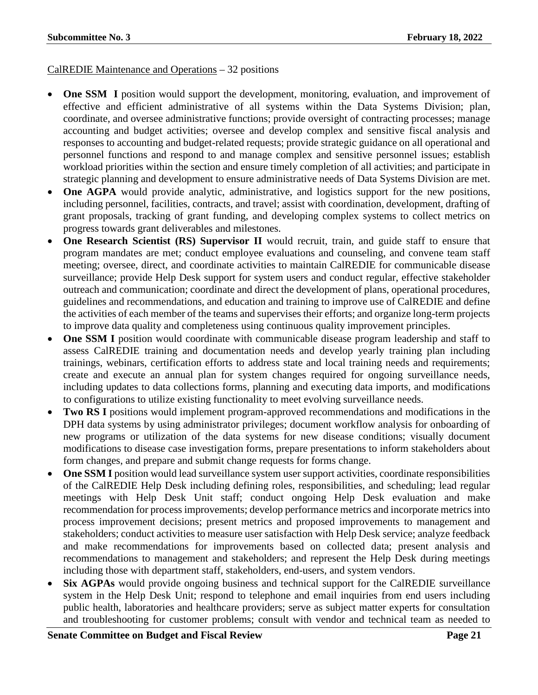#### CalREDIE Maintenance and Operations – 32 positions

- **One SSM I** position would support the development, monitoring, evaluation, and improvement of effective and efficient administrative of all systems within the Data Systems Division; plan, coordinate, and oversee administrative functions; provide oversight of contracting processes; manage accounting and budget activities; oversee and develop complex and sensitive fiscal analysis and responses to accounting and budget-related requests; provide strategic guidance on all operational and personnel functions and respond to and manage complex and sensitive personnel issues; establish workload priorities within the section and ensure timely completion of all activities; and participate in strategic planning and development to ensure administrative needs of Data Systems Division are met.
- **One AGPA** would provide analytic, administrative, and logistics support for the new positions, including personnel, facilities, contracts, and travel; assist with coordination, development, drafting of grant proposals, tracking of grant funding, and developing complex systems to collect metrics on progress towards grant deliverables and milestones.
- **One Research Scientist (RS) Supervisor II** would recruit, train, and guide staff to ensure that program mandates are met; conduct employee evaluations and counseling, and convene team staff meeting; oversee, direct, and coordinate activities to maintain CalREDIE for communicable disease surveillance; provide Help Desk support for system users and conduct regular, effective stakeholder outreach and communication; coordinate and direct the development of plans, operational procedures, guidelines and recommendations, and education and training to improve use of CalREDIE and define the activities of each member of the teams and supervises their efforts; and organize long-term projects to improve data quality and completeness using continuous quality improvement principles.
- **One SSM I** position would coordinate with communicable disease program leadership and staff to assess CalREDIE training and documentation needs and develop yearly training plan including trainings, webinars, certification efforts to address state and local training needs and requirements; create and execute an annual plan for system changes required for ongoing surveillance needs, including updates to data collections forms, planning and executing data imports, and modifications to configurations to utilize existing functionality to meet evolving surveillance needs.
- **Two RS I** positions would implement program-approved recommendations and modifications in the DPH data systems by using administrator privileges; document workflow analysis for onboarding of new programs or utilization of the data systems for new disease conditions; visually document modifications to disease case investigation forms, prepare presentations to inform stakeholders about form changes, and prepare and submit change requests for forms change.
- **One SSM I** position would lead surveillance system user support activities, coordinate responsibilities of the CalREDIE Help Desk including defining roles, responsibilities, and scheduling; lead regular meetings with Help Desk Unit staff; conduct ongoing Help Desk evaluation and make recommendation for process improvements; develop performance metrics and incorporate metrics into process improvement decisions; present metrics and proposed improvements to management and stakeholders; conduct activities to measure user satisfaction with Help Desk service; analyze feedback and make recommendations for improvements based on collected data; present analysis and recommendations to management and stakeholders; and represent the Help Desk during meetings including those with department staff, stakeholders, end-users, and system vendors.
- **Six AGPAs** would provide ongoing business and technical support for the CalREDIE surveillance system in the Help Desk Unit; respond to telephone and email inquiries from end users including public health, laboratories and healthcare providers; serve as subject matter experts for consultation and troubleshooting for customer problems; consult with vendor and technical team as needed to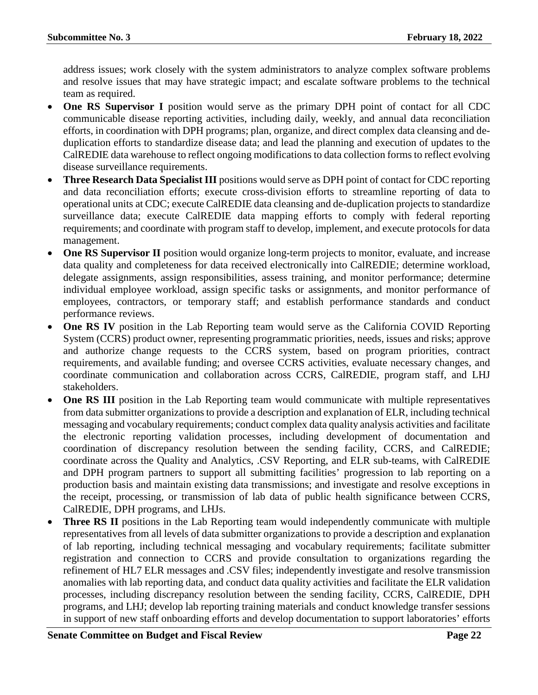address issues; work closely with the system administrators to analyze complex software problems and resolve issues that may have strategic impact; and escalate software problems to the technical team as required.

- **One RS Supervisor I** position would serve as the primary DPH point of contact for all CDC communicable disease reporting activities, including daily, weekly, and annual data reconciliation efforts, in coordination with DPH programs; plan, organize, and direct complex data cleansing and deduplication efforts to standardize disease data; and lead the planning and execution of updates to the CalREDIE data warehouse to reflect ongoing modifications to data collection forms to reflect evolving disease surveillance requirements.
- **Three Research Data Specialist III** positions would serve as DPH point of contact for CDC reporting and data reconciliation efforts; execute cross-division efforts to streamline reporting of data to operational units at CDC; execute CalREDIE data cleansing and de-duplication projects to standardize surveillance data; execute CalREDIE data mapping efforts to comply with federal reporting requirements; and coordinate with program staff to develop, implement, and execute protocols for data management.
- **One RS Supervisor II** position would organize long-term projects to monitor, evaluate, and increase data quality and completeness for data received electronically into CalREDIE; determine workload, delegate assignments, assign responsibilities, assess training, and monitor performance; determine individual employee workload, assign specific tasks or assignments, and monitor performance of employees, contractors, or temporary staff; and establish performance standards and conduct performance reviews.
- **One RS IV** position in the Lab Reporting team would serve as the California COVID Reporting System (CCRS) product owner, representing programmatic priorities, needs, issues and risks; approve and authorize change requests to the CCRS system, based on program priorities, contract requirements, and available funding; and oversee CCRS activities, evaluate necessary changes, and coordinate communication and collaboration across CCRS, CalREDIE, program staff, and LHJ stakeholders.
- **One RS III** position in the Lab Reporting team would communicate with multiple representatives from data submitter organizations to provide a description and explanation of ELR, including technical messaging and vocabulary requirements; conduct complex data quality analysis activities and facilitate the electronic reporting validation processes, including development of documentation and coordination of discrepancy resolution between the sending facility, CCRS, and CalREDIE; coordinate across the Quality and Analytics, .CSV Reporting, and ELR sub-teams, with CalREDIE and DPH program partners to support all submitting facilities' progression to lab reporting on a production basis and maintain existing data transmissions; and investigate and resolve exceptions in the receipt, processing, or transmission of lab data of public health significance between CCRS, CalREDIE, DPH programs, and LHJs.
- **Three RS II** positions in the Lab Reporting team would independently communicate with multiple representatives from all levels of data submitter organizations to provide a description and explanation of lab reporting, including technical messaging and vocabulary requirements; facilitate submitter registration and connection to CCRS and provide consultation to organizations regarding the refinement of HL7 ELR messages and .CSV files; independently investigate and resolve transmission anomalies with lab reporting data, and conduct data quality activities and facilitate the ELR validation processes, including discrepancy resolution between the sending facility, CCRS, CalREDIE, DPH programs, and LHJ; develop lab reporting training materials and conduct knowledge transfer sessions in support of new staff onboarding efforts and develop documentation to support laboratories' efforts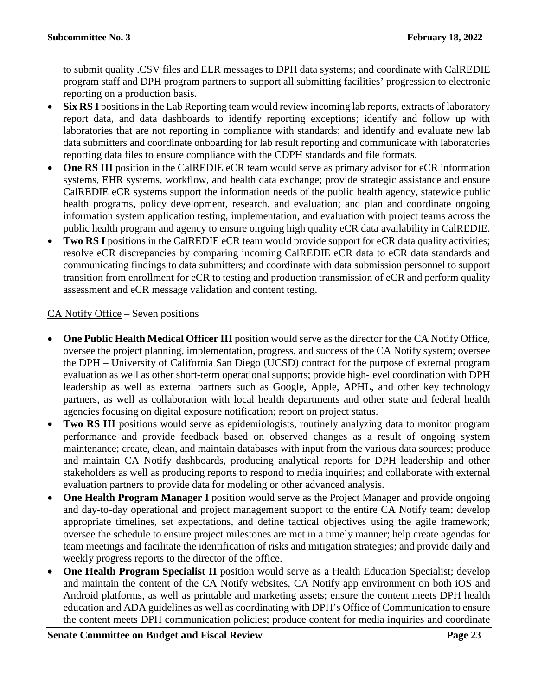to submit quality .CSV files and ELR messages to DPH data systems; and coordinate with CalREDIE program staff and DPH program partners to support all submitting facilities' progression to electronic reporting on a production basis.

- **Six RS I** positions in the Lab Reporting team would review incoming lab reports, extracts of laboratory report data, and data dashboards to identify reporting exceptions; identify and follow up with laboratories that are not reporting in compliance with standards; and identify and evaluate new lab data submitters and coordinate onboarding for lab result reporting and communicate with laboratories reporting data files to ensure compliance with the CDPH standards and file formats.
- **One RS III** position in the CalREDIE eCR team would serve as primary advisor for eCR information systems, EHR systems, workflow, and health data exchange; provide strategic assistance and ensure CalREDIE eCR systems support the information needs of the public health agency, statewide public health programs, policy development, research, and evaluation; and plan and coordinate ongoing information system application testing, implementation, and evaluation with project teams across the public health program and agency to ensure ongoing high quality eCR data availability in CalREDIE.
- **Two RS I** positions in the CalREDIE eCR team would provide support for eCR data quality activities; resolve eCR discrepancies by comparing incoming CalREDIE eCR data to eCR data standards and communicating findings to data submitters; and coordinate with data submission personnel to support transition from enrollment for eCR to testing and production transmission of eCR and perform quality assessment and eCR message validation and content testing.

### CA Notify Office – Seven positions

- **One Public Health Medical Officer III** position would serve as the director for the CA Notify Office, oversee the project planning, implementation, progress, and success of the CA Notify system; oversee the DPH – University of California San Diego (UCSD) contract for the purpose of external program evaluation as well as other short-term operational supports; provide high-level coordination with DPH leadership as well as external partners such as Google, Apple, APHL, and other key technology partners, as well as collaboration with local health departments and other state and federal health agencies focusing on digital exposure notification; report on project status.
- **Two RS III** positions would serve as epidemiologists, routinely analyzing data to monitor program performance and provide feedback based on observed changes as a result of ongoing system maintenance; create, clean, and maintain databases with input from the various data sources; produce and maintain CA Notify dashboards, producing analytical reports for DPH leadership and other stakeholders as well as producing reports to respond to media inquiries; and collaborate with external evaluation partners to provide data for modeling or other advanced analysis.
- **One Health Program Manager I** position would serve as the Project Manager and provide ongoing and day-to-day operational and project management support to the entire CA Notify team; develop appropriate timelines, set expectations, and define tactical objectives using the agile framework; oversee the schedule to ensure project milestones are met in a timely manner; help create agendas for team meetings and facilitate the identification of risks and mitigation strategies; and provide daily and weekly progress reports to the director of the office.
- **One Health Program Specialist II** position would serve as a Health Education Specialist; develop and maintain the content of the CA Notify websites, CA Notify app environment on both iOS and Android platforms, as well as printable and marketing assets; ensure the content meets DPH health education and ADA guidelines as well as coordinating with DPH's Office of Communication to ensure the content meets DPH communication policies; produce content for media inquiries and coordinate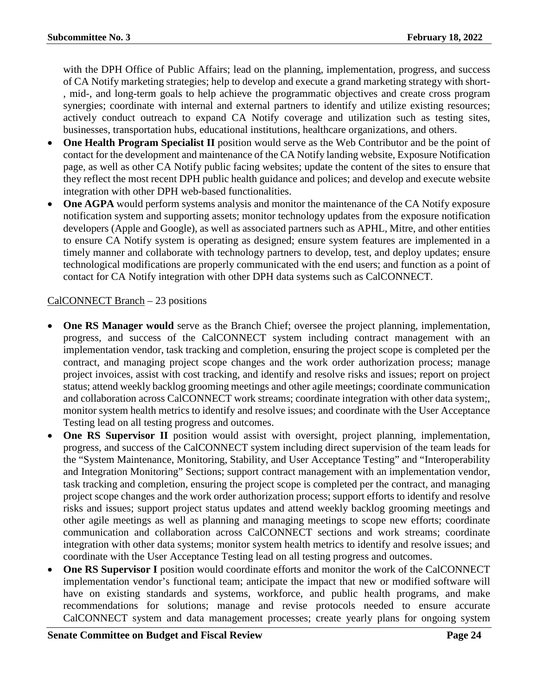with the DPH Office of Public Affairs; lead on the planning, implementation, progress, and success of CA Notify marketing strategies; help to develop and execute a grand marketing strategy with short- , mid-, and long-term goals to help achieve the programmatic objectives and create cross program synergies; coordinate with internal and external partners to identify and utilize existing resources; actively conduct outreach to expand CA Notify coverage and utilization such as testing sites, businesses, transportation hubs, educational institutions, healthcare organizations, and others.

- **One Health Program Specialist II** position would serve as the Web Contributor and be the point of contact for the development and maintenance of the CA Notify landing website, Exposure Notification page, as well as other CA Notify public facing websites; update the content of the sites to ensure that they reflect the most recent DPH public health guidance and polices; and develop and execute website integration with other DPH web-based functionalities.
- **One AGPA** would perform systems analysis and monitor the maintenance of the CA Notify exposure notification system and supporting assets; monitor technology updates from the exposure notification developers (Apple and Google), as well as associated partners such as APHL, Mitre, and other entities to ensure CA Notify system is operating as designed; ensure system features are implemented in a timely manner and collaborate with technology partners to develop, test, and deploy updates; ensure technological modifications are properly communicated with the end users; and function as a point of contact for CA Notify integration with other DPH data systems such as CalCONNECT.

### CalCONNECT Branch – 23 positions

- **One RS Manager would** serve as the Branch Chief; oversee the project planning, implementation, progress, and success of the CalCONNECT system including contract management with an implementation vendor, task tracking and completion, ensuring the project scope is completed per the contract, and managing project scope changes and the work order authorization process; manage project invoices, assist with cost tracking, and identify and resolve risks and issues; report on project status; attend weekly backlog grooming meetings and other agile meetings; coordinate communication and collaboration across CalCONNECT work streams; coordinate integration with other data system;, monitor system health metrics to identify and resolve issues; and coordinate with the User Acceptance Testing lead on all testing progress and outcomes.
- **One RS Supervisor II** position would assist with oversight, project planning, implementation, progress, and success of the CalCONNECT system including direct supervision of the team leads for the "System Maintenance, Monitoring, Stability, and User Acceptance Testing" and "Interoperability and Integration Monitoring" Sections; support contract management with an implementation vendor, task tracking and completion, ensuring the project scope is completed per the contract, and managing project scope changes and the work order authorization process; support efforts to identify and resolve risks and issues; support project status updates and attend weekly backlog grooming meetings and other agile meetings as well as planning and managing meetings to scope new efforts; coordinate communication and collaboration across CalCONNECT sections and work streams; coordinate integration with other data systems; monitor system health metrics to identify and resolve issues; and coordinate with the User Acceptance Testing lead on all testing progress and outcomes.
- **One RS Supervisor I** position would coordinate efforts and monitor the work of the CalCONNECT implementation vendor's functional team; anticipate the impact that new or modified software will have on existing standards and systems, workforce, and public health programs, and make recommendations for solutions; manage and revise protocols needed to ensure accurate CalCONNECT system and data management processes; create yearly plans for ongoing system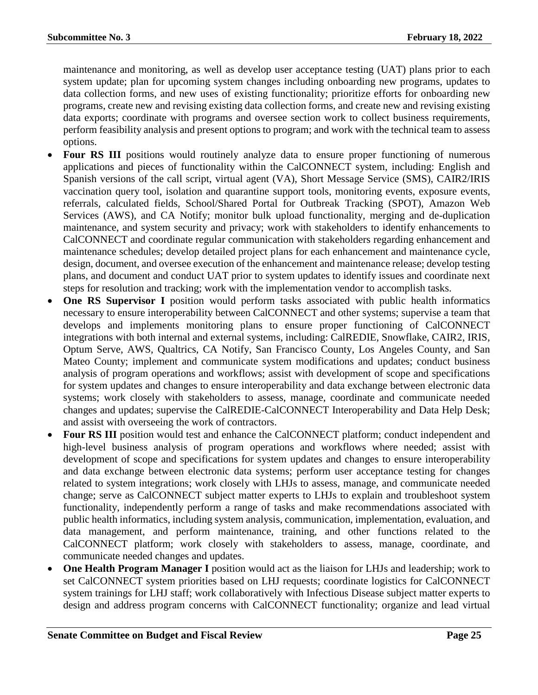maintenance and monitoring, as well as develop user acceptance testing (UAT) plans prior to each system update; plan for upcoming system changes including onboarding new programs, updates to data collection forms, and new uses of existing functionality; prioritize efforts for onboarding new programs, create new and revising existing data collection forms, and create new and revising existing data exports; coordinate with programs and oversee section work to collect business requirements, perform feasibility analysis and present options to program; and work with the technical team to assess options.

- Four RS III positions would routinely analyze data to ensure proper functioning of numerous applications and pieces of functionality within the CalCONNECT system, including: English and Spanish versions of the call script, virtual agent (VA), Short Message Service (SMS), CAIR2/IRIS vaccination query tool, isolation and quarantine support tools, monitoring events, exposure events, referrals, calculated fields, School/Shared Portal for Outbreak Tracking (SPOT), Amazon Web Services (AWS), and CA Notify; monitor bulk upload functionality, merging and de-duplication maintenance, and system security and privacy; work with stakeholders to identify enhancements to CalCONNECT and coordinate regular communication with stakeholders regarding enhancement and maintenance schedules; develop detailed project plans for each enhancement and maintenance cycle, design, document, and oversee execution of the enhancement and maintenance release; develop testing plans, and document and conduct UAT prior to system updates to identify issues and coordinate next steps for resolution and tracking; work with the implementation vendor to accomplish tasks.
- **One RS Supervisor I** position would perform tasks associated with public health informatics necessary to ensure interoperability between CalCONNECT and other systems; supervise a team that develops and implements monitoring plans to ensure proper functioning of CalCONNECT integrations with both internal and external systems, including: CalREDIE, Snowflake, CAIR2, IRIS, Optum Serve, AWS, Qualtrics, CA Notify, San Francisco County, Los Angeles County, and San Mateo County; implement and communicate system modifications and updates; conduct business analysis of program operations and workflows; assist with development of scope and specifications for system updates and changes to ensure interoperability and data exchange between electronic data systems; work closely with stakeholders to assess, manage, coordinate and communicate needed changes and updates; supervise the CalREDIE-CalCONNECT Interoperability and Data Help Desk; and assist with overseeing the work of contractors.
- **Four RS III** position would test and enhance the CalCONNECT platform; conduct independent and high-level business analysis of program operations and workflows where needed; assist with development of scope and specifications for system updates and changes to ensure interoperability and data exchange between electronic data systems; perform user acceptance testing for changes related to system integrations; work closely with LHJs to assess, manage, and communicate needed change; serve as CalCONNECT subject matter experts to LHJs to explain and troubleshoot system functionality, independently perform a range of tasks and make recommendations associated with public health informatics, including system analysis, communication, implementation, evaluation, and data management, and perform maintenance, training, and other functions related to the CalCONNECT platform; work closely with stakeholders to assess, manage, coordinate, and communicate needed changes and updates.
- **One Health Program Manager I** position would act as the liaison for LHJs and leadership; work to set CalCONNECT system priorities based on LHJ requests; coordinate logistics for CalCONNECT system trainings for LHJ staff; work collaboratively with Infectious Disease subject matter experts to design and address program concerns with CalCONNECT functionality; organize and lead virtual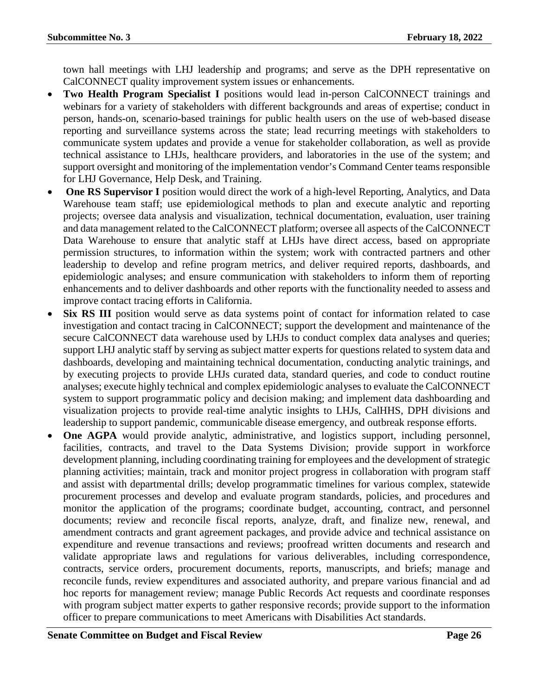town hall meetings with LHJ leadership and programs; and serve as the DPH representative on CalCONNECT quality improvement system issues or enhancements.

- **Two Health Program Specialist I** positions would lead in-person CalCONNECT trainings and webinars for a variety of stakeholders with different backgrounds and areas of expertise; conduct in person, hands-on, scenario-based trainings for public health users on the use of web-based disease reporting and surveillance systems across the state; lead recurring meetings with stakeholders to communicate system updates and provide a venue for stakeholder collaboration, as well as provide technical assistance to LHJs, healthcare providers, and laboratories in the use of the system; and support oversight and monitoring of the implementation vendor's Command Center teams responsible for LHJ Governance, Help Desk, and Training.
- **One RS Supervisor I** position would direct the work of a high-level Reporting, Analytics, and Data Warehouse team staff; use epidemiological methods to plan and execute analytic and reporting projects; oversee data analysis and visualization, technical documentation, evaluation, user training and data management related to the CalCONNECT platform; oversee all aspects of the CalCONNECT Data Warehouse to ensure that analytic staff at LHJs have direct access, based on appropriate permission structures, to information within the system; work with contracted partners and other leadership to develop and refine program metrics, and deliver required reports, dashboards, and epidemiologic analyses; and ensure communication with stakeholders to inform them of reporting enhancements and to deliver dashboards and other reports with the functionality needed to assess and improve contact tracing efforts in California.
- **Six RS III** position would serve as data systems point of contact for information related to case investigation and contact tracing in CalCONNECT; support the development and maintenance of the secure CalCONNECT data warehouse used by LHJs to conduct complex data analyses and queries; support LHJ analytic staff by serving as subject matter experts for questions related to system data and dashboards, developing and maintaining technical documentation, conducting analytic trainings, and by executing projects to provide LHJs curated data, standard queries, and code to conduct routine analyses; execute highly technical and complex epidemiologic analyses to evaluate the CalCONNECT system to support programmatic policy and decision making; and implement data dashboarding and visualization projects to provide real-time analytic insights to LHJs, CalHHS, DPH divisions and leadership to support pandemic, communicable disease emergency, and outbreak response efforts.
- **One AGPA** would provide analytic, administrative, and logistics support, including personnel, facilities, contracts, and travel to the Data Systems Division; provide support in workforce development planning, including coordinating training for employees and the development of strategic planning activities; maintain, track and monitor project progress in collaboration with program staff and assist with departmental drills; develop programmatic timelines for various complex, statewide procurement processes and develop and evaluate program standards, policies, and procedures and monitor the application of the programs; coordinate budget, accounting, contract, and personnel documents; review and reconcile fiscal reports, analyze, draft, and finalize new, renewal, and amendment contracts and grant agreement packages, and provide advice and technical assistance on expenditure and revenue transactions and reviews; proofread written documents and research and validate appropriate laws and regulations for various deliverables, including correspondence, contracts, service orders, procurement documents, reports, manuscripts, and briefs; manage and reconcile funds, review expenditures and associated authority, and prepare various financial and ad hoc reports for management review; manage Public Records Act requests and coordinate responses with program subject matter experts to gather responsive records; provide support to the information officer to prepare communications to meet Americans with Disabilities Act standards.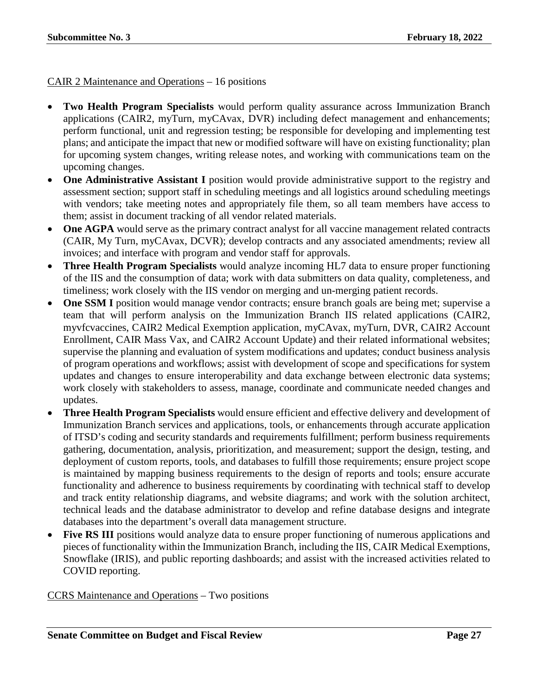#### CAIR 2 Maintenance and Operations – 16 positions

- **Two Health Program Specialists** would perform quality assurance across Immunization Branch applications (CAIR2, myTurn, myCAvax, DVR) including defect management and enhancements; perform functional, unit and regression testing; be responsible for developing and implementing test plans; and anticipate the impact that new or modified software will have on existing functionality; plan for upcoming system changes, writing release notes, and working with communications team on the upcoming changes.
- One Administrative Assistant I position would provide administrative support to the registry and assessment section; support staff in scheduling meetings and all logistics around scheduling meetings with vendors; take meeting notes and appropriately file them, so all team members have access to them; assist in document tracking of all vendor related materials.
- One AGPA would serve as the primary contract analyst for all vaccine management related contracts (CAIR, My Turn, myCAvax, DCVR); develop contracts and any associated amendments; review all invoices; and interface with program and vendor staff for approvals.
- **Three Health Program Specialists** would analyze incoming HL7 data to ensure proper functioning of the IIS and the consumption of data; work with data submitters on data quality, completeness, and timeliness; work closely with the IIS vendor on merging and un-merging patient records.
- **One SSM I** position would manage vendor contracts; ensure branch goals are being met; supervise a team that will perform analysis on the Immunization Branch IIS related applications (CAIR2, myvfcvaccines, CAIR2 Medical Exemption application, myCAvax, myTurn, DVR, CAIR2 Account Enrollment, CAIR Mass Vax, and CAIR2 Account Update) and their related informational websites; supervise the planning and evaluation of system modifications and updates; conduct business analysis of program operations and workflows; assist with development of scope and specifications for system updates and changes to ensure interoperability and data exchange between electronic data systems; work closely with stakeholders to assess, manage, coordinate and communicate needed changes and updates.
- **Three Health Program Specialists** would ensure efficient and effective delivery and development of Immunization Branch services and applications, tools, or enhancements through accurate application of ITSD's coding and security standards and requirements fulfillment; perform business requirements gathering, documentation, analysis, prioritization, and measurement; support the design, testing, and deployment of custom reports, tools, and databases to fulfill those requirements; ensure project scope is maintained by mapping business requirements to the design of reports and tools; ensure accurate functionality and adherence to business requirements by coordinating with technical staff to develop and track entity relationship diagrams, and website diagrams; and work with the solution architect, technical leads and the database administrator to develop and refine database designs and integrate databases into the department's overall data management structure.
- **Five RS III** positions would analyze data to ensure proper functioning of numerous applications and pieces of functionality within the Immunization Branch, including the IIS, CAIR Medical Exemptions, Snowflake (IRIS), and public reporting dashboards; and assist with the increased activities related to COVID reporting.

CCRS Maintenance and Operations – Two positions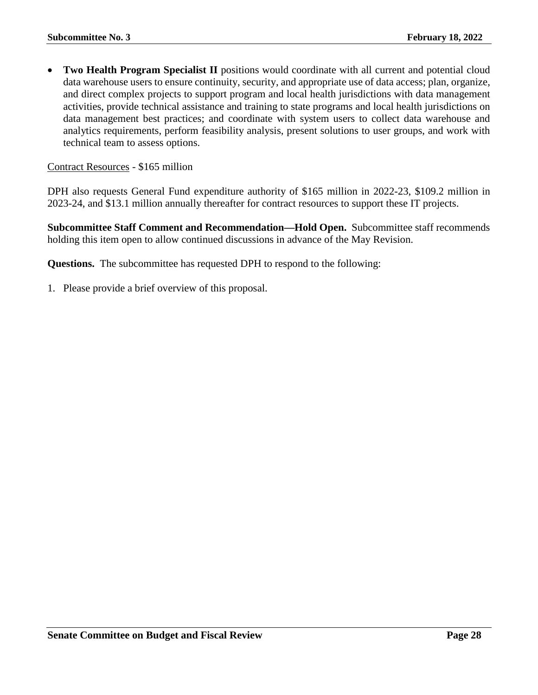**Two Health Program Specialist II** positions would coordinate with all current and potential cloud data warehouse users to ensure continuity, security, and appropriate use of data access; plan, organize, and direct complex projects to support program and local health jurisdictions with data management activities, provide technical assistance and training to state programs and local health jurisdictions on data management best practices; and coordinate with system users to collect data warehouse and analytics requirements, perform feasibility analysis, present solutions to user groups, and work with technical team to assess options.

#### Contract Resources - \$165 million

DPH also requests General Fund expenditure authority of \$165 million in 2022-23, \$109.2 million in 2023-24, and \$13.1 million annually thereafter for contract resources to support these IT projects.

**Subcommittee Staff Comment and Recommendation—Hold Open.** Subcommittee staff recommends holding this item open to allow continued discussions in advance of the May Revision.

**Questions.** The subcommittee has requested DPH to respond to the following:

1. Please provide a brief overview of this proposal.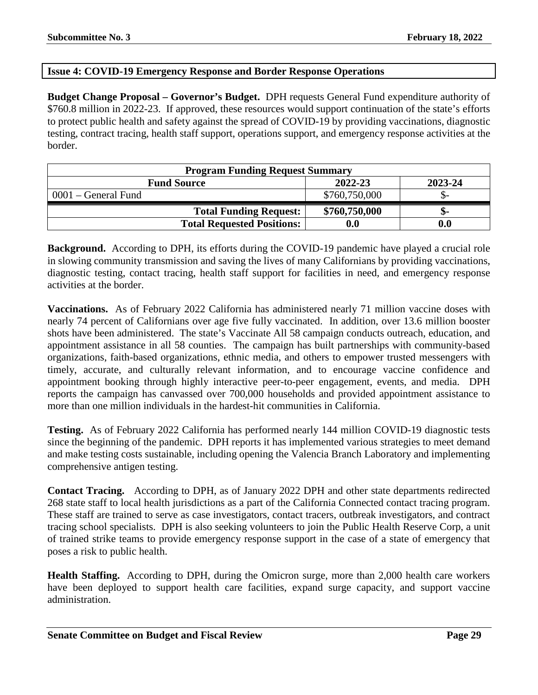#### <span id="page-28-0"></span>**Issue 4: COVID-19 Emergency Response and Border Response Operations**

**Budget Change Proposal – Governor's Budget.** DPH requests General Fund expenditure authority of \$760.8 million in 2022-23. If approved, these resources would support continuation of the state's efforts to protect public health and safety against the spread of COVID-19 by providing vaccinations, diagnostic testing, contract tracing, health staff support, operations support, and emergency response activities at the border.

| <b>Program Funding Request Summary</b>   |                    |     |  |
|------------------------------------------|--------------------|-----|--|
| 2022-23<br>2023-24<br><b>Fund Source</b> |                    |     |  |
| $0001$ – General Fund                    | \$760,750,000      |     |  |
| <b>Total Funding Request:</b>            | \$760,750,000      | ת - |  |
| <b>Total Requested Positions:</b>        | $\boldsymbol{0.0}$ |     |  |

**Background.** According to DPH, its efforts during the COVID-19 pandemic have played a crucial role in slowing community transmission and saving the lives of many Californians by providing vaccinations, diagnostic testing, contact tracing, health staff support for facilities in need, and emergency response activities at the border.

**Vaccinations.** As of February 2022 California has administered nearly 71 million vaccine doses with nearly 74 percent of Californians over age five fully vaccinated. In addition, over 13.6 million booster shots have been administered. The state's Vaccinate All 58 campaign conducts outreach, education, and appointment assistance in all 58 counties. The campaign has built partnerships with community-based organizations, faith-based organizations, ethnic media, and others to empower trusted messengers with timely, accurate, and culturally relevant information, and to encourage vaccine confidence and appointment booking through highly interactive peer-to-peer engagement, events, and media. DPH reports the campaign has canvassed over 700,000 households and provided appointment assistance to more than one million individuals in the hardest-hit communities in California.

**Testing.** As of February 2022 California has performed nearly 144 million COVID-19 diagnostic tests since the beginning of the pandemic. DPH reports it has implemented various strategies to meet demand and make testing costs sustainable, including opening the Valencia Branch Laboratory and implementing comprehensive antigen testing.

**Contact Tracing.** According to DPH, as of January 2022 DPH and other state departments redirected 268 state staff to local health jurisdictions as a part of the California Connected contact tracing program. These staff are trained to serve as case investigators, contact tracers, outbreak investigators, and contract tracing school specialists. DPH is also seeking volunteers to join the Public Health Reserve Corp, a unit of trained strike teams to provide emergency response support in the case of a state of emergency that poses a risk to public health.

**Health Staffing.** According to DPH, during the Omicron surge, more than 2,000 health care workers have been deployed to support health care facilities, expand surge capacity, and support vaccine administration.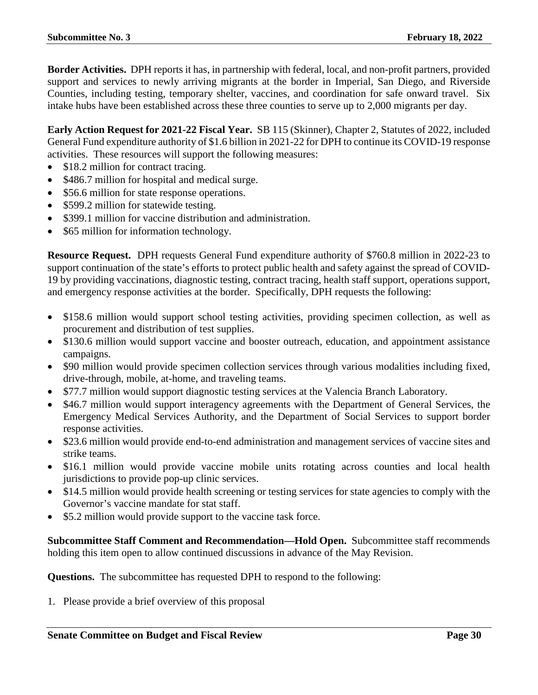**Border Activities.** DPH reports it has, in partnership with federal, local, and non-profit partners, provided support and services to newly arriving migrants at the border in Imperial, San Diego, and Riverside Counties, including testing, temporary shelter, vaccines, and coordination for safe onward travel. Six intake hubs have been established across these three counties to serve up to 2,000 migrants per day.

**Early Action Request for 2021-22 Fiscal Year.** SB 115 (Skinner), Chapter 2, Statutes of 2022, included General Fund expenditure authority of \$1.6 billion in 2021-22 for DPH to continue its COVID-19 response activities. These resources will support the following measures:

- \$18.2 million for contract tracing.
- \$486.7 million for hospital and medical surge.
- \$56.6 million for state response operations.
- \$599.2 million for statewide testing.
- \$399.1 million for vaccine distribution and administration.
- \$65 million for information technology.

**Resource Request.** DPH requests General Fund expenditure authority of \$760.8 million in 2022-23 to support continuation of the state's efforts to protect public health and safety against the spread of COVID-19 by providing vaccinations, diagnostic testing, contract tracing, health staff support, operations support, and emergency response activities at the border. Specifically, DPH requests the following:

- \$158.6 million would support school testing activities, providing specimen collection, as well as procurement and distribution of test supplies.
- \$130.6 million would support vaccine and booster outreach, education, and appointment assistance campaigns.
- \$90 million would provide specimen collection services through various modalities including fixed, drive-through, mobile, at-home, and traveling teams.
- \$77.7 million would support diagnostic testing services at the Valencia Branch Laboratory.
- \$46.7 million would support interagency agreements with the Department of General Services, the Emergency Medical Services Authority, and the Department of Social Services to support border response activities.
- \$23.6 million would provide end-to-end administration and management services of vaccine sites and strike teams.
- \$16.1 million would provide vaccine mobile units rotating across counties and local health jurisdictions to provide pop-up clinic services.
- \$14.5 million would provide health screening or testing services for state agencies to comply with the Governor's vaccine mandate for stat staff.
- \$5.2 million would provide support to the vaccine task force.

**Subcommittee Staff Comment and Recommendation—Hold Open.** Subcommittee staff recommends holding this item open to allow continued discussions in advance of the May Revision.

**Questions.** The subcommittee has requested DPH to respond to the following:

1. Please provide a brief overview of this proposal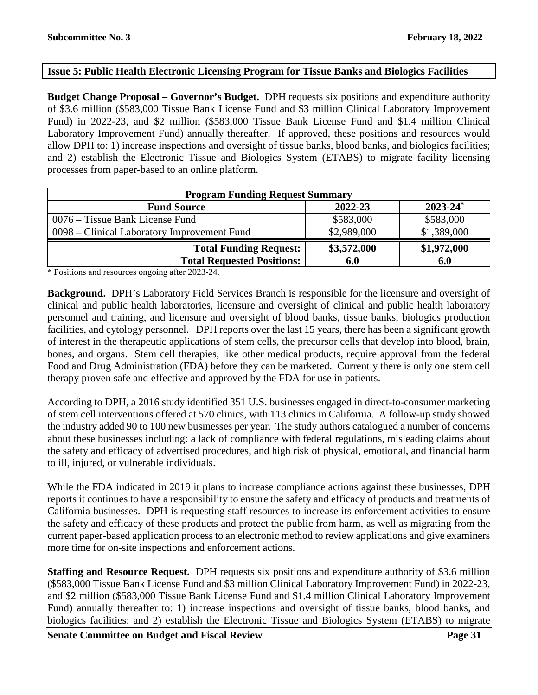#### <span id="page-30-0"></span>**Issue 5: Public Health Electronic Licensing Program for Tissue Banks and Biologics Facilities**

**Budget Change Proposal – Governor's Budget.** DPH requests six positions and expenditure authority of \$3.6 million (\$583,000 Tissue Bank License Fund and \$3 million Clinical Laboratory Improvement Fund) in 2022-23, and \$2 million (\$583,000 Tissue Bank License Fund and \$1.4 million Clinical Laboratory Improvement Fund) annually thereafter. If approved, these positions and resources would allow DPH to: 1) increase inspections and oversight of tissue banks, blood banks, and biologics facilities; and 2) establish the Electronic Tissue and Biologics System (ETABS) to migrate facility licensing processes from paper-based to an online platform.

| <b>Program Funding Request Summary</b>      |             |               |  |
|---------------------------------------------|-------------|---------------|--|
| <b>Fund Source</b>                          | 2022-23     | $2023 - 24^*$ |  |
| 0076 – Tissue Bank License Fund             | \$583,000   | \$583,000     |  |
| 0098 – Clinical Laboratory Improvement Fund | \$2,989,000 | \$1,389,000   |  |
| <b>Total Funding Request:</b>               | \$3,572,000 | \$1,972,000   |  |
| <b>Total Requested Positions:</b>           | 6.0         | 6.0           |  |

\* Positions and resources ongoing after 2023-24.

**Background.** DPH's Laboratory Field Services Branch is responsible for the licensure and oversight of clinical and public health laboratories, licensure and oversight of clinical and public health laboratory personnel and training, and licensure and oversight of blood banks, tissue banks, biologics production facilities, and cytology personnel. DPH reports over the last 15 years, there has been a significant growth of interest in the therapeutic applications of stem cells, the precursor cells that develop into blood, brain, bones, and organs. Stem cell therapies, like other medical products, require approval from the federal Food and Drug Administration (FDA) before they can be marketed. Currently there is only one stem cell therapy proven safe and effective and approved by the FDA for use in patients.

According to DPH, a 2016 study identified 351 U.S. businesses engaged in direct-to-consumer marketing of stem cell interventions offered at 570 clinics, with 113 clinics in California. A follow-up study showed the industry added 90 to 100 new businesses per year. The study authors catalogued a number of concerns about these businesses including: a lack of compliance with federal regulations, misleading claims about the safety and efficacy of advertised procedures, and high risk of physical, emotional, and financial harm to ill, injured, or vulnerable individuals.

While the FDA indicated in 2019 it plans to increase compliance actions against these businesses, DPH reports it continues to have a responsibility to ensure the safety and efficacy of products and treatments of California businesses. DPH is requesting staff resources to increase its enforcement activities to ensure the safety and efficacy of these products and protect the public from harm, as well as migrating from the current paper-based application process to an electronic method to review applications and give examiners more time for on-site inspections and enforcement actions.

**Staffing and Resource Request.** DPH requests six positions and expenditure authority of \$3.6 million (\$583,000 Tissue Bank License Fund and \$3 million Clinical Laboratory Improvement Fund) in 2022-23, and \$2 million (\$583,000 Tissue Bank License Fund and \$1.4 million Clinical Laboratory Improvement Fund) annually thereafter to: 1) increase inspections and oversight of tissue banks, blood banks, and biologics facilities; and 2) establish the Electronic Tissue and Biologics System (ETABS) to migrate

**Senate Committee on Budget and Fiscal Review <b>Page 31**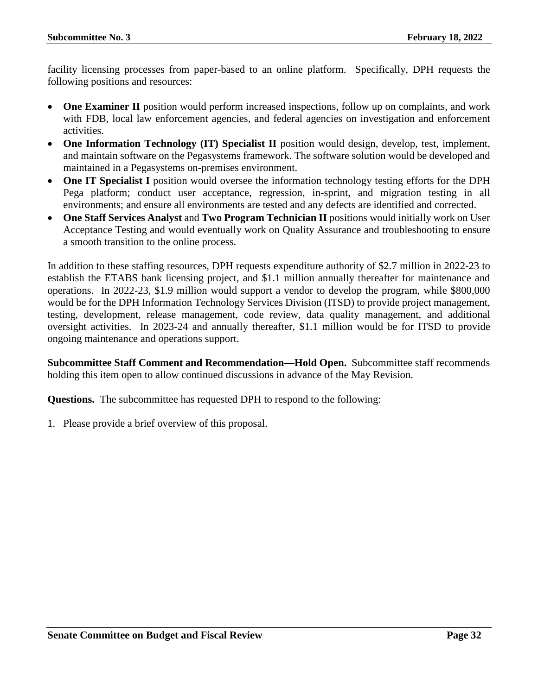facility licensing processes from paper-based to an online platform. Specifically, DPH requests the following positions and resources:

- **One Examiner II** position would perform increased inspections, follow up on complaints, and work with FDB, local law enforcement agencies, and federal agencies on investigation and enforcement activities.
- **One Information Technology (IT) Specialist II** position would design, develop, test, implement, and maintain software on the Pegasystems framework. The software solution would be developed and maintained in a Pegasystems on-premises environment.
- **One IT Specialist I** position would oversee the information technology testing efforts for the DPH Pega platform; conduct user acceptance, regression, in-sprint, and migration testing in all environments; and ensure all environments are tested and any defects are identified and corrected.
- **One Staff Services Analyst** and **Two Program Technician II** positions would initially work on User Acceptance Testing and would eventually work on Quality Assurance and troubleshooting to ensure a smooth transition to the online process.

In addition to these staffing resources, DPH requests expenditure authority of \$2.7 million in 2022-23 to establish the ETABS bank licensing project, and \$1.1 million annually thereafter for maintenance and operations. In 2022-23, \$1.9 million would support a vendor to develop the program, while \$800,000 would be for the DPH Information Technology Services Division (ITSD) to provide project management, testing, development, release management, code review, data quality management, and additional oversight activities. In 2023-24 and annually thereafter, \$1.1 million would be for ITSD to provide ongoing maintenance and operations support.

**Subcommittee Staff Comment and Recommendation—Hold Open.** Subcommittee staff recommends holding this item open to allow continued discussions in advance of the May Revision.

**Questions.** The subcommittee has requested DPH to respond to the following:

1. Please provide a brief overview of this proposal.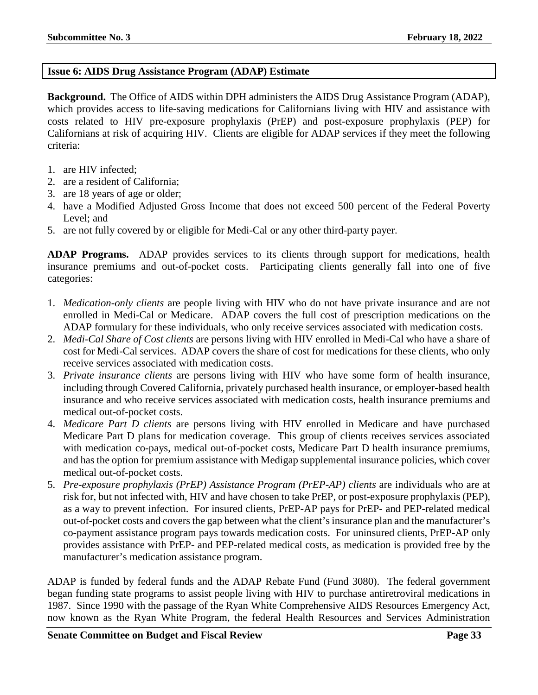#### <span id="page-32-0"></span>**Issue 6: AIDS Drug Assistance Program (ADAP) Estimate**

**Background.** The Office of AIDS within DPH administers the AIDS Drug Assistance Program (ADAP), which provides access to life-saving medications for Californians living with HIV and assistance with costs related to HIV pre-exposure prophylaxis (PrEP) and post-exposure prophylaxis (PEP) for Californians at risk of acquiring HIV. Clients are eligible for ADAP services if they meet the following criteria:

- 1. are HIV infected;
- 2. are a resident of California;
- 3. are 18 years of age or older;
- 4. have a Modified Adjusted Gross Income that does not exceed 500 percent of the Federal Poverty Level; and
- 5. are not fully covered by or eligible for Medi-Cal or any other third-party payer.

**ADAP Programs.** ADAP provides services to its clients through support for medications, health insurance premiums and out-of-pocket costs. Participating clients generally fall into one of five categories:

- 1. *Medication-only clients* are people living with HIV who do not have private insurance and are not enrolled in Medi-Cal or Medicare. ADAP covers the full cost of prescription medications on the ADAP formulary for these individuals, who only receive services associated with medication costs.
- 2. *Medi-Cal Share of Cost clients* are persons living with HIV enrolled in Medi-Cal who have a share of cost for Medi-Cal services. ADAP covers the share of cost for medications for these clients, who only receive services associated with medication costs.
- 3. *Private insurance clients* are persons living with HIV who have some form of health insurance, including through Covered California, privately purchased health insurance, or employer-based health insurance and who receive services associated with medication costs, health insurance premiums and medical out-of-pocket costs.
- 4. *Medicare Part D clients* are persons living with HIV enrolled in Medicare and have purchased Medicare Part D plans for medication coverage. This group of clients receives services associated with medication co-pays, medical out-of-pocket costs, Medicare Part D health insurance premiums, and has the option for premium assistance with Medigap supplemental insurance policies, which cover medical out-of-pocket costs.
- 5. *Pre-exposure prophylaxis (PrEP) Assistance Program (PrEP-AP) clients* are individuals who are at risk for, but not infected with, HIV and have chosen to take PrEP, or post-exposure prophylaxis (PEP), as a way to prevent infection. For insured clients, PrEP-AP pays for PrEP- and PEP-related medical out-of-pocket costs and covers the gap between what the client's insurance plan and the manufacturer's co-payment assistance program pays towards medication costs. For uninsured clients, PrEP-AP only provides assistance with PrEP- and PEP-related medical costs, as medication is provided free by the manufacturer's medication assistance program.

ADAP is funded by federal funds and the ADAP Rebate Fund (Fund 3080). The federal government began funding state programs to assist people living with HIV to purchase antiretroviral medications in 1987. Since 1990 with the passage of the Ryan White Comprehensive AIDS Resources Emergency Act, now known as the Ryan White Program, the federal Health Resources and Services Administration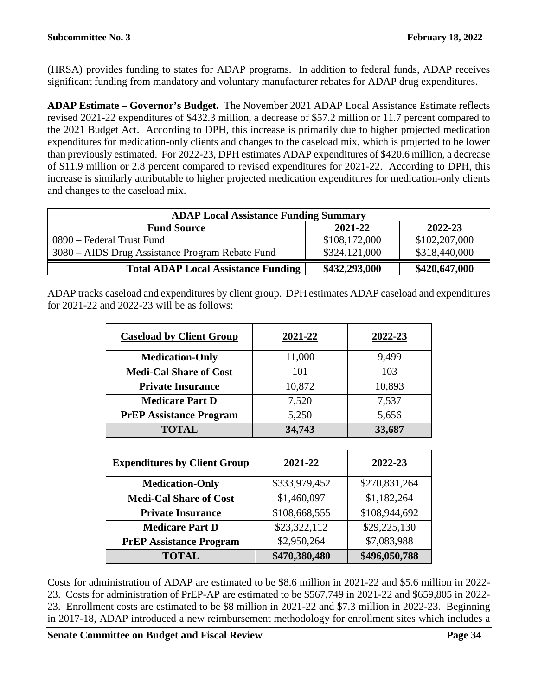(HRSA) provides funding to states for ADAP programs. In addition to federal funds, ADAP receives significant funding from mandatory and voluntary manufacturer rebates for ADAP drug expenditures.

**ADAP Estimate – Governor's Budget.** The November 2021 ADAP Local Assistance Estimate reflects revised 2021-22 expenditures of \$432.3 million, a decrease of \$57.2 million or 11.7 percent compared to the 2021 Budget Act. According to DPH, this increase is primarily due to higher projected medication expenditures for medication-only clients and changes to the caseload mix, which is projected to be lower than previously estimated. For 2022-23, DPH estimates ADAP expenditures of \$420.6 million, a decrease of \$11.9 million or 2.8 percent compared to revised expenditures for 2021-22. According to DPH, this increase is similarly attributable to higher projected medication expenditures for medication-only clients and changes to the caseload mix.

| <b>ADAP Local Assistance Funding Summary</b>    |               |               |  |
|-------------------------------------------------|---------------|---------------|--|
| <b>Fund Source</b>                              | 2021-22       | 2022-23       |  |
| 0890 – Federal Trust Fund                       | \$108,172,000 | \$102,207,000 |  |
| 3080 – AIDS Drug Assistance Program Rebate Fund | \$324,121,000 | \$318,440,000 |  |
| <b>Total ADAP Local Assistance Funding</b>      | \$432,293,000 | \$420,647,000 |  |

ADAP tracks caseload and expenditures by client group. DPH estimates ADAP caseload and expenditures for 2021-22 and 2022-23 will be as follows:

| <b>Caseload by Client Group</b> | 2021-22 | 2022-23 |
|---------------------------------|---------|---------|
| <b>Medication-Only</b>          | 11,000  | 9,499   |
| <b>Medi-Cal Share of Cost</b>   | 101     | 103     |
| <b>Private Insurance</b>        | 10,872  | 10,893  |
| <b>Medicare Part D</b>          | 7,520   | 7,537   |
| <b>PrEP Assistance Program</b>  | 5,250   | 5,656   |
| <b>TOTAL</b>                    | 34,743  | 33,687  |

| <b>Expenditures by Client Group</b> | 2021-22       | 2022-23       |
|-------------------------------------|---------------|---------------|
| <b>Medication-Only</b>              | \$333,979,452 | \$270,831,264 |
| <b>Medi-Cal Share of Cost</b>       | \$1,460,097   | \$1,182,264   |
| <b>Private Insurance</b>            | \$108,668,555 | \$108,944,692 |
| <b>Medicare Part D</b>              | \$23,322,112  | \$29,225,130  |
| <b>PrEP Assistance Program</b>      | \$2,950,264   | \$7,083,988   |
| <b>TOTAL</b>                        | \$470,380,480 | \$496,050,788 |

Costs for administration of ADAP are estimated to be \$8.6 million in 2021-22 and \$5.6 million in 2022- 23. Costs for administration of PrEP-AP are estimated to be \$567,749 in 2021-22 and \$659,805 in 2022- 23. Enrollment costs are estimated to be \$8 million in 2021-22 and \$7.3 million in 2022-23. Beginning in 2017-18, ADAP introduced a new reimbursement methodology for enrollment sites which includes a

**Senate Committee on Budget and Fiscal Review Page 34**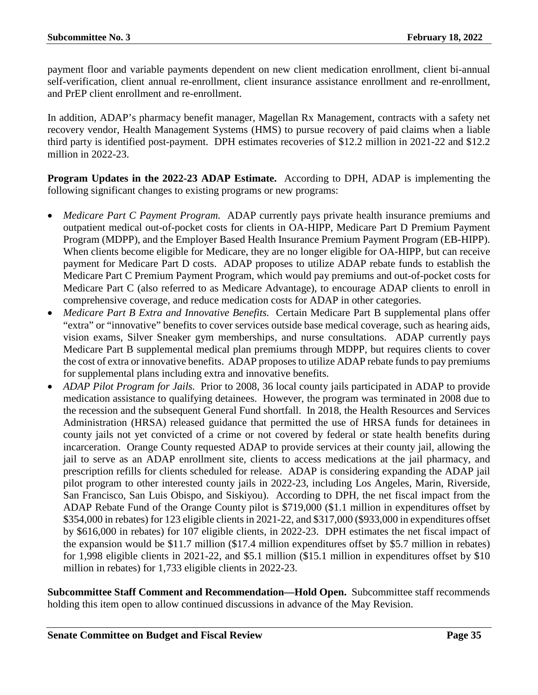payment floor and variable payments dependent on new client medication enrollment, client bi-annual self-verification, client annual re-enrollment, client insurance assistance enrollment and re-enrollment, and PrEP client enrollment and re-enrollment.

In addition, ADAP's pharmacy benefit manager, Magellan Rx Management, contracts with a safety net recovery vendor, Health Management Systems (HMS) to pursue recovery of paid claims when a liable third party is identified post-payment. DPH estimates recoveries of \$12.2 million in 2021-22 and \$12.2 million in 2022-23.

**Program Updates in the 2022-23 ADAP Estimate.** According to DPH, ADAP is implementing the following significant changes to existing programs or new programs:

- *Medicare Part C Payment Program.* ADAP currently pays private health insurance premiums and outpatient medical out-of-pocket costs for clients in OA-HIPP, Medicare Part D Premium Payment Program (MDPP), and the Employer Based Health Insurance Premium Payment Program (EB-HIPP). When clients become eligible for Medicare, they are no longer eligible for OA-HIPP, but can receive payment for Medicare Part D costs. ADAP proposes to utilize ADAP rebate funds to establish the Medicare Part C Premium Payment Program, which would pay premiums and out-of-pocket costs for Medicare Part C (also referred to as Medicare Advantage), to encourage ADAP clients to enroll in comprehensive coverage, and reduce medication costs for ADAP in other categories.
- *Medicare Part B Extra and Innovative Benefits.* Certain Medicare Part B supplemental plans offer "extra" or "innovative" benefits to cover services outside base medical coverage, such as hearing aids, vision exams, Silver Sneaker gym memberships, and nurse consultations. ADAP currently pays Medicare Part B supplemental medical plan premiums through MDPP, but requires clients to cover the cost of extra or innovative benefits. ADAP proposes to utilize ADAP rebate funds to pay premiums for supplemental plans including extra and innovative benefits.
- *ADAP Pilot Program for Jails.* Prior to 2008, 36 local county jails participated in ADAP to provide medication assistance to qualifying detainees. However, the program was terminated in 2008 due to the recession and the subsequent General Fund shortfall. In 2018, the Health Resources and Services Administration (HRSA) released guidance that permitted the use of HRSA funds for detainees in county jails not yet convicted of a crime or not covered by federal or state health benefits during incarceration. Orange County requested ADAP to provide services at their county jail, allowing the jail to serve as an ADAP enrollment site, clients to access medications at the jail pharmacy, and prescription refills for clients scheduled for release. ADAP is considering expanding the ADAP jail pilot program to other interested county jails in 2022-23, including Los Angeles, Marin, Riverside, San Francisco, San Luis Obispo, and Siskiyou). According to DPH, the net fiscal impact from the ADAP Rebate Fund of the Orange County pilot is \$719,000 (\$1.1 million in expenditures offset by \$354,000 in rebates) for 123 eligible clients in 2021-22, and \$317,000 (\$933,000 in expenditures offset by \$616,000 in rebates) for 107 eligible clients, in 2022-23. DPH estimates the net fiscal impact of the expansion would be \$11.7 million (\$17.4 million expenditures offset by \$5.7 million in rebates) for 1,998 eligible clients in 2021-22, and \$5.1 million (\$15.1 million in expenditures offset by \$10 million in rebates) for 1,733 eligible clients in 2022-23.

**Subcommittee Staff Comment and Recommendation—Hold Open.** Subcommittee staff recommends holding this item open to allow continued discussions in advance of the May Revision.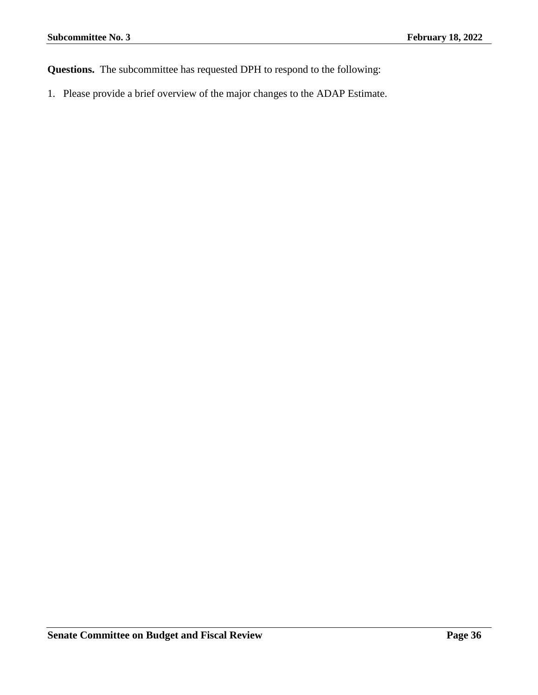**Questions.** The subcommittee has requested DPH to respond to the following:

1. Please provide a brief overview of the major changes to the ADAP Estimate.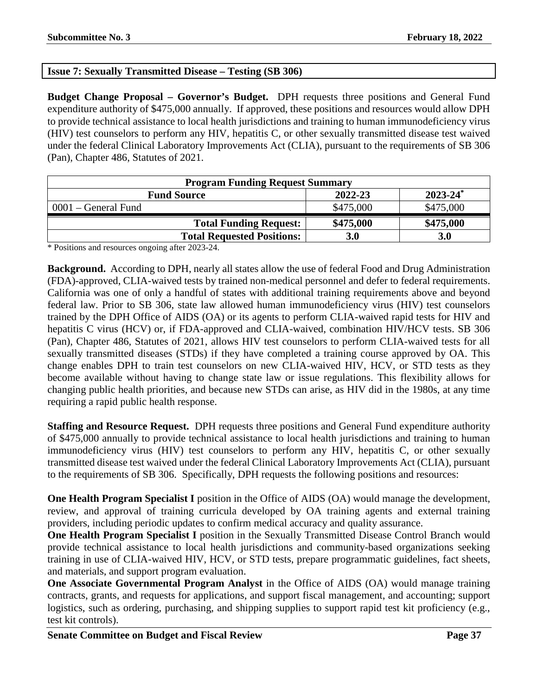# **Issue 7: Sexually Transmitted Disease – Testing (SB 306)**

**Budget Change Proposal – Governor's Budget.** DPH requests three positions and General Fund expenditure authority of \$475,000 annually. If approved, these positions and resources would allow DPH to provide technical assistance to local health jurisdictions and training to human immunodeficiency virus (HIV) test counselors to perform any HIV, hepatitis C, or other sexually transmitted disease test waived under the federal Clinical Laboratory Improvements Act (CLIA), pursuant to the requirements of SB 306 (Pan), Chapter 486, Statutes of 2021.

| <b>Program Funding Request Summary</b>                    |           |            |  |  |
|-----------------------------------------------------------|-----------|------------|--|--|
| $2023 - 24$ <sup>*</sup><br>2022-23<br><b>Fund Source</b> |           |            |  |  |
| $0001$ – General Fund                                     | \$475,000 | \$475,000  |  |  |
| <b>Total Funding Request:</b>                             | \$475,000 | \$475,000  |  |  |
| <b>Total Requested Positions:</b>                         | 3.0       | <b>3.0</b> |  |  |

\* Positions and resources ongoing after 2023-24.

**Background.** According to DPH, nearly all states allow the use of federal Food and Drug Administration (FDA)-approved, CLIA-waived tests by trained non-medical personnel and defer to federal requirements. California was one of only a handful of states with additional training requirements above and beyond federal law. Prior to SB 306, state law allowed human immunodeficiency virus (HIV) test counselors trained by the DPH Office of AIDS (OA) or its agents to perform CLIA-waived rapid tests for HIV and hepatitis C virus (HCV) or, if FDA-approved and CLIA-waived, combination HIV/HCV tests. SB 306 (Pan), Chapter 486, Statutes of 2021, allows HIV test counselors to perform CLIA-waived tests for all sexually transmitted diseases (STDs) if they have completed a training course approved by OA. This change enables DPH to train test counselors on new CLIA-waived HIV, HCV, or STD tests as they become available without having to change state law or issue regulations. This flexibility allows for changing public health priorities, and because new STDs can arise, as HIV did in the 1980s, at any time requiring a rapid public health response.

**Staffing and Resource Request.** DPH requests three positions and General Fund expenditure authority of \$475,000 annually to provide technical assistance to local health jurisdictions and training to human immunodeficiency virus (HIV) test counselors to perform any HIV, hepatitis C, or other sexually transmitted disease test waived under the federal Clinical Laboratory Improvements Act (CLIA), pursuant to the requirements of SB 306. Specifically, DPH requests the following positions and resources:

**One Health Program Specialist I** position in the Office of AIDS (OA) would manage the development, review, and approval of training curricula developed by OA training agents and external training providers, including periodic updates to confirm medical accuracy and quality assurance.

**One Health Program Specialist I** position in the Sexually Transmitted Disease Control Branch would provide technical assistance to local health jurisdictions and community-based organizations seeking training in use of CLIA-waived HIV, HCV, or STD tests, prepare programmatic guidelines, fact sheets, and materials, and support program evaluation.

**One Associate Governmental Program Analyst** in the Office of AIDS (OA) would manage training contracts, grants, and requests for applications, and support fiscal management, and accounting; support logistics, such as ordering, purchasing, and shipping supplies to support rapid test kit proficiency (e.g., test kit controls).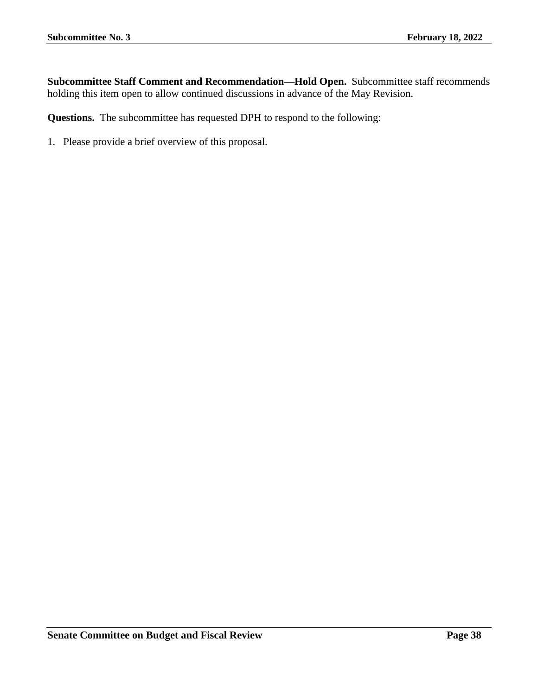**Subcommittee Staff Comment and Recommendation—Hold Open.** Subcommittee staff recommends holding this item open to allow continued discussions in advance of the May Revision.

**Questions.** The subcommittee has requested DPH to respond to the following: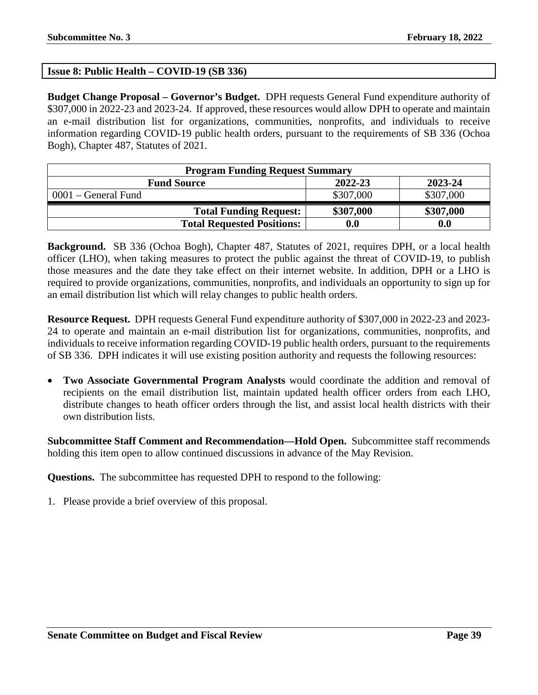# **Issue 8: Public Health – COVID-19 (SB 336)**

**Budget Change Proposal – Governor's Budget.** DPH requests General Fund expenditure authority of \$307,000 in 2022-23 and 2023-24. If approved, these resources would allow DPH to operate and maintain an e-mail distribution list for organizations, communities, nonprofits, and individuals to receive information regarding COVID-19 public health orders, pursuant to the requirements of SB 336 (Ochoa Bogh), Chapter 487, Statutes of 2021.

| <b>Program Funding Request Summary</b>   |                    |           |  |  |
|------------------------------------------|--------------------|-----------|--|--|
| 2022-23<br>2023-24<br><b>Fund Source</b> |                    |           |  |  |
| $0001$ – General Fund                    | \$307,000          | \$307,000 |  |  |
| <b>Total Funding Request:</b>            | \$307,000          | \$307,000 |  |  |
| <b>Total Requested Positions:</b>        | $\boldsymbol{0.0}$ | 0.0       |  |  |

**Background.** SB 336 (Ochoa Bogh), Chapter 487, Statutes of 2021, requires DPH, or a local health officer (LHO), when taking measures to protect the public against the threat of COVID-19, to publish those measures and the date they take effect on their internet website. In addition, DPH or a LHO is required to provide organizations, communities, nonprofits, and individuals an opportunity to sign up for an email distribution list which will relay changes to public health orders.

**Resource Request.** DPH requests General Fund expenditure authority of \$307,000 in 2022-23 and 2023- 24 to operate and maintain an e-mail distribution list for organizations, communities, nonprofits, and individuals to receive information regarding COVID-19 public health orders, pursuant to the requirements of SB 336. DPH indicates it will use existing position authority and requests the following resources:

• **Two Associate Governmental Program Analysts** would coordinate the addition and removal of recipients on the email distribution list, maintain updated health officer orders from each LHO, distribute changes to heath officer orders through the list, and assist local health districts with their own distribution lists.

**Subcommittee Staff Comment and Recommendation—Hold Open.** Subcommittee staff recommends holding this item open to allow continued discussions in advance of the May Revision.

**Questions.** The subcommittee has requested DPH to respond to the following: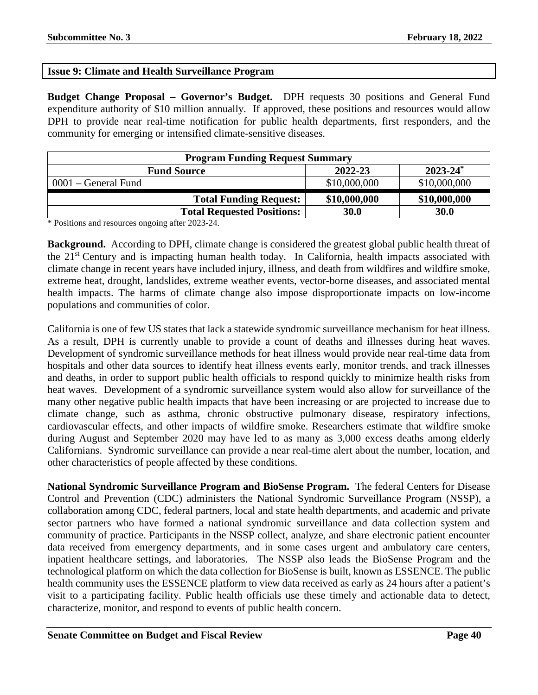# **Issue 9: Climate and Health Surveillance Program**

**Budget Change Proposal – Governor's Budget.** DPH requests 30 positions and General Fund expenditure authority of \$10 million annually. If approved, these positions and resources would allow DPH to provide near real-time notification for public health departments, first responders, and the community for emerging or intensified climate-sensitive diseases.

| <b>Program Funding Request Summary</b>         |              |              |  |  |
|------------------------------------------------|--------------|--------------|--|--|
| $2023 - 24^*$<br>2022-23<br><b>Fund Source</b> |              |              |  |  |
| $0001$ – General Fund                          | \$10,000,000 | \$10,000,000 |  |  |
| <b>Total Funding Request:</b>                  | \$10,000,000 | \$10,000,000 |  |  |
| <b>Total Requested Positions:</b>              | 30.0         | 30.0         |  |  |

\* Positions and resources ongoing after 2023-24.

**Background.** According to DPH, climate change is considered the greatest global public health threat of the 21st Century and is impacting human health today. In California, health impacts associated with climate change in recent years have included injury, illness, and death from wildfires and wildfire smoke, extreme heat, drought, landslides, extreme weather events, vector-borne diseases, and associated mental health impacts. The harms of climate change also impose disproportionate impacts on low-income populations and communities of color.

California is one of few US states that lack a statewide syndromic surveillance mechanism for heat illness. As a result, DPH is currently unable to provide a count of deaths and illnesses during heat waves. Development of syndromic surveillance methods for heat illness would provide near real-time data from hospitals and other data sources to identify heat illness events early, monitor trends, and track illnesses and deaths, in order to support public health officials to respond quickly to minimize health risks from heat waves. Development of a syndromic surveillance system would also allow for surveillance of the many other negative public health impacts that have been increasing or are projected to increase due to climate change, such as asthma, chronic obstructive pulmonary disease, respiratory infections, cardiovascular effects, and other impacts of wildfire smoke. Researchers estimate that wildfire smoke during August and September 2020 may have led to as many as 3,000 excess deaths among elderly Californians. Syndromic surveillance can provide a near real-time alert about the number, location, and other characteristics of people affected by these conditions.

**National Syndromic Surveillance Program and BioSense Program.** The federal Centers for Disease Control and Prevention (CDC) administers the National Syndromic Surveillance Program (NSSP), a collaboration among CDC, federal partners, local and state health departments, and academic and private sector partners who have formed a national syndromic surveillance and data collection system and community of practice. Participants in the NSSP collect, analyze, and share electronic patient encounter data received from emergency departments, and in some cases urgent and ambulatory care centers, inpatient healthcare settings, and laboratories. The NSSP also leads the BioSense Program and the technological platform on which the data collection for BioSense is built, known as ESSENCE. The public health community uses the ESSENCE platform to view data received as early as 24 hours after a patient's visit to a participating facility. Public health officials use these timely and actionable data to detect, characterize, monitor, and respond to events of public health concern.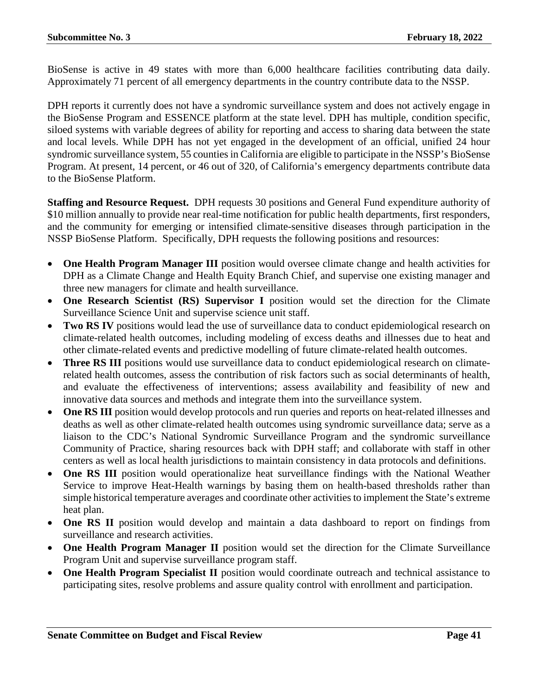BioSense is active in 49 states with more than 6,000 healthcare facilities contributing data daily. Approximately 71 percent of all emergency departments in the country contribute data to the NSSP.

DPH reports it currently does not have a syndromic surveillance system and does not actively engage in the BioSense Program and ESSENCE platform at the state level. DPH has multiple, condition specific, siloed systems with variable degrees of ability for reporting and access to sharing data between the state and local levels. While DPH has not yet engaged in the development of an official, unified 24 hour syndromic surveillance system, 55 counties in California are eligible to participate in the NSSP's BioSense Program. At present, 14 percent, or 46 out of 320, of California's emergency departments contribute data to the BioSense Platform.

**Staffing and Resource Request.** DPH requests 30 positions and General Fund expenditure authority of \$10 million annually to provide near real-time notification for public health departments, first responders, and the community for emerging or intensified climate-sensitive diseases through participation in the NSSP BioSense Platform. Specifically, DPH requests the following positions and resources:

- **One Health Program Manager III** position would oversee climate change and health activities for DPH as a Climate Change and Health Equity Branch Chief, and supervise one existing manager and three new managers for climate and health surveillance.
- **One Research Scientist (RS) Supervisor I** position would set the direction for the Climate Surveillance Science Unit and supervise science unit staff.
- **Two RS IV** positions would lead the use of surveillance data to conduct epidemiological research on climate-related health outcomes, including modeling of excess deaths and illnesses due to heat and other climate-related events and predictive modelling of future climate-related health outcomes.
- **Three RS III** positions would use surveillance data to conduct epidemiological research on climaterelated health outcomes, assess the contribution of risk factors such as social determinants of health, and evaluate the effectiveness of interventions; assess availability and feasibility of new and innovative data sources and methods and integrate them into the surveillance system.
- One RS III position would develop protocols and run queries and reports on heat-related illnesses and deaths as well as other climate-related health outcomes using syndromic surveillance data; serve as a liaison to the CDC's National Syndromic Surveillance Program and the syndromic surveillance Community of Practice, sharing resources back with DPH staff; and collaborate with staff in other centers as well as local health jurisdictions to maintain consistency in data protocols and definitions.
- **One RS III** position would operationalize heat surveillance findings with the National Weather Service to improve Heat-Health warnings by basing them on health-based thresholds rather than simple historical temperature averages and coordinate other activities to implement the State's extreme heat plan.
- **One RS II** position would develop and maintain a data dashboard to report on findings from surveillance and research activities.
- **One Health Program Manager II** position would set the direction for the Climate Surveillance Program Unit and supervise surveillance program staff.
- **One Health Program Specialist II** position would coordinate outreach and technical assistance to participating sites, resolve problems and assure quality control with enrollment and participation.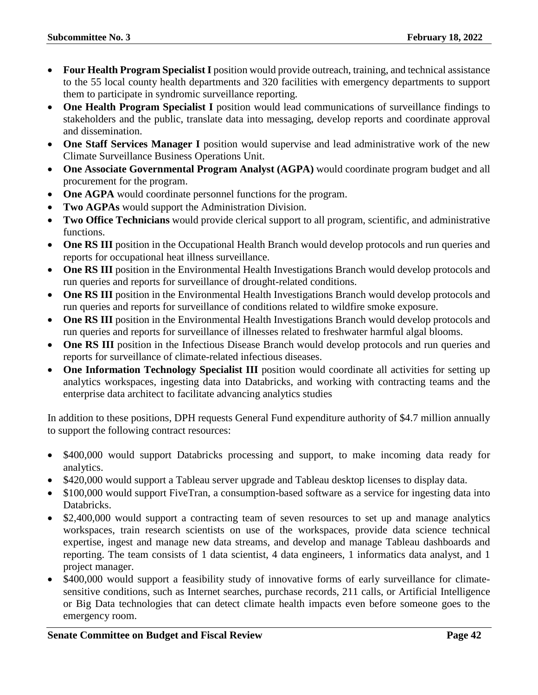- **Four Health Program Specialist I** position would provide outreach, training, and technical assistance to the 55 local county health departments and 320 facilities with emergency departments to support them to participate in syndromic surveillance reporting.
- **One Health Program Specialist I** position would lead communications of surveillance findings to stakeholders and the public, translate data into messaging, develop reports and coordinate approval and dissemination.
- **One Staff Services Manager I** position would supervise and lead administrative work of the new Climate Surveillance Business Operations Unit.
- **One Associate Governmental Program Analyst (AGPA)** would coordinate program budget and all procurement for the program.
- **One AGPA** would coordinate personnel functions for the program.
- **Two AGPAs** would support the Administration Division.
- **Two Office Technicians** would provide clerical support to all program, scientific, and administrative functions.
- **One RS III** position in the Occupational Health Branch would develop protocols and run queries and reports for occupational heat illness surveillance.
- **One RS III** position in the Environmental Health Investigations Branch would develop protocols and run queries and reports for surveillance of drought-related conditions.
- **One RS III** position in the Environmental Health Investigations Branch would develop protocols and run queries and reports for surveillance of conditions related to wildfire smoke exposure.
- **One RS III** position in the Environmental Health Investigations Branch would develop protocols and run queries and reports for surveillance of illnesses related to freshwater harmful algal blooms.
- **One RS III** position in the Infectious Disease Branch would develop protocols and run queries and reports for surveillance of climate-related infectious diseases.
- **One Information Technology Specialist III** position would coordinate all activities for setting up analytics workspaces, ingesting data into Databricks, and working with contracting teams and the enterprise data architect to facilitate advancing analytics studies

In addition to these positions, DPH requests General Fund expenditure authority of \$4.7 million annually to support the following contract resources:

- \$400,000 would support Databricks processing and support, to make incoming data ready for analytics.
- \$420,000 would support a Tableau server upgrade and Tableau desktop licenses to display data.
- \$100,000 would support FiveTran, a consumption-based software as a service for ingesting data into Databricks.
- \$2,400,000 would support a contracting team of seven resources to set up and manage analytics workspaces, train research scientists on use of the workspaces, provide data science technical expertise, ingest and manage new data streams, and develop and manage Tableau dashboards and reporting. The team consists of 1 data scientist, 4 data engineers, 1 informatics data analyst, and 1 project manager.
- \$400,000 would support a feasibility study of innovative forms of early surveillance for climatesensitive conditions, such as Internet searches, purchase records, 211 calls, or Artificial Intelligence or Big Data technologies that can detect climate health impacts even before someone goes to the emergency room.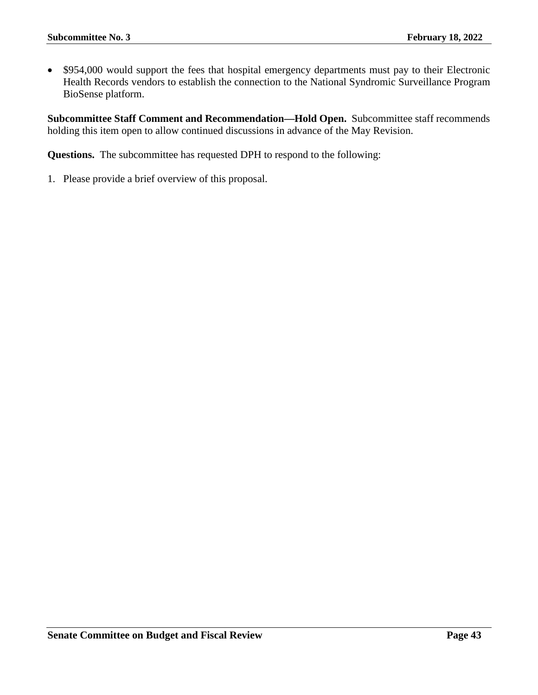• \$954,000 would support the fees that hospital emergency departments must pay to their Electronic Health Records vendors to establish the connection to the National Syndromic Surveillance Program BioSense platform.

**Subcommittee Staff Comment and Recommendation—Hold Open.** Subcommittee staff recommends holding this item open to allow continued discussions in advance of the May Revision.

**Questions.** The subcommittee has requested DPH to respond to the following: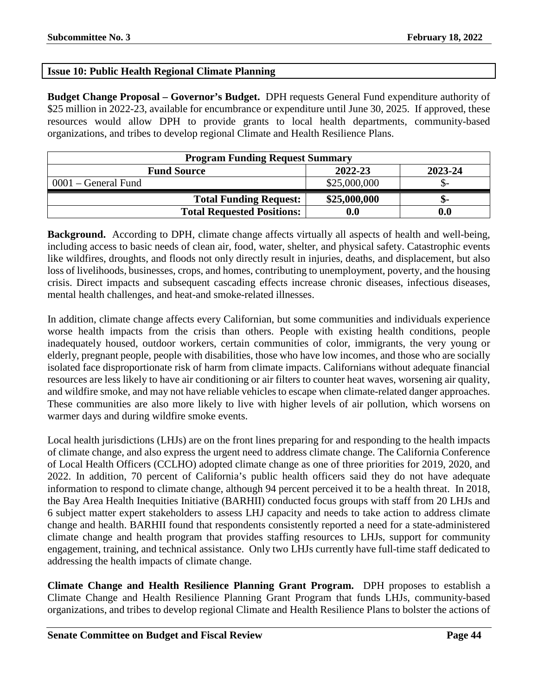# **Issue 10: Public Health Regional Climate Planning**

**Budget Change Proposal – Governor's Budget.** DPH requests General Fund expenditure authority of \$25 million in 2022-23, available for encumbrance or expenditure until June 30, 2025. If approved, these resources would allow DPH to provide grants to local health departments, community-based organizations, and tribes to develop regional Climate and Health Resilience Plans.

| <b>Program Funding Request Summary</b>   |                    |                    |  |  |
|------------------------------------------|--------------------|--------------------|--|--|
| 2022-23<br>2023-24<br><b>Fund Source</b> |                    |                    |  |  |
| $0001$ – General Fund                    | \$25,000,000       |                    |  |  |
| <b>Total Funding Request:</b>            | \$25,000,000       | ת-                 |  |  |
| <b>Total Requested Positions:</b>        | $\boldsymbol{0.0}$ | $\boldsymbol{0.0}$ |  |  |

**Background.** According to DPH, climate change affects virtually all aspects of health and well-being, including access to basic needs of clean air, food, water, shelter, and physical safety. Catastrophic events like wildfires, droughts, and floods not only directly result in injuries, deaths, and displacement, but also loss of livelihoods, businesses, crops, and homes, contributing to unemployment, poverty, and the housing crisis. Direct impacts and subsequent cascading effects increase chronic diseases, infectious diseases, mental health challenges, and heat-and smoke-related illnesses.

In addition, climate change affects every Californian, but some communities and individuals experience worse health impacts from the crisis than others. People with existing health conditions, people inadequately housed, outdoor workers, certain communities of color, immigrants, the very young or elderly, pregnant people, people with disabilities, those who have low incomes, and those who are socially isolated face disproportionate risk of harm from climate impacts. Californians without adequate financial resources are less likely to have air conditioning or air filters to counter heat waves, worsening air quality, and wildfire smoke, and may not have reliable vehicles to escape when climate-related danger approaches. These communities are also more likely to live with higher levels of air pollution, which worsens on warmer days and during wildfire smoke events.

Local health jurisdictions (LHJs) are on the front lines preparing for and responding to the health impacts of climate change, and also express the urgent need to address climate change. The California Conference of Local Health Officers (CCLHO) adopted climate change as one of three priorities for 2019, 2020, and 2022. In addition, 70 percent of California's public health officers said they do not have adequate information to respond to climate change, although 94 percent perceived it to be a health threat. In 2018, the Bay Area Health Inequities Initiative (BARHII) conducted focus groups with staff from 20 LHJs and 6 subject matter expert stakeholders to assess LHJ capacity and needs to take action to address climate change and health. BARHII found that respondents consistently reported a need for a state-administered climate change and health program that provides staffing resources to LHJs, support for community engagement, training, and technical assistance. Only two LHJs currently have full-time staff dedicated to addressing the health impacts of climate change.

**Climate Change and Health Resilience Planning Grant Program.** DPH proposes to establish a Climate Change and Health Resilience Planning Grant Program that funds LHJs, community-based organizations, and tribes to develop regional Climate and Health Resilience Plans to bolster the actions of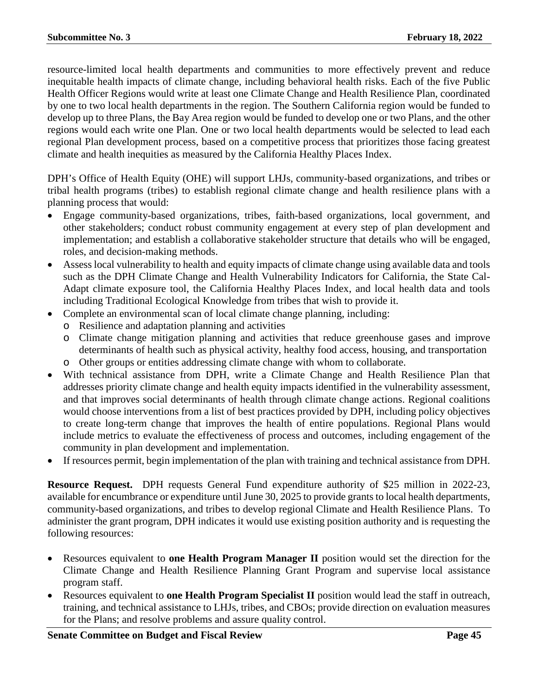resource-limited local health departments and communities to more effectively prevent and reduce inequitable health impacts of climate change, including behavioral health risks. Each of the five Public Health Officer Regions would write at least one Climate Change and Health Resilience Plan, coordinated by one to two local health departments in the region. The Southern California region would be funded to develop up to three Plans, the Bay Area region would be funded to develop one or two Plans, and the other regions would each write one Plan. One or two local health departments would be selected to lead each regional Plan development process, based on a competitive process that prioritizes those facing greatest climate and health inequities as measured by the California Healthy Places Index.

DPH's Office of Health Equity (OHE) will support LHJs, community-based organizations, and tribes or tribal health programs (tribes) to establish regional climate change and health resilience plans with a planning process that would:

- Engage community-based organizations, tribes, faith-based organizations, local government, and other stakeholders; conduct robust community engagement at every step of plan development and implementation; and establish a collaborative stakeholder structure that details who will be engaged, roles, and decision-making methods.
- Assess local vulnerability to health and equity impacts of climate change using available data and tools such as the DPH Climate Change and Health Vulnerability Indicators for California, the State Cal-Adapt climate exposure tool, the California Healthy Places Index, and local health data and tools including Traditional Ecological Knowledge from tribes that wish to provide it.
- Complete an environmental scan of local climate change planning, including:
	- o Resilience and adaptation planning and activities
	- o Climate change mitigation planning and activities that reduce greenhouse gases and improve determinants of health such as physical activity, healthy food access, housing, and transportation o Other groups or entities addressing climate change with whom to collaborate.
- With technical assistance from DPH, write a Climate Change and Health Resilience Plan that addresses priority climate change and health equity impacts identified in the vulnerability assessment, and that improves social determinants of health through climate change actions. Regional coalitions would choose interventions from a list of best practices provided by DPH, including policy objectives to create long-term change that improves the health of entire populations. Regional Plans would include metrics to evaluate the effectiveness of process and outcomes, including engagement of the community in plan development and implementation.
- If resources permit, begin implementation of the plan with training and technical assistance from DPH.

**Resource Request.** DPH requests General Fund expenditure authority of \$25 million in 2022-23, available for encumbrance or expenditure until June 30, 2025 to provide grants to local health departments, community-based organizations, and tribes to develop regional Climate and Health Resilience Plans. To administer the grant program, DPH indicates it would use existing position authority and is requesting the following resources:

- Resources equivalent to **one Health Program Manager II** position would set the direction for the Climate Change and Health Resilience Planning Grant Program and supervise local assistance program staff.
- Resources equivalent to **one Health Program Specialist II** position would lead the staff in outreach, training, and technical assistance to LHJs, tribes, and CBOs; provide direction on evaluation measures for the Plans; and resolve problems and assure quality control.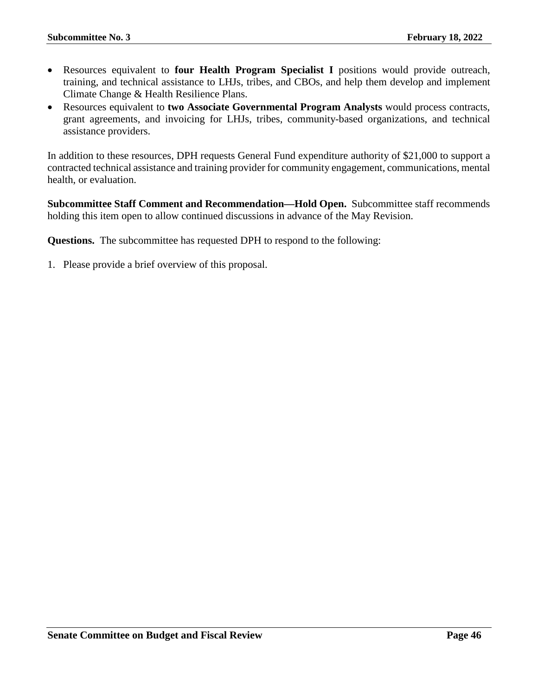- Resources equivalent to **four Health Program Specialist I** positions would provide outreach, training, and technical assistance to LHJs, tribes, and CBOs, and help them develop and implement Climate Change & Health Resilience Plans.
- Resources equivalent to **two Associate Governmental Program Analysts** would process contracts, grant agreements, and invoicing for LHJs, tribes, community-based organizations, and technical assistance providers.

In addition to these resources, DPH requests General Fund expenditure authority of \$21,000 to support a contracted technical assistance and training provider for community engagement, communications, mental health, or evaluation.

**Subcommittee Staff Comment and Recommendation—Hold Open.** Subcommittee staff recommends holding this item open to allow continued discussions in advance of the May Revision.

**Questions.** The subcommittee has requested DPH to respond to the following: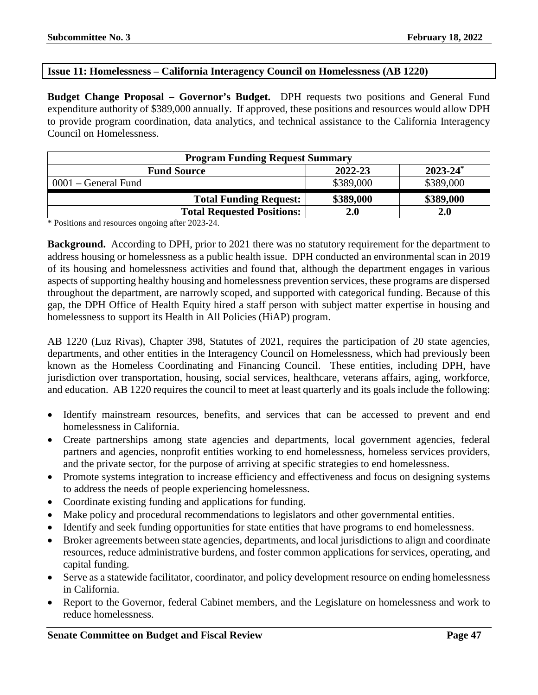### **Issue 11: Homelessness – California Interagency Council on Homelessness (AB 1220)**

**Budget Change Proposal – Governor's Budget.** DPH requests two positions and General Fund expenditure authority of \$389,000 annually. If approved, these positions and resources would allow DPH to provide program coordination, data analytics, and technical assistance to the California Interagency Council on Homelessness.

| <b>Program Funding Request Summary</b>                    |           |            |  |  |
|-----------------------------------------------------------|-----------|------------|--|--|
| $2023 - 24$ <sup>*</sup><br>2022-23<br><b>Fund Source</b> |           |            |  |  |
| $0001$ – General Fund                                     | \$389,000 | \$389,000  |  |  |
| <b>Total Funding Request:</b>                             | \$389,000 | \$389,000  |  |  |
| <b>Total Requested Positions:</b>                         | 2.0       | <b>2.0</b> |  |  |

\* Positions and resources ongoing after 2023-24.

**Background.** According to DPH, prior to 2021 there was no statutory requirement for the department to address housing or homelessness as a public health issue. DPH conducted an environmental scan in 2019 of its housing and homelessness activities and found that, although the department engages in various aspects of supporting healthy housing and homelessness prevention services, these programs are dispersed throughout the department, are narrowly scoped, and supported with categorical funding. Because of this gap, the DPH Office of Health Equity hired a staff person with subject matter expertise in housing and homelessness to support its Health in All Policies (HiAP) program.

AB 1220 (Luz Rivas), Chapter 398, Statutes of 2021, requires the participation of 20 state agencies, departments, and other entities in the Interagency Council on Homelessness, which had previously been known as the Homeless Coordinating and Financing Council. These entities, including DPH, have jurisdiction over transportation, housing, social services, healthcare, veterans affairs, aging, workforce, and education. AB 1220 requires the council to meet at least quarterly and its goals include the following:

- Identify mainstream resources, benefits, and services that can be accessed to prevent and end homelessness in California.
- Create partnerships among state agencies and departments, local government agencies, federal partners and agencies, nonprofit entities working to end homelessness, homeless services providers, and the private sector, for the purpose of arriving at specific strategies to end homelessness.
- Promote systems integration to increase efficiency and effectiveness and focus on designing systems to address the needs of people experiencing homelessness.
- Coordinate existing funding and applications for funding.
- Make policy and procedural recommendations to legislators and other governmental entities.
- Identify and seek funding opportunities for state entities that have programs to end homelessness.
- Broker agreements between state agencies, departments, and local jurisdictions to align and coordinate resources, reduce administrative burdens, and foster common applications for services, operating, and capital funding.
- Serve as a statewide facilitator, coordinator, and policy development resource on ending homelessness in California.
- Report to the Governor, federal Cabinet members, and the Legislature on homelessness and work to reduce homelessness.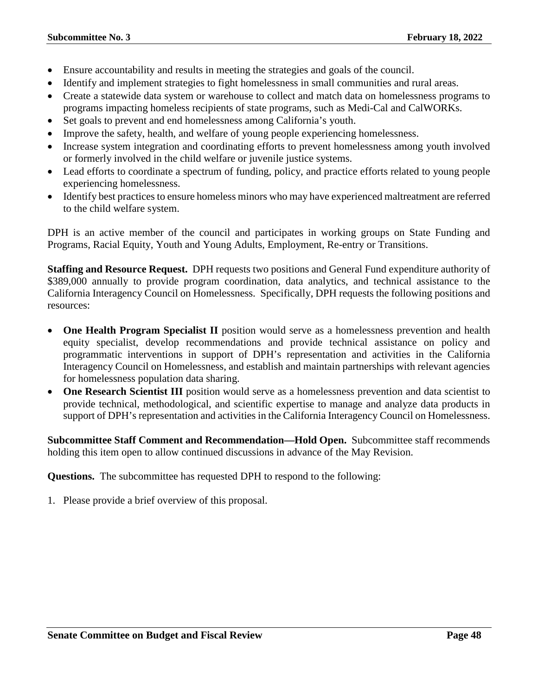- Ensure accountability and results in meeting the strategies and goals of the council.
- Identify and implement strategies to fight homelessness in small communities and rural areas.
- Create a statewide data system or warehouse to collect and match data on homelessness programs to programs impacting homeless recipients of state programs, such as Medi-Cal and CalWORKs.
- Set goals to prevent and end homelessness among California's youth.
- Improve the safety, health, and welfare of young people experiencing homelessness.
- Increase system integration and coordinating efforts to prevent homelessness among youth involved or formerly involved in the child welfare or juvenile justice systems.
- Lead efforts to coordinate a spectrum of funding, policy, and practice efforts related to young people experiencing homelessness.
- Identify best practices to ensure homeless minors who may have experienced maltreatment are referred to the child welfare system.

DPH is an active member of the council and participates in working groups on State Funding and Programs, Racial Equity, Youth and Young Adults, Employment, Re-entry or Transitions.

**Staffing and Resource Request.** DPH requests two positions and General Fund expenditure authority of \$389,000 annually to provide program coordination, data analytics, and technical assistance to the California Interagency Council on Homelessness. Specifically, DPH requests the following positions and resources:

- **One Health Program Specialist II** position would serve as a homelessness prevention and health equity specialist, develop recommendations and provide technical assistance on policy and programmatic interventions in support of DPH's representation and activities in the California Interagency Council on Homelessness, and establish and maintain partnerships with relevant agencies for homelessness population data sharing.
- **One Research Scientist III** position would serve as a homelessness prevention and data scientist to provide technical, methodological, and scientific expertise to manage and analyze data products in support of DPH's representation and activities in the California Interagency Council on Homelessness.

**Subcommittee Staff Comment and Recommendation—Hold Open.** Subcommittee staff recommends holding this item open to allow continued discussions in advance of the May Revision.

**Questions.** The subcommittee has requested DPH to respond to the following: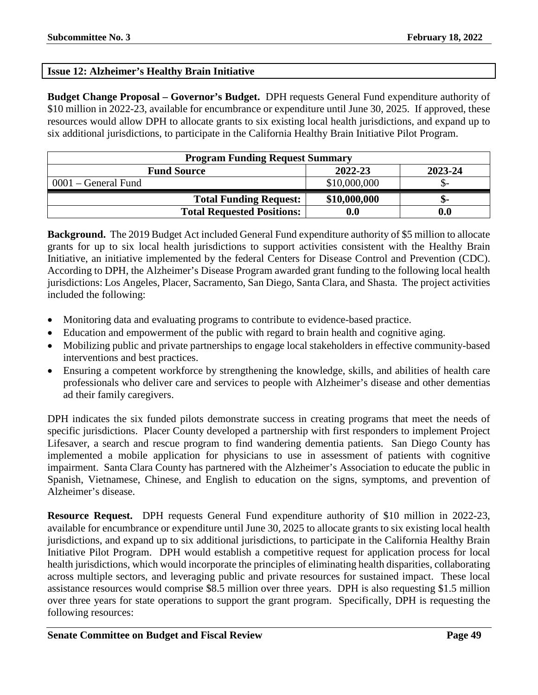# **Issue 12: Alzheimer's Healthy Brain Initiative**

**Budget Change Proposal – Governor's Budget.** DPH requests General Fund expenditure authority of \$10 million in 2022-23, available for encumbrance or expenditure until June 30, 2025. If approved, these resources would allow DPH to allocate grants to six existing local health jurisdictions, and expand up to six additional jurisdictions, to participate in the California Healthy Brain Initiative Pilot Program.

| <b>Program Funding Request Summary</b>   |                    |     |  |  |
|------------------------------------------|--------------------|-----|--|--|
| 2022-23<br>2023-24<br><b>Fund Source</b> |                    |     |  |  |
| $0001$ – General Fund                    | \$10,000,000       |     |  |  |
| <b>Total Funding Request:</b>            | \$10,000,000       | ת-  |  |  |
| <b>Total Requested Positions:</b>        | $\boldsymbol{0.0}$ | 0.0 |  |  |

**Background.** The 2019 Budget Act included General Fund expenditure authority of \$5 million to allocate grants for up to six local health jurisdictions to support activities consistent with the Healthy Brain Initiative, an initiative implemented by the federal Centers for Disease Control and Prevention (CDC). According to DPH, the Alzheimer's Disease Program awarded grant funding to the following local health jurisdictions: Los Angeles, Placer, Sacramento, San Diego, Santa Clara, and Shasta. The project activities included the following:

- Monitoring data and evaluating programs to contribute to evidence-based practice.
- Education and empowerment of the public with regard to brain health and cognitive aging.
- Mobilizing public and private partnerships to engage local stakeholders in effective community-based interventions and best practices.
- Ensuring a competent workforce by strengthening the knowledge, skills, and abilities of health care professionals who deliver care and services to people with Alzheimer's disease and other dementias ad their family caregivers.

DPH indicates the six funded pilots demonstrate success in creating programs that meet the needs of specific jurisdictions. Placer County developed a partnership with first responders to implement Project Lifesaver, a search and rescue program to find wandering dementia patients. San Diego County has implemented a mobile application for physicians to use in assessment of patients with cognitive impairment. Santa Clara County has partnered with the Alzheimer's Association to educate the public in Spanish, Vietnamese, Chinese, and English to education on the signs, symptoms, and prevention of Alzheimer's disease.

**Resource Request.** DPH requests General Fund expenditure authority of \$10 million in 2022-23, available for encumbrance or expenditure until June 30, 2025 to allocate grants to six existing local health jurisdictions, and expand up to six additional jurisdictions, to participate in the California Healthy Brain Initiative Pilot Program. DPH would establish a competitive request for application process for local health jurisdictions, which would incorporate the principles of eliminating health disparities, collaborating across multiple sectors, and leveraging public and private resources for sustained impact. These local assistance resources would comprise \$8.5 million over three years. DPH is also requesting \$1.5 million over three years for state operations to support the grant program. Specifically, DPH is requesting the following resources: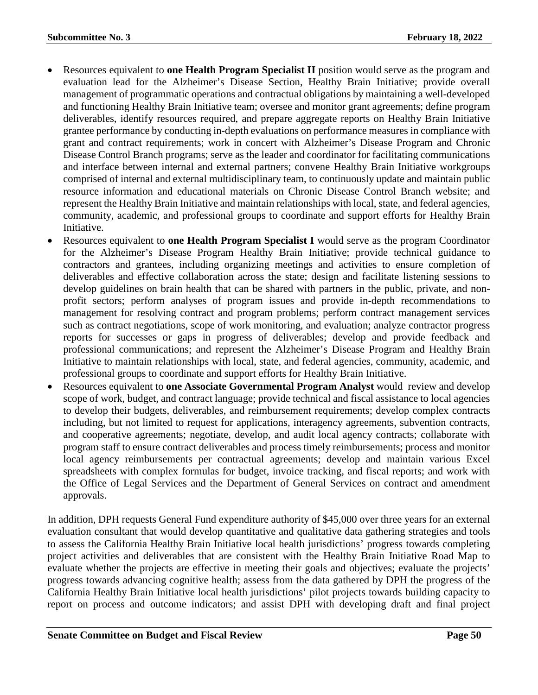- Resources equivalent to **one Health Program Specialist II** position would serve as the program and evaluation lead for the Alzheimer's Disease Section, Healthy Brain Initiative; provide overall management of programmatic operations and contractual obligations by maintaining a well-developed and functioning Healthy Brain Initiative team; oversee and monitor grant agreements; define program deliverables, identify resources required, and prepare aggregate reports on Healthy Brain Initiative grantee performance by conducting in-depth evaluations on performance measures in compliance with grant and contract requirements; work in concert with Alzheimer's Disease Program and Chronic Disease Control Branch programs; serve as the leader and coordinator for facilitating communications and interface between internal and external partners; convene Healthy Brain Initiative workgroups comprised of internal and external multidisciplinary team, to continuously update and maintain public resource information and educational materials on Chronic Disease Control Branch website; and represent the Healthy Brain Initiative and maintain relationships with local, state, and federal agencies, community, academic, and professional groups to coordinate and support efforts for Healthy Brain Initiative.
- Resources equivalent to **one Health Program Specialist I** would serve as the program Coordinator for the Alzheimer's Disease Program Healthy Brain Initiative; provide technical guidance to contractors and grantees, including organizing meetings and activities to ensure completion of deliverables and effective collaboration across the state; design and facilitate listening sessions to develop guidelines on brain health that can be shared with partners in the public, private, and nonprofit sectors; perform analyses of program issues and provide in-depth recommendations to management for resolving contract and program problems; perform contract management services such as contract negotiations, scope of work monitoring, and evaluation; analyze contractor progress reports for successes or gaps in progress of deliverables; develop and provide feedback and professional communications; and represent the Alzheimer's Disease Program and Healthy Brain Initiative to maintain relationships with local, state, and federal agencies, community, academic, and professional groups to coordinate and support efforts for Healthy Brain Initiative.
- Resources equivalent to **one Associate Governmental Program Analyst** would review and develop scope of work, budget, and contract language; provide technical and fiscal assistance to local agencies to develop their budgets, deliverables, and reimbursement requirements; develop complex contracts including, but not limited to request for applications, interagency agreements, subvention contracts, and cooperative agreements; negotiate, develop, and audit local agency contracts; collaborate with program staff to ensure contract deliverables and process timely reimbursements; process and monitor local agency reimbursements per contractual agreements; develop and maintain various Excel spreadsheets with complex formulas for budget, invoice tracking, and fiscal reports; and work with the Office of Legal Services and the Department of General Services on contract and amendment approvals.

In addition, DPH requests General Fund expenditure authority of \$45,000 over three years for an external evaluation consultant that would develop quantitative and qualitative data gathering strategies and tools to assess the California Healthy Brain Initiative local health jurisdictions' progress towards completing project activities and deliverables that are consistent with the Healthy Brain Initiative Road Map to evaluate whether the projects are effective in meeting their goals and objectives; evaluate the projects' progress towards advancing cognitive health; assess from the data gathered by DPH the progress of the California Healthy Brain Initiative local health jurisdictions' pilot projects towards building capacity to report on process and outcome indicators; and assist DPH with developing draft and final project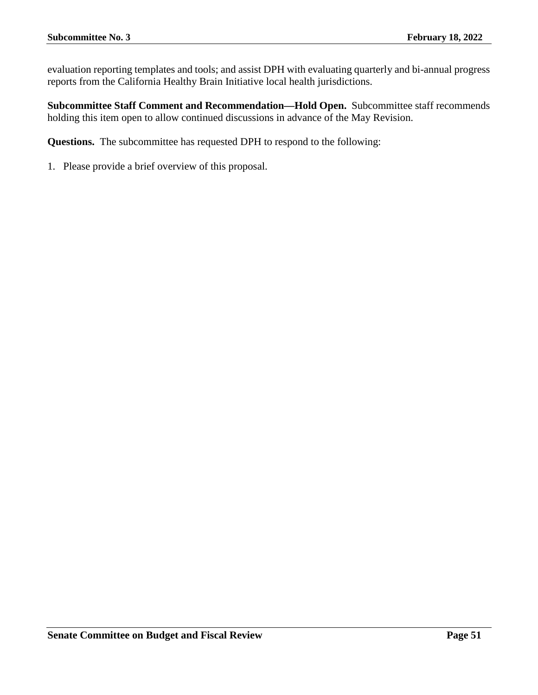evaluation reporting templates and tools; and assist DPH with evaluating quarterly and bi-annual progress reports from the California Healthy Brain Initiative local health jurisdictions.

**Subcommittee Staff Comment and Recommendation—Hold Open.** Subcommittee staff recommends holding this item open to allow continued discussions in advance of the May Revision.

**Questions.** The subcommittee has requested DPH to respond to the following: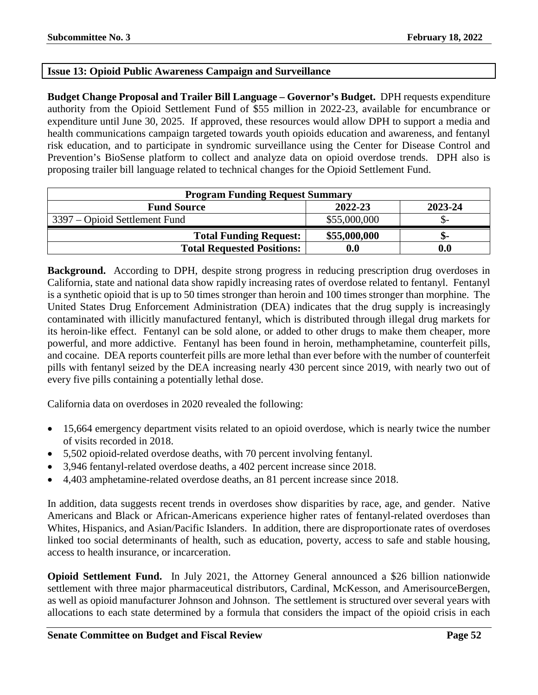# **Issue 13: Opioid Public Awareness Campaign and Surveillance**

**Budget Change Proposal and Trailer Bill Language – Governor's Budget.** DPH requests expenditure authority from the Opioid Settlement Fund of \$55 million in 2022-23, available for encumbrance or expenditure until June 30, 2025. If approved, these resources would allow DPH to support a media and health communications campaign targeted towards youth opioids education and awareness, and fentanyl risk education, and to participate in syndromic surveillance using the Center for Disease Control and Prevention's BioSense platform to collect and analyze data on opioid overdose trends. DPH also is proposing trailer bill language related to technical changes for the Opioid Settlement Fund.

| <b>Program Funding Request Summary</b> |                    |         |
|----------------------------------------|--------------------|---------|
| <b>Fund Source</b>                     | 2022-23            | 2023-24 |
| 3397 – Opioid Settlement Fund          | \$55,000,000       |         |
| <b>Total Funding Request:</b>          | \$55,000,000       | ה -     |
| <b>Total Requested Positions:</b>      | $\boldsymbol{0.0}$ | 0.0     |

**Background.** According to DPH, despite strong progress in reducing prescription drug overdoses in California, state and national data show rapidly increasing rates of overdose related to fentanyl. Fentanyl is a synthetic opioid that is up to 50 times stronger than heroin and 100 times stronger than morphine. The United States Drug Enforcement Administration (DEA) indicates that the drug supply is increasingly contaminated with illicitly manufactured fentanyl, which is distributed through illegal drug markets for its heroin-like effect. Fentanyl can be sold alone, or added to other drugs to make them cheaper, more powerful, and more addictive. Fentanyl has been found in heroin, methamphetamine, counterfeit pills, and cocaine. DEA reports counterfeit pills are more lethal than ever before with the number of counterfeit pills with fentanyl seized by the DEA increasing nearly 430 percent since 2019, with nearly two out of every five pills containing a potentially lethal dose.

California data on overdoses in 2020 revealed the following:

- 15,664 emergency department visits related to an opioid overdose, which is nearly twice the number of visits recorded in 2018.
- 5,502 opioid-related overdose deaths, with 70 percent involving fentanyl.
- 3,946 fentanyl-related overdose deaths, a 402 percent increase since 2018.
- 4,403 amphetamine-related overdose deaths, an 81 percent increase since 2018.

In addition, data suggests recent trends in overdoses show disparities by race, age, and gender. Native Americans and Black or African-Americans experience higher rates of fentanyl-related overdoses than Whites, Hispanics, and Asian/Pacific Islanders. In addition, there are disproportionate rates of overdoses linked too social determinants of health, such as education, poverty, access to safe and stable housing, access to health insurance, or incarceration.

**Opioid Settlement Fund.** In July 2021, the Attorney General announced a \$26 billion nationwide settlement with three major pharmaceutical distributors, Cardinal, McKesson, and AmerisourceBergen, as well as opioid manufacturer Johnson and Johnson. The settlement is structured over several years with allocations to each state determined by a formula that considers the impact of the opioid crisis in each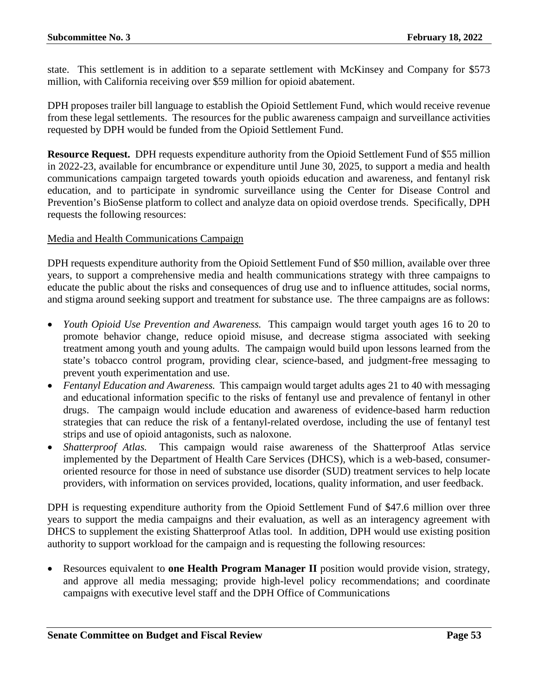state. This settlement is in addition to a separate settlement with McKinsey and Company for \$573 million, with California receiving over \$59 million for opioid abatement.

DPH proposes trailer bill language to establish the Opioid Settlement Fund, which would receive revenue from these legal settlements. The resources for the public awareness campaign and surveillance activities requested by DPH would be funded from the Opioid Settlement Fund.

**Resource Request.** DPH requests expenditure authority from the Opioid Settlement Fund of \$55 million in 2022-23, available for encumbrance or expenditure until June 30, 2025, to support a media and health communications campaign targeted towards youth opioids education and awareness, and fentanyl risk education, and to participate in syndromic surveillance using the Center for Disease Control and Prevention's BioSense platform to collect and analyze data on opioid overdose trends. Specifically, DPH requests the following resources:

## Media and Health Communications Campaign

DPH requests expenditure authority from the Opioid Settlement Fund of \$50 million, available over three years, to support a comprehensive media and health communications strategy with three campaigns to educate the public about the risks and consequences of drug use and to influence attitudes, social norms, and stigma around seeking support and treatment for substance use. The three campaigns are as follows:

- *Youth Opioid Use Prevention and Awareness.* This campaign would target youth ages 16 to 20 to promote behavior change, reduce opioid misuse, and decrease stigma associated with seeking treatment among youth and young adults. The campaign would build upon lessons learned from the state's tobacco control program, providing clear, science-based, and judgment-free messaging to prevent youth experimentation and use.
- *Fentanyl Education and Awareness.* This campaign would target adults ages 21 to 40 with messaging and educational information specific to the risks of fentanyl use and prevalence of fentanyl in other drugs. The campaign would include education and awareness of evidence-based harm reduction strategies that can reduce the risk of a fentanyl-related overdose, including the use of fentanyl test strips and use of opioid antagonists, such as naloxone.
- *Shatterproof Atlas.* This campaign would raise awareness of the Shatterproof Atlas service implemented by the Department of Health Care Services (DHCS), which is a web-based, consumeroriented resource for those in need of substance use disorder (SUD) treatment services to help locate providers, with information on services provided, locations, quality information, and user feedback.

DPH is requesting expenditure authority from the Opioid Settlement Fund of \$47.6 million over three years to support the media campaigns and their evaluation, as well as an interagency agreement with DHCS to supplement the existing Shatterproof Atlas tool. In addition, DPH would use existing position authority to support workload for the campaign and is requesting the following resources:

• Resources equivalent to **one Health Program Manager II** position would provide vision, strategy, and approve all media messaging; provide high-level policy recommendations; and coordinate campaigns with executive level staff and the DPH Office of Communications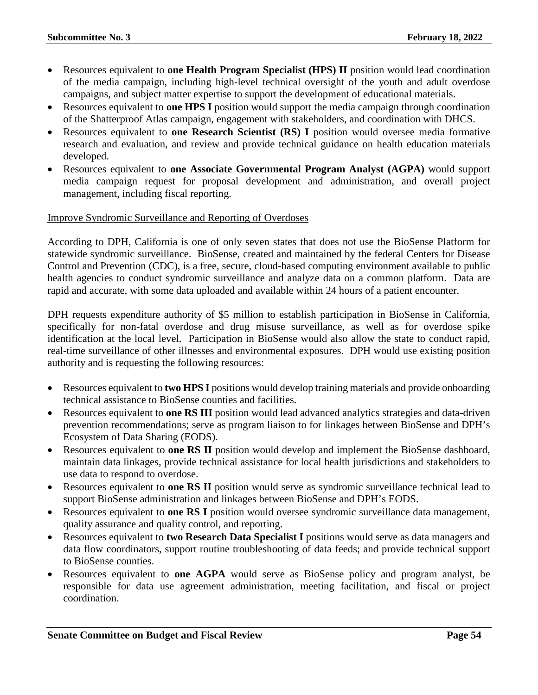- Resources equivalent to **one Health Program Specialist (HPS) II** position would lead coordination of the media campaign, including high-level technical oversight of the youth and adult overdose campaigns, and subject matter expertise to support the development of educational materials.
- Resources equivalent to **one HPS I** position would support the media campaign through coordination of the Shatterproof Atlas campaign, engagement with stakeholders, and coordination with DHCS.
- Resources equivalent to **one Research Scientist (RS) I** position would oversee media formative research and evaluation, and review and provide technical guidance on health education materials developed.
- Resources equivalent to **one Associate Governmental Program Analyst (AGPA)** would support media campaign request for proposal development and administration, and overall project management, including fiscal reporting.

#### Improve Syndromic Surveillance and Reporting of Overdoses

According to DPH, California is one of only seven states that does not use the BioSense Platform for statewide syndromic surveillance. BioSense, created and maintained by the federal Centers for Disease Control and Prevention (CDC), is a free, secure, cloud-based computing environment available to public health agencies to conduct syndromic surveillance and analyze data on a common platform. Data are rapid and accurate, with some data uploaded and available within 24 hours of a patient encounter.

DPH requests expenditure authority of \$5 million to establish participation in BioSense in California, specifically for non-fatal overdose and drug misuse surveillance, as well as for overdose spike identification at the local level. Participation in BioSense would also allow the state to conduct rapid, real-time surveillance of other illnesses and environmental exposures. DPH would use existing position authority and is requesting the following resources:

- Resources equivalent to **two HPS I** positions would develop training materials and provide onboarding technical assistance to BioSense counties and facilities.
- Resources equivalent to **one RS III** position would lead advanced analytics strategies and data-driven prevention recommendations; serve as program liaison to for linkages between BioSense and DPH's Ecosystem of Data Sharing (EODS).
- Resources equivalent to **one RS II** position would develop and implement the BioSense dashboard, maintain data linkages, provide technical assistance for local health jurisdictions and stakeholders to use data to respond to overdose.
- Resources equivalent to **one RS II** position would serve as syndromic surveillance technical lead to support BioSense administration and linkages between BioSense and DPH's EODS.
- Resources equivalent to **one RS I** position would oversee syndromic surveillance data management, quality assurance and quality control, and reporting.
- Resources equivalent to **two Research Data Specialist I** positions would serve as data managers and data flow coordinators, support routine troubleshooting of data feeds; and provide technical support to BioSense counties.
- Resources equivalent to **one AGPA** would serve as BioSense policy and program analyst, be responsible for data use agreement administration, meeting facilitation, and fiscal or project coordination.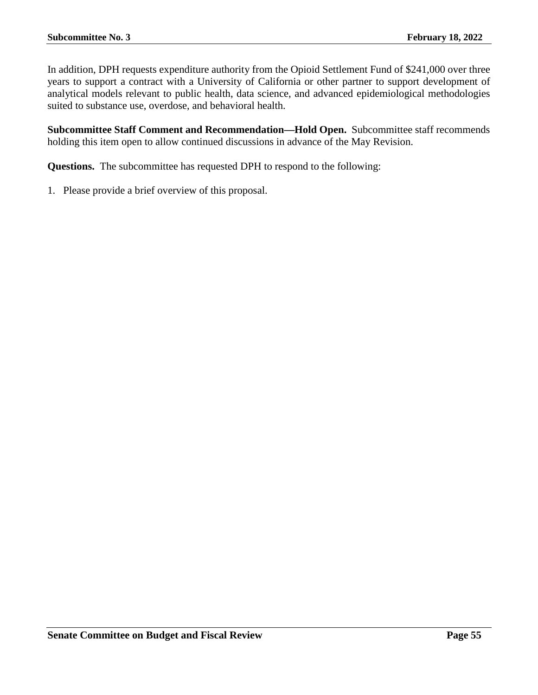In addition, DPH requests expenditure authority from the Opioid Settlement Fund of \$241,000 over three years to support a contract with a University of California or other partner to support development of analytical models relevant to public health, data science, and advanced epidemiological methodologies suited to substance use, overdose, and behavioral health.

**Subcommittee Staff Comment and Recommendation—Hold Open.** Subcommittee staff recommends holding this item open to allow continued discussions in advance of the May Revision.

**Questions.** The subcommittee has requested DPH to respond to the following: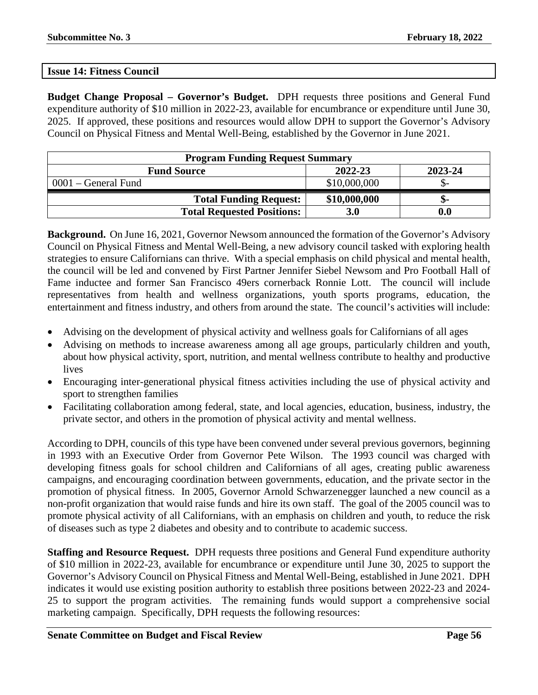#### **Issue 14: Fitness Council**

**Budget Change Proposal – Governor's Budget.** DPH requests three positions and General Fund expenditure authority of \$10 million in 2022-23, available for encumbrance or expenditure until June 30, 2025. If approved, these positions and resources would allow DPH to support the Governor's Advisory Council on Physical Fitness and Mental Well-Being, established by the Governor in June 2021.

| <b>Program Funding Request Summary</b>   |              |                    |  |  |
|------------------------------------------|--------------|--------------------|--|--|
| 2022-23<br>2023-24<br><b>Fund Source</b> |              |                    |  |  |
| $0001$ – General Fund                    | \$10,000,000 |                    |  |  |
| <b>Total Funding Request:</b>            | \$10,000,000 | ת-                 |  |  |
| <b>Total Requested Positions:</b>        | 3.0          | $\boldsymbol{0.0}$ |  |  |

**Background.** On June 16, 2021, Governor Newsom announced the formation of the Governor's Advisory Council on Physical Fitness and Mental Well-Being, a new advisory council tasked with exploring health strategies to ensure Californians can thrive. With a special emphasis on child physical and mental health, the council will be led and convened by First Partner Jennifer Siebel Newsom and Pro Football Hall of Fame inductee and former San Francisco 49ers cornerback Ronnie Lott. The council will include representatives from health and wellness organizations, youth sports programs, education, the entertainment and fitness industry, and others from around the state. The council's activities will include:

- Advising on the development of physical activity and wellness goals for Californians of all ages
- Advising on methods to increase awareness among all age groups, particularly children and youth, about how physical activity, sport, nutrition, and mental wellness contribute to healthy and productive lives
- Encouraging inter-generational physical fitness activities including the use of physical activity and sport to strengthen families
- Facilitating collaboration among federal, state, and local agencies, education, business, industry, the private sector, and others in the promotion of physical activity and mental wellness.

According to DPH, councils of this type have been convened under several previous governors, beginning in 1993 with an Executive Order from Governor Pete Wilson. The 1993 council was charged with developing fitness goals for school children and Californians of all ages, creating public awareness campaigns, and encouraging coordination between governments, education, and the private sector in the promotion of physical fitness. In 2005, Governor Arnold Schwarzenegger launched a new council as a non-profit organization that would raise funds and hire its own staff. The goal of the 2005 council was to promote physical activity of all Californians, with an emphasis on children and youth, to reduce the risk of diseases such as type 2 diabetes and obesity and to contribute to academic success.

**Staffing and Resource Request.** DPH requests three positions and General Fund expenditure authority of \$10 million in 2022-23, available for encumbrance or expenditure until June 30, 2025 to support the Governor's Advisory Council on Physical Fitness and Mental Well-Being, established in June 2021. DPH indicates it would use existing position authority to establish three positions between 2022-23 and 2024- 25 to support the program activities. The remaining funds would support a comprehensive social marketing campaign. Specifically, DPH requests the following resources: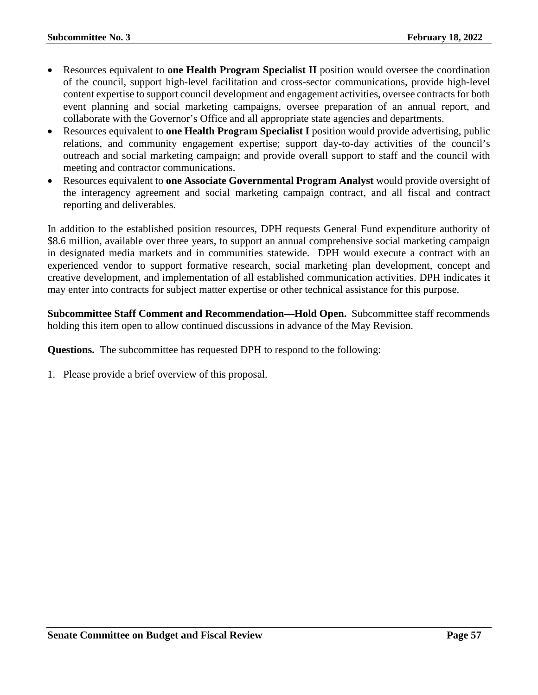- Resources equivalent to **one Health Program Specialist II** position would oversee the coordination of the council, support high-level facilitation and cross-sector communications, provide high-level content expertise to support council development and engagement activities, oversee contracts for both event planning and social marketing campaigns, oversee preparation of an annual report, and collaborate with the Governor's Office and all appropriate state agencies and departments.
- Resources equivalent to **one Health Program Specialist I** position would provide advertising, public relations, and community engagement expertise; support day-to-day activities of the council's outreach and social marketing campaign; and provide overall support to staff and the council with meeting and contractor communications.
- Resources equivalent to **one Associate Governmental Program Analyst** would provide oversight of the interagency agreement and social marketing campaign contract, and all fiscal and contract reporting and deliverables.

In addition to the established position resources, DPH requests General Fund expenditure authority of \$8.6 million, available over three years, to support an annual comprehensive social marketing campaign in designated media markets and in communities statewide. DPH would execute a contract with an experienced vendor to support formative research, social marketing plan development, concept and creative development, and implementation of all established communication activities. DPH indicates it may enter into contracts for subject matter expertise or other technical assistance for this purpose.

**Subcommittee Staff Comment and Recommendation—Hold Open.** Subcommittee staff recommends holding this item open to allow continued discussions in advance of the May Revision.

**Questions.** The subcommittee has requested DPH to respond to the following: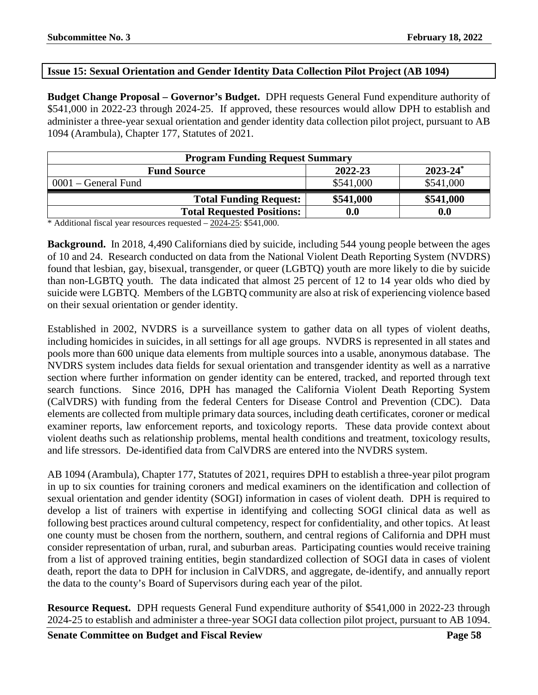# **Issue 15: Sexual Orientation and Gender Identity Data Collection Pilot Project (AB 1094)**

**Budget Change Proposal – Governor's Budget.** DPH requests General Fund expenditure authority of \$541,000 in 2022-23 through 2024-25. If approved, these resources would allow DPH to establish and administer a three-year sexual orientation and gender identity data collection pilot project, pursuant to AB 1094 (Arambula), Chapter 177, Statutes of 2021.

| <b>Program Funding Request Summary</b>                    |                    |                    |  |  |
|-----------------------------------------------------------|--------------------|--------------------|--|--|
| $2023 - 24$ <sup>*</sup><br>2022-23<br><b>Fund Source</b> |                    |                    |  |  |
| $0001$ – General Fund                                     | \$541,000          | \$541,000          |  |  |
| <b>Total Funding Request:</b>                             | \$541,000          | \$541,000          |  |  |
| <b>Total Requested Positions:</b>                         | $\boldsymbol{0.0}$ | $\boldsymbol{0.0}$ |  |  |
| .                                                         |                    |                    |  |  |

\* Additional fiscal year resources requested  $-2024-25$ : \$541,000.

**Background.** In 2018, 4,490 Californians died by suicide, including 544 young people between the ages of 10 and 24. Research conducted on data from the National Violent Death Reporting System (NVDRS) found that lesbian, gay, bisexual, transgender, or queer (LGBTQ) youth are more likely to die by suicide than non-LGBTQ youth. The data indicated that almost 25 percent of 12 to 14 year olds who died by suicide were LGBTQ. Members of the LGBTQ community are also at risk of experiencing violence based on their sexual orientation or gender identity.

Established in 2002, NVDRS is a surveillance system to gather data on all types of violent deaths, including homicides in suicides, in all settings for all age groups. NVDRS is represented in all states and pools more than 600 unique data elements from multiple sources into a usable, anonymous database. The NVDRS system includes data fields for sexual orientation and transgender identity as well as a narrative section where further information on gender identity can be entered, tracked, and reported through text search functions. Since 2016, DPH has managed the California Violent Death Reporting System (CalVDRS) with funding from the federal Centers for Disease Control and Prevention (CDC). Data elements are collected from multiple primary data sources, including death certificates, coroner or medical examiner reports, law enforcement reports, and toxicology reports. These data provide context about violent deaths such as relationship problems, mental health conditions and treatment, toxicology results, and life stressors. De-identified data from CalVDRS are entered into the NVDRS system.

AB 1094 (Arambula), Chapter 177, Statutes of 2021, requires DPH to establish a three-year pilot program in up to six counties for training coroners and medical examiners on the identification and collection of sexual orientation and gender identity (SOGI) information in cases of violent death. DPH is required to develop a list of trainers with expertise in identifying and collecting SOGI clinical data as well as following best practices around cultural competency, respect for confidentiality, and other topics. At least one county must be chosen from the northern, southern, and central regions of California and DPH must consider representation of urban, rural, and suburban areas. Participating counties would receive training from a list of approved training entities, begin standardized collection of SOGI data in cases of violent death, report the data to DPH for inclusion in CalVDRS, and aggregate, de-identify, and annually report the data to the county's Board of Supervisors during each year of the pilot.

**Resource Request.** DPH requests General Fund expenditure authority of \$541,000 in 2022-23 through 2024-25 to establish and administer a three-year SOGI data collection pilot project, pursuant to AB 1094.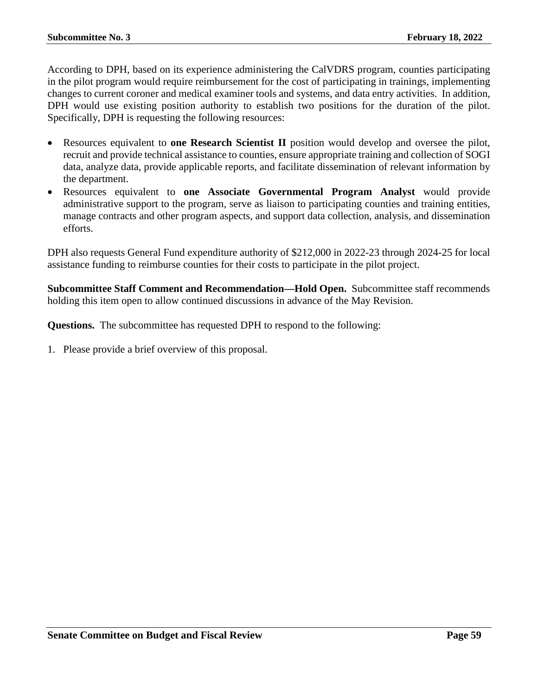According to DPH, based on its experience administering the CalVDRS program, counties participating in the pilot program would require reimbursement for the cost of participating in trainings, implementing changes to current coroner and medical examiner tools and systems, and data entry activities. In addition, DPH would use existing position authority to establish two positions for the duration of the pilot. Specifically, DPH is requesting the following resources:

- Resources equivalent to **one Research Scientist II** position would develop and oversee the pilot, recruit and provide technical assistance to counties, ensure appropriate training and collection of SOGI data, analyze data, provide applicable reports, and facilitate dissemination of relevant information by the department.
- Resources equivalent to **one Associate Governmental Program Analyst** would provide administrative support to the program, serve as liaison to participating counties and training entities, manage contracts and other program aspects, and support data collection, analysis, and dissemination efforts.

DPH also requests General Fund expenditure authority of \$212,000 in 2022-23 through 2024-25 for local assistance funding to reimburse counties for their costs to participate in the pilot project.

**Subcommittee Staff Comment and Recommendation—Hold Open.** Subcommittee staff recommends holding this item open to allow continued discussions in advance of the May Revision.

**Questions.** The subcommittee has requested DPH to respond to the following: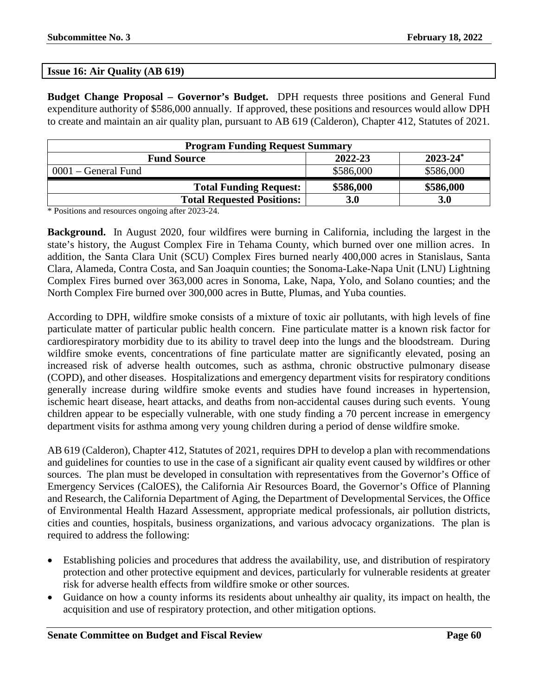### **Issue 16: Air Quality (AB 619)**

**Budget Change Proposal – Governor's Budget.** DPH requests three positions and General Fund expenditure authority of \$586,000 annually. If approved, these positions and resources would allow DPH to create and maintain an air quality plan, pursuant to AB 619 (Calderon), Chapter 412, Statutes of 2021.

| <b>Program Funding Request Summary</b>                    |           |            |  |  |
|-----------------------------------------------------------|-----------|------------|--|--|
| $2023 - 24$ <sup>*</sup><br>2022-23<br><b>Fund Source</b> |           |            |  |  |
| $0001$ – General Fund                                     | \$586,000 | \$586,000  |  |  |
| <b>Total Funding Request:</b>                             | \$586,000 | \$586,000  |  |  |
| <b>Total Requested Positions:</b>                         | 3.0       | <b>3.0</b> |  |  |

\* Positions and resources ongoing after 2023-24.

**Background.** In August 2020, four wildfires were burning in California, including the largest in the state's history, the August Complex Fire in Tehama County, which burned over one million acres. In addition, the Santa Clara Unit (SCU) Complex Fires burned nearly 400,000 acres in Stanislaus, Santa Clara, Alameda, Contra Costa, and San Joaquin counties; the Sonoma-Lake-Napa Unit (LNU) Lightning Complex Fires burned over 363,000 acres in Sonoma, Lake, Napa, Yolo, and Solano counties; and the North Complex Fire burned over 300,000 acres in Butte, Plumas, and Yuba counties.

According to DPH, wildfire smoke consists of a mixture of toxic air pollutants, with high levels of fine particulate matter of particular public health concern. Fine particulate matter is a known risk factor for cardiorespiratory morbidity due to its ability to travel deep into the lungs and the bloodstream. During wildfire smoke events, concentrations of fine particulate matter are significantly elevated, posing an increased risk of adverse health outcomes, such as asthma, chronic obstructive pulmonary disease (COPD), and other diseases. Hospitalizations and emergency department visits for respiratory conditions generally increase during wildfire smoke events and studies have found increases in hypertension, ischemic heart disease, heart attacks, and deaths from non-accidental causes during such events. Young children appear to be especially vulnerable, with one study finding a 70 percent increase in emergency department visits for asthma among very young children during a period of dense wildfire smoke.

AB 619 (Calderon), Chapter 412, Statutes of 2021, requires DPH to develop a plan with recommendations and guidelines for counties to use in the case of a significant air quality event caused by wildfires or other sources. The plan must be developed in consultation with representatives from the Governor's Office of Emergency Services (CalOES), the California Air Resources Board, the Governor's Office of Planning and Research, the California Department of Aging, the Department of Developmental Services, the Office of Environmental Health Hazard Assessment, appropriate medical professionals, air pollution districts, cities and counties, hospitals, business organizations, and various advocacy organizations. The plan is required to address the following:

- Establishing policies and procedures that address the availability, use, and distribution of respiratory protection and other protective equipment and devices, particularly for vulnerable residents at greater risk for adverse health effects from wildfire smoke or other sources.
- Guidance on how a county informs its residents about unhealthy air quality, its impact on health, the acquisition and use of respiratory protection, and other mitigation options.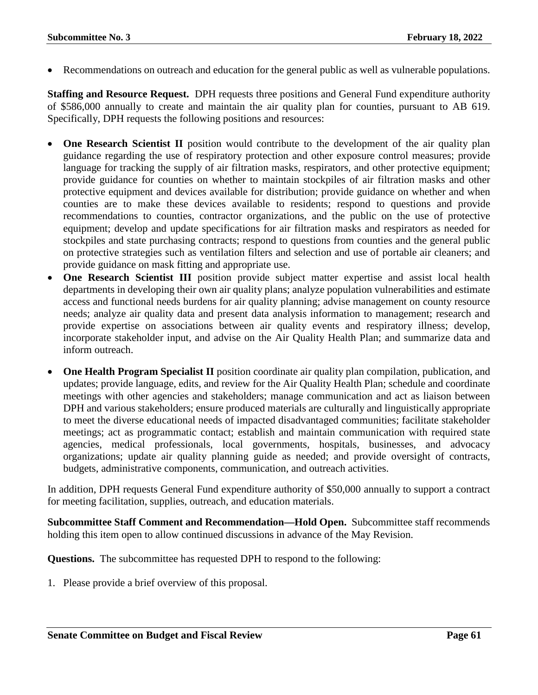Recommendations on outreach and education for the general public as well as vulnerable populations.

**Staffing and Resource Request.** DPH requests three positions and General Fund expenditure authority of \$586,000 annually to create and maintain the air quality plan for counties, pursuant to AB 619. Specifically, DPH requests the following positions and resources:

- **One Research Scientist II** position would contribute to the development of the air quality plan guidance regarding the use of respiratory protection and other exposure control measures; provide language for tracking the supply of air filtration masks, respirators, and other protective equipment; provide guidance for counties on whether to maintain stockpiles of air filtration masks and other protective equipment and devices available for distribution; provide guidance on whether and when counties are to make these devices available to residents; respond to questions and provide recommendations to counties, contractor organizations, and the public on the use of protective equipment; develop and update specifications for air filtration masks and respirators as needed for stockpiles and state purchasing contracts; respond to questions from counties and the general public on protective strategies such as ventilation filters and selection and use of portable air cleaners; and provide guidance on mask fitting and appropriate use.
- **One Research Scientist III** position provide subject matter expertise and assist local health departments in developing their own air quality plans; analyze population vulnerabilities and estimate access and functional needs burdens for air quality planning; advise management on county resource needs; analyze air quality data and present data analysis information to management; research and provide expertise on associations between air quality events and respiratory illness; develop, incorporate stakeholder input, and advise on the Air Quality Health Plan; and summarize data and inform outreach.
- **One Health Program Specialist II** position coordinate air quality plan compilation, publication, and updates; provide language, edits, and review for the Air Quality Health Plan; schedule and coordinate meetings with other agencies and stakeholders; manage communication and act as liaison between DPH and various stakeholders; ensure produced materials are culturally and linguistically appropriate to meet the diverse educational needs of impacted disadvantaged communities; facilitate stakeholder meetings; act as programmatic contact; establish and maintain communication with required state agencies, medical professionals, local governments, hospitals, businesses, and advocacy organizations; update air quality planning guide as needed; and provide oversight of contracts, budgets, administrative components, communication, and outreach activities.

In addition, DPH requests General Fund expenditure authority of \$50,000 annually to support a contract for meeting facilitation, supplies, outreach, and education materials.

**Subcommittee Staff Comment and Recommendation—Hold Open.** Subcommittee staff recommends holding this item open to allow continued discussions in advance of the May Revision.

**Questions.** The subcommittee has requested DPH to respond to the following: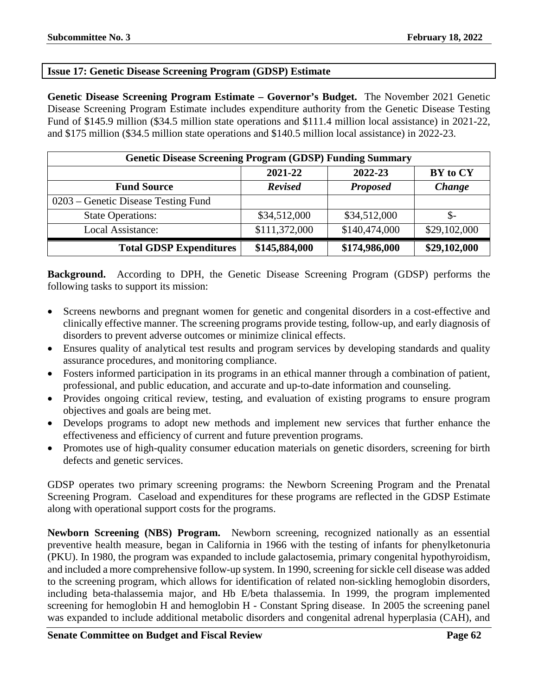## **Issue 17: Genetic Disease Screening Program (GDSP) Estimate**

**Genetic Disease Screening Program Estimate – Governor's Budget.** The November 2021 Genetic Disease Screening Program Estimate includes expenditure authority from the Genetic Disease Testing Fund of \$145.9 million (\$34.5 million state operations and \$111.4 million local assistance) in 2021-22, and \$175 million (\$34.5 million state operations and \$140.5 million local assistance) in 2022-23.

| <b>Genetic Disease Screening Program (GDSP) Funding Summary</b> |                |                 |              |
|-----------------------------------------------------------------|----------------|-----------------|--------------|
|                                                                 | 2021-22        | 2022-23         | BY to CY     |
| <b>Fund Source</b>                                              | <b>Revised</b> | <b>Proposed</b> | Change       |
| 0203 – Genetic Disease Testing Fund                             |                |                 |              |
| <b>State Operations:</b>                                        | \$34,512,000   | \$34,512,000    | \$-          |
| Local Assistance:                                               | \$111,372,000  | \$140,474,000   | \$29,102,000 |
| <b>Total GDSP Expenditures</b>                                  | \$145,884,000  | \$174,986,000   | \$29,102,000 |

**Background.** According to DPH, the Genetic Disease Screening Program (GDSP) performs the following tasks to support its mission:

- Screens newborns and pregnant women for genetic and congenital disorders in a cost-effective and clinically effective manner. The screening programs provide testing, follow-up, and early diagnosis of disorders to prevent adverse outcomes or minimize clinical effects.
- Ensures quality of analytical test results and program services by developing standards and quality assurance procedures, and monitoring compliance.
- Fosters informed participation in its programs in an ethical manner through a combination of patient, professional, and public education, and accurate and up-to-date information and counseling.
- Provides ongoing critical review, testing, and evaluation of existing programs to ensure program objectives and goals are being met.
- Develops programs to adopt new methods and implement new services that further enhance the effectiveness and efficiency of current and future prevention programs.
- Promotes use of high-quality consumer education materials on genetic disorders, screening for birth defects and genetic services.

GDSP operates two primary screening programs: the Newborn Screening Program and the Prenatal Screening Program. Caseload and expenditures for these programs are reflected in the GDSP Estimate along with operational support costs for the programs.

**Newborn Screening (NBS) Program.** Newborn screening, recognized nationally as an essential preventive health measure, began in California in 1966 with the testing of infants for phenylketonuria (PKU). In 1980, the program was expanded to include galactosemia, primary congenital hypothyroidism, and included a more comprehensive follow-up system. In 1990, screening for sickle cell disease was added to the screening program, which allows for identification of related non-sickling hemoglobin disorders, including beta-thalassemia major, and Hb E/beta thalassemia. In 1999, the program implemented screening for hemoglobin H and hemoglobin H - Constant Spring disease. In 2005 the screening panel was expanded to include additional metabolic disorders and congenital adrenal hyperplasia (CAH), and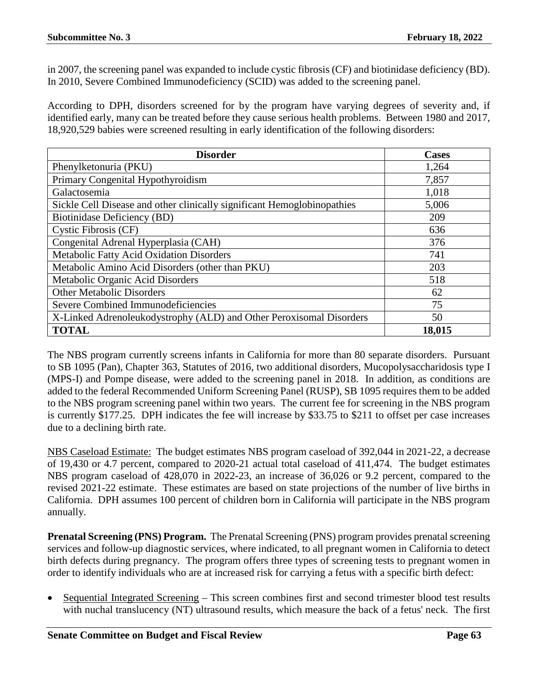in 2007, the screening panel was expanded to include cystic fibrosis (CF) and biotinidase deficiency (BD). In 2010, Severe Combined Immunodeficiency (SCID) was added to the screening panel.

According to DPH, disorders screened for by the program have varying degrees of severity and, if identified early, many can be treated before they cause serious health problems. Between 1980 and 2017, 18,920,529 babies were screened resulting in early identification of the following disorders:

| <b>Disorder</b>                                                         | <b>Cases</b> |
|-------------------------------------------------------------------------|--------------|
| Phenylketonuria (PKU)                                                   | 1,264        |
| Primary Congenital Hypothyroidism                                       | 7,857        |
| Galactosemia                                                            | 1,018        |
| Sickle Cell Disease and other clinically significant Hemoglobinopathies | 5,006        |
| Biotinidase Deficiency (BD)                                             | 209          |
| Cystic Fibrosis (CF)                                                    | 636          |
| Congenital Adrenal Hyperplasia (CAH)                                    | 376          |
| Metabolic Fatty Acid Oxidation Disorders                                | 741          |
| Metabolic Amino Acid Disorders (other than PKU)                         | 203          |
| Metabolic Organic Acid Disorders                                        | 518          |
| <b>Other Metabolic Disorders</b>                                        | 62           |
| Severe Combined Immunodeficiencies                                      | 75           |
| X-Linked Adrenoleukodystrophy (ALD) and Other Peroxisomal Disorders     | 50           |
| <b>TOTAL</b>                                                            | 18,015       |

The NBS program currently screens infants in California for more than 80 separate disorders. Pursuant to SB 1095 (Pan), Chapter 363, Statutes of 2016, two additional disorders, Mucopolysaccharidosis type I (MPS-I) and Pompe disease, were added to the screening panel in 2018. In addition, as conditions are added to the federal Recommended Uniform Screening Panel (RUSP), SB 1095 requires them to be added to the NBS program screening panel within two years. The current fee for screening in the NBS program is currently \$177.25. DPH indicates the fee will increase by \$33.75 to \$211 to offset per case increases due to a declining birth rate.

NBS Caseload Estimate: The budget estimates NBS program caseload of 392,044 in 2021-22, a decrease of 19,430 or 4.7 percent, compared to 2020-21 actual total caseload of 411,474. The budget estimates NBS program caseload of 428,070 in 2022-23, an increase of 36,026 or 9.2 percent, compared to the revised 2021-22 estimate. These estimates are based on state projections of the number of live births in California. DPH assumes 100 percent of children born in California will participate in the NBS program annually.

**Prenatal Screening (PNS) Program.** The Prenatal Screening (PNS) program provides prenatal screening services and follow-up diagnostic services, where indicated, to all pregnant women in California to detect birth defects during pregnancy. The program offers three types of screening tests to pregnant women in order to identify individuals who are at increased risk for carrying a fetus with a specific birth defect:

• Sequential Integrated Screening – This screen combines first and second trimester blood test results with nuchal translucency (NT) ultrasound results, which measure the back of a fetus' neck. The first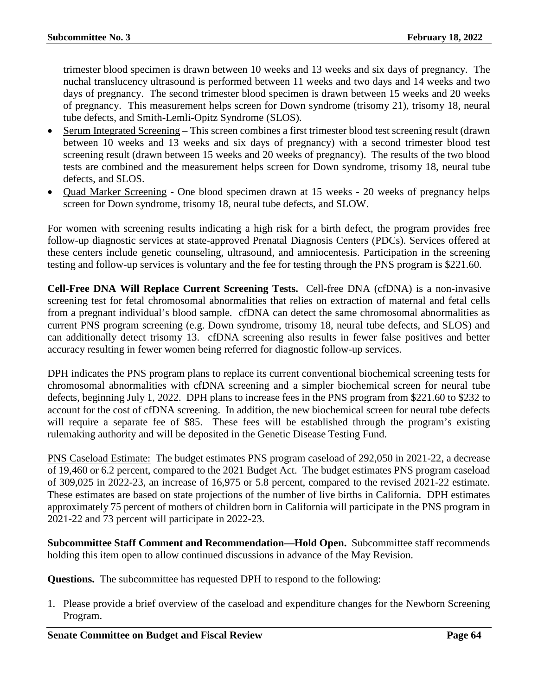trimester blood specimen is drawn between 10 weeks and 13 weeks and six days of pregnancy. The nuchal translucency ultrasound is performed between 11 weeks and two days and 14 weeks and two days of pregnancy. The second trimester blood specimen is drawn between 15 weeks and 20 weeks of pregnancy. This measurement helps screen for Down syndrome (trisomy 21), trisomy 18, neural tube defects, and Smith-Lemli-Opitz Syndrome (SLOS).

- Serum Integrated Screening This screen combines a first trimester blood test screening result (drawn between 10 weeks and 13 weeks and six days of pregnancy) with a second trimester blood test screening result (drawn between 15 weeks and 20 weeks of pregnancy). The results of the two blood tests are combined and the measurement helps screen for Down syndrome, trisomy 18, neural tube defects, and SLOS.
- Quad Marker Screening One blood specimen drawn at 15 weeks 20 weeks of pregnancy helps screen for Down syndrome, trisomy 18, neural tube defects, and SLOW.

For women with screening results indicating a high risk for a birth defect, the program provides free follow-up diagnostic services at state-approved Prenatal Diagnosis Centers (PDCs). Services offered at these centers include genetic counseling, ultrasound, and amniocentesis. Participation in the screening testing and follow-up services is voluntary and the fee for testing through the PNS program is \$221.60.

**Cell-Free DNA Will Replace Current Screening Tests.** Cell-free DNA (cfDNA) is a non-invasive screening test for fetal chromosomal abnormalities that relies on extraction of maternal and fetal cells from a pregnant individual's blood sample. cfDNA can detect the same chromosomal abnormalities as current PNS program screening (e.g. Down syndrome, trisomy 18, neural tube defects, and SLOS) and can additionally detect trisomy 13. cfDNA screening also results in fewer false positives and better accuracy resulting in fewer women being referred for diagnostic follow-up services.

DPH indicates the PNS program plans to replace its current conventional biochemical screening tests for chromosomal abnormalities with cfDNA screening and a simpler biochemical screen for neural tube defects, beginning July 1, 2022. DPH plans to increase fees in the PNS program from \$221.60 to \$232 to account for the cost of cfDNA screening. In addition, the new biochemical screen for neural tube defects will require a separate fee of \$85. These fees will be established through the program's existing rulemaking authority and will be deposited in the Genetic Disease Testing Fund.

PNS Caseload Estimate: The budget estimates PNS program caseload of 292,050 in 2021-22, a decrease of 19,460 or 6.2 percent, compared to the 2021 Budget Act. The budget estimates PNS program caseload of 309,025 in 2022-23, an increase of 16,975 or 5.8 percent, compared to the revised 2021-22 estimate. These estimates are based on state projections of the number of live births in California. DPH estimates approximately 75 percent of mothers of children born in California will participate in the PNS program in 2021-22 and 73 percent will participate in 2022-23.

**Subcommittee Staff Comment and Recommendation—Hold Open.** Subcommittee staff recommends holding this item open to allow continued discussions in advance of the May Revision.

**Questions.** The subcommittee has requested DPH to respond to the following:

1. Please provide a brief overview of the caseload and expenditure changes for the Newborn Screening Program.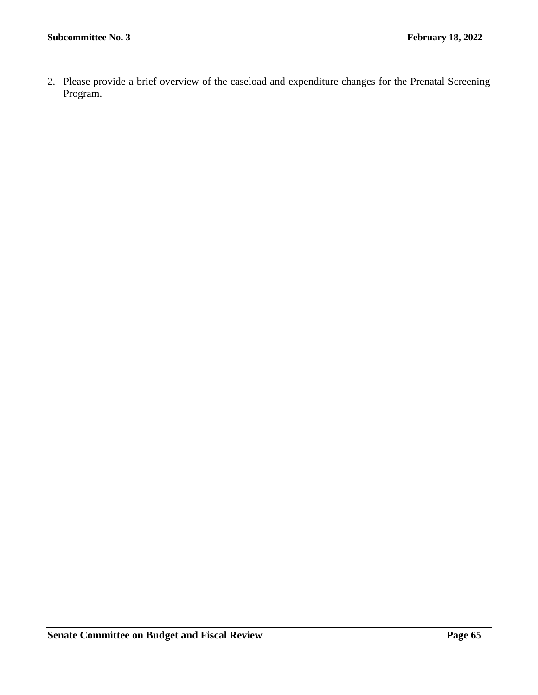2. Please provide a brief overview of the caseload and expenditure changes for the Prenatal Screening Program.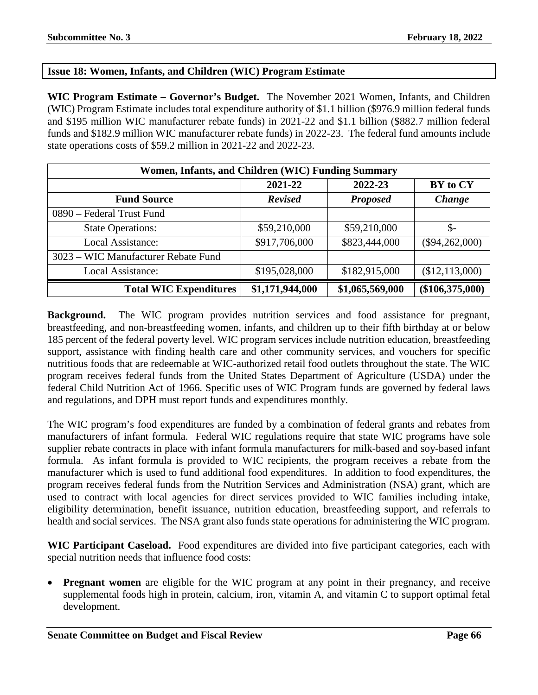## **Issue 18: Women, Infants, and Children (WIC) Program Estimate**

**WIC Program Estimate – Governor's Budget.** The November 2021 Women, Infants, and Children (WIC) Program Estimate includes total expenditure authority of \$1.1 billion (\$976.9 million federal funds and \$195 million WIC manufacturer rebate funds) in 2021-22 and \$1.1 billion (\$882.7 million federal funds and \$182.9 million WIC manufacturer rebate funds) in 2022-23. The federal fund amounts include state operations costs of \$59.2 million in 2021-22 and 2022-23.

| Women, Infants, and Children (WIC) Funding Summary |                 |                 |                   |  |
|----------------------------------------------------|-----------------|-----------------|-------------------|--|
|                                                    | 2021-22         | 2022-23         | BY to CY          |  |
| <b>Fund Source</b>                                 | <b>Revised</b>  | <b>Proposed</b> | Change            |  |
| 0890 – Federal Trust Fund                          |                 |                 |                   |  |
| <b>State Operations:</b>                           | \$59,210,000    | \$59,210,000    | $\mathcal{S}$ -   |  |
| Local Assistance:                                  | \$917,706,000   | \$823,444,000   | $(\$94,262,000)$  |  |
| 3023 - WIC Manufacturer Rebate Fund                |                 |                 |                   |  |
| Local Assistance:                                  | \$195,028,000   | \$182,915,000   | (\$12,113,000)    |  |
| <b>Total WIC Expenditures</b>                      | \$1,171,944,000 | \$1,065,569,000 | $(\$106,375,000)$ |  |

**Background.** The WIC program provides nutrition services and food assistance for pregnant, breastfeeding, and non-breastfeeding women, infants, and children up to their fifth birthday at or below 185 percent of the federal poverty level. WIC program services include nutrition education, breastfeeding support, assistance with finding health care and other community services, and vouchers for specific nutritious foods that are redeemable at WIC-authorized retail food outlets throughout the state. The WIC program receives federal funds from the United States Department of Agriculture (USDA) under the federal Child Nutrition Act of 1966. Specific uses of WIC Program funds are governed by federal laws and regulations, and DPH must report funds and expenditures monthly.

The WIC program's food expenditures are funded by a combination of federal grants and rebates from manufacturers of infant formula. Federal WIC regulations require that state WIC programs have sole supplier rebate contracts in place with infant formula manufacturers for milk-based and soy-based infant formula. As infant formula is provided to WIC recipients, the program receives a rebate from the manufacturer which is used to fund additional food expenditures. In addition to food expenditures, the program receives federal funds from the Nutrition Services and Administration (NSA) grant, which are used to contract with local agencies for direct services provided to WIC families including intake, eligibility determination, benefit issuance, nutrition education, breastfeeding support, and referrals to health and social services. The NSA grant also funds state operations for administering the WIC program.

**WIC Participant Caseload.** Food expenditures are divided into five participant categories, each with special nutrition needs that influence food costs:

**Pregnant women** are eligible for the WIC program at any point in their pregnancy, and receive supplemental foods high in protein, calcium, iron, vitamin A, and vitamin C to support optimal fetal development.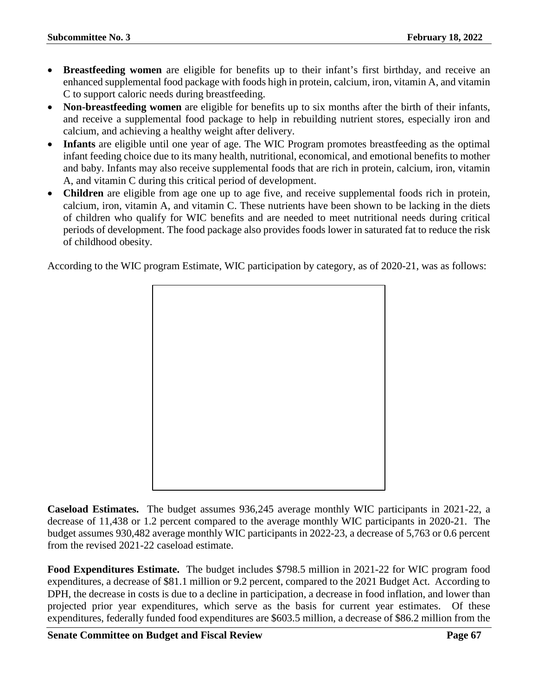- **Breastfeeding women** are eligible for benefits up to their infant's first birthday, and receive an enhanced supplemental food package with foods high in protein, calcium, iron, vitamin A, and vitamin C to support caloric needs during breastfeeding.
- **Non-breastfeeding women** are eligible for benefits up to six months after the birth of their infants, and receive a supplemental food package to help in rebuilding nutrient stores, especially iron and calcium, and achieving a healthy weight after delivery.
- **Infants** are eligible until one year of age. The WIC Program promotes breastfeeding as the optimal infant feeding choice due to its many health, nutritional, economical, and emotional benefits to mother and baby. Infants may also receive supplemental foods that are rich in protein, calcium, iron, vitamin A, and vitamin C during this critical period of development.
- **Children** are eligible from age one up to age five, and receive supplemental foods rich in protein, calcium, iron, vitamin A, and vitamin C. These nutrients have been shown to be lacking in the diets of children who qualify for WIC benefits and are needed to meet nutritional needs during critical periods of development. The food package also provides foods lower in saturated fat to reduce the risk of childhood obesity.

According to the WIC program Estimate, WIC participation by category, as of 2020-21, was as follows:



**Caseload Estimates.** The budget assumes 936,245 average monthly WIC participants in 2021-22, a decrease of 11,438 or 1.2 percent compared to the average monthly WIC participants in 2020-21. The budget assumes 930,482 average monthly WIC participants in 2022-23, a decrease of 5,763 or 0.6 percent from the revised 2021-22 caseload estimate.

**Food Expenditures Estimate.** The budget includes \$798.5 million in 2021-22 for WIC program food expenditures, a decrease of \$81.1 million or 9.2 percent, compared to the 2021 Budget Act. According to DPH, the decrease in costs is due to a decline in participation, a decrease in food inflation, and lower than projected prior year expenditures, which serve as the basis for current year estimates. Of these expenditures, federally funded food expenditures are \$603.5 million, a decrease of \$86.2 million from the

**Senate Committee on Budget and Fiscal Review <b>Page 67 Page 67**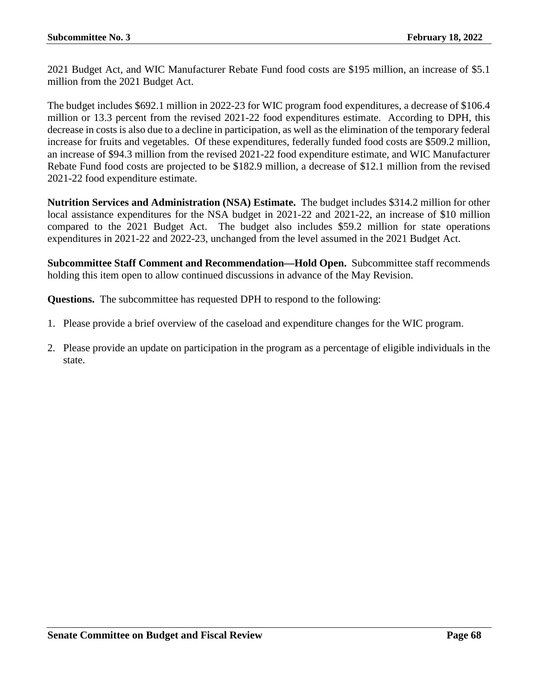2021 Budget Act, and WIC Manufacturer Rebate Fund food costs are \$195 million, an increase of \$5.1 million from the 2021 Budget Act.

The budget includes \$692.1 million in 2022-23 for WIC program food expenditures, a decrease of \$106.4 million or 13.3 percent from the revised 2021-22 food expenditures estimate. According to DPH, this decrease in costs is also due to a decline in participation, as well as the elimination of the temporary federal increase for fruits and vegetables. Of these expenditures, federally funded food costs are \$509.2 million, an increase of \$94.3 million from the revised 2021-22 food expenditure estimate, and WIC Manufacturer Rebate Fund food costs are projected to be \$182.9 million, a decrease of \$12.1 million from the revised 2021-22 food expenditure estimate.

**Nutrition Services and Administration (NSA) Estimate.** The budget includes \$314.2 million for other local assistance expenditures for the NSA budget in 2021-22 and 2021-22, an increase of \$10 million compared to the 2021 Budget Act. The budget also includes \$59.2 million for state operations expenditures in 2021-22 and 2022-23, unchanged from the level assumed in the 2021 Budget Act.

**Subcommittee Staff Comment and Recommendation—Hold Open.** Subcommittee staff recommends holding this item open to allow continued discussions in advance of the May Revision.

**Questions.** The subcommittee has requested DPH to respond to the following:

- 1. Please provide a brief overview of the caseload and expenditure changes for the WIC program.
- 2. Please provide an update on participation in the program as a percentage of eligible individuals in the state.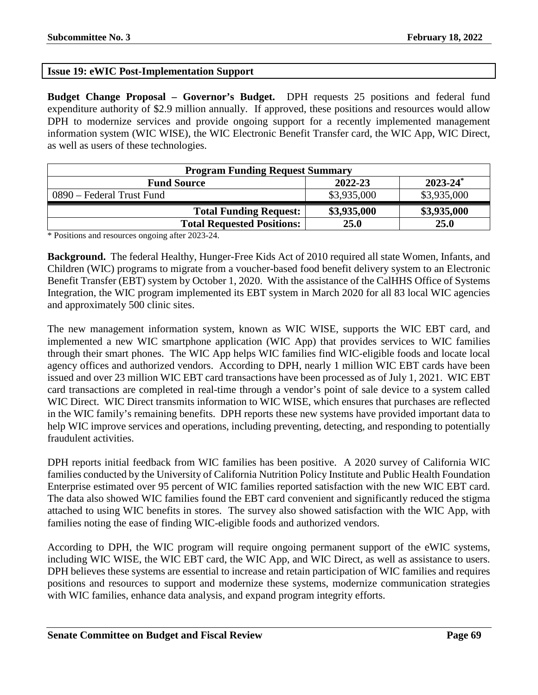# **Issue 19: eWIC Post-Implementation Support**

**Budget Change Proposal – Governor's Budget.** DPH requests 25 positions and federal fund expenditure authority of \$2.9 million annually. If approved, these positions and resources would allow DPH to modernize services and provide ongoing support for a recently implemented management information system (WIC WISE), the WIC Electronic Benefit Transfer card, the WIC App, WIC Direct, as well as users of these technologies.

| <b>Program Funding Request Summary</b> |             |               |  |  |
|----------------------------------------|-------------|---------------|--|--|
| <b>Fund Source</b>                     | 2022-23     | $2023 - 24^*$ |  |  |
| 0890 – Federal Trust Fund              | \$3,935,000 | \$3,935,000   |  |  |
| <b>Total Funding Request:</b>          | \$3,935,000 | \$3,935,000   |  |  |
| <b>Total Requested Positions:</b>      | 25.0        | 25.0          |  |  |

\* Positions and resources ongoing after 2023-24.

**Background.** The federal Healthy, Hunger-Free Kids Act of 2010 required all state Women, Infants, and Children (WIC) programs to migrate from a voucher-based food benefit delivery system to an Electronic Benefit Transfer (EBT) system by October 1, 2020. With the assistance of the CalHHS Office of Systems Integration, the WIC program implemented its EBT system in March 2020 for all 83 local WIC agencies and approximately 500 clinic sites.

The new management information system, known as WIC WISE, supports the WIC EBT card, and implemented a new WIC smartphone application (WIC App) that provides services to WIC families through their smart phones. The WIC App helps WIC families find WIC-eligible foods and locate local agency offices and authorized vendors. According to DPH, nearly 1 million WIC EBT cards have been issued and over 23 million WIC EBT card transactions have been processed as of July 1, 2021. WIC EBT card transactions are completed in real-time through a vendor's point of sale device to a system called WIC Direct. WIC Direct transmits information to WIC WISE, which ensures that purchases are reflected in the WIC family's remaining benefits. DPH reports these new systems have provided important data to help WIC improve services and operations, including preventing, detecting, and responding to potentially fraudulent activities.

DPH reports initial feedback from WIC families has been positive. A 2020 survey of California WIC families conducted by the University of California Nutrition Policy Institute and Public Health Foundation Enterprise estimated over 95 percent of WIC families reported satisfaction with the new WIC EBT card. The data also showed WIC families found the EBT card convenient and significantly reduced the stigma attached to using WIC benefits in stores. The survey also showed satisfaction with the WIC App, with families noting the ease of finding WIC-eligible foods and authorized vendors.

According to DPH, the WIC program will require ongoing permanent support of the eWIC systems, including WIC WISE, the WIC EBT card, the WIC App, and WIC Direct, as well as assistance to users. DPH believes these systems are essential to increase and retain participation of WIC families and requires positions and resources to support and modernize these systems, modernize communication strategies with WIC families, enhance data analysis, and expand program integrity efforts.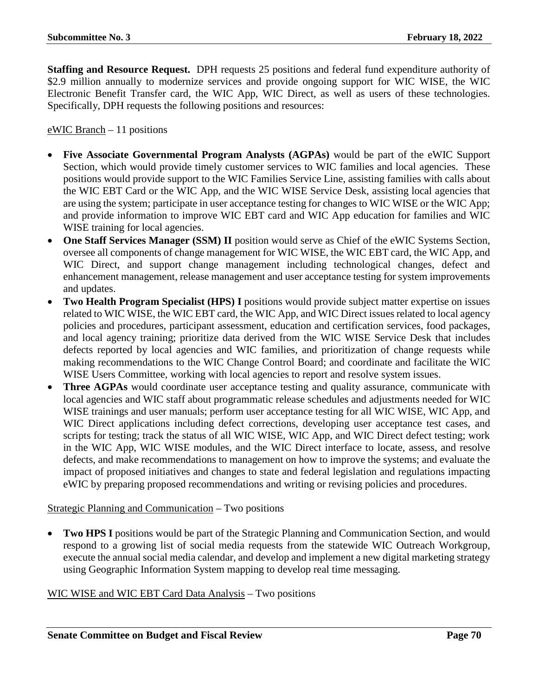**Staffing and Resource Request.** DPH requests 25 positions and federal fund expenditure authority of \$2.9 million annually to modernize services and provide ongoing support for WIC WISE, the WIC Electronic Benefit Transfer card, the WIC App, WIC Direct, as well as users of these technologies. Specifically, DPH requests the following positions and resources:

 $eWIC Branch-11$  positions

- **Five Associate Governmental Program Analysts (AGPAs)** would be part of the eWIC Support Section, which would provide timely customer services to WIC families and local agencies. These positions would provide support to the WIC Families Service Line, assisting families with calls about the WIC EBT Card or the WIC App, and the WIC WISE Service Desk, assisting local agencies that are using the system; participate in user acceptance testing for changes to WIC WISE or the WIC App; and provide information to improve WIC EBT card and WIC App education for families and WIC WISE training for local agencies.
- **One Staff Services Manager (SSM) II** position would serve as Chief of the eWIC Systems Section, oversee all components of change management for WIC WISE, the WIC EBT card, the WIC App, and WIC Direct, and support change management including technological changes, defect and enhancement management, release management and user acceptance testing for system improvements and updates.
- **Two Health Program Specialist (HPS) I** positions would provide subject matter expertise on issues related to WIC WISE, the WIC EBT card, the WIC App, and WIC Direct issues related to local agency policies and procedures, participant assessment, education and certification services, food packages, and local agency training; prioritize data derived from the WIC WISE Service Desk that includes defects reported by local agencies and WIC families, and prioritization of change requests while making recommendations to the WIC Change Control Board; and coordinate and facilitate the WIC WISE Users Committee, working with local agencies to report and resolve system issues.
- **Three AGPAs** would coordinate user acceptance testing and quality assurance, communicate with local agencies and WIC staff about programmatic release schedules and adjustments needed for WIC WISE trainings and user manuals; perform user acceptance testing for all WIC WISE, WIC App, and WIC Direct applications including defect corrections, developing user acceptance test cases, and scripts for testing; track the status of all WIC WISE, WIC App, and WIC Direct defect testing; work in the WIC App, WIC WISE modules, and the WIC Direct interface to locate, assess, and resolve defects, and make recommendations to management on how to improve the systems; and evaluate the impact of proposed initiatives and changes to state and federal legislation and regulations impacting eWIC by preparing proposed recommendations and writing or revising policies and procedures.

Strategic Planning and Communication – Two positions

• **Two HPS I** positions would be part of the Strategic Planning and Communication Section, and would respond to a growing list of social media requests from the statewide WIC Outreach Workgroup, execute the annual social media calendar, and develop and implement a new digital marketing strategy using Geographic Information System mapping to develop real time messaging.

WIC WISE and WIC EBT Card Data Analysis – Two positions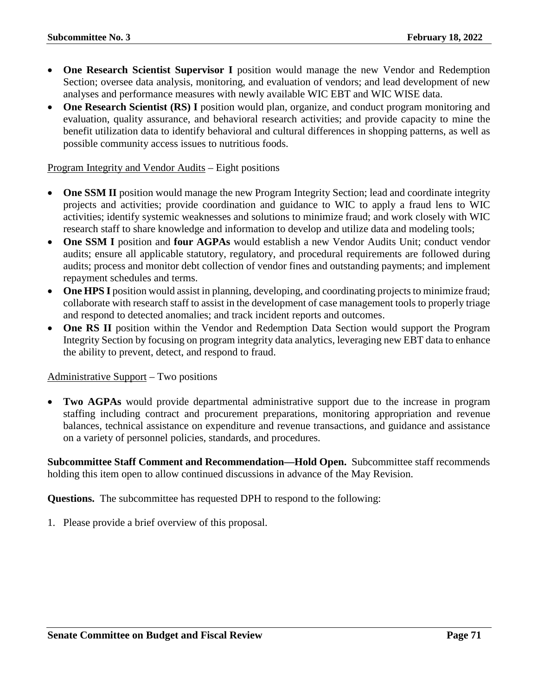- **One Research Scientist Supervisor I** position would manage the new Vendor and Redemption Section; oversee data analysis, monitoring, and evaluation of vendors; and lead development of new analyses and performance measures with newly available WIC EBT and WIC WISE data.
- **One Research Scientist (RS) I** position would plan, organize, and conduct program monitoring and evaluation, quality assurance, and behavioral research activities; and provide capacity to mine the benefit utilization data to identify behavioral and cultural differences in shopping patterns, as well as possible community access issues to nutritious foods.

#### Program Integrity and Vendor Audits – Eight positions

- One SSM II position would manage the new Program Integrity Section; lead and coordinate integrity projects and activities; provide coordination and guidance to WIC to apply a fraud lens to WIC activities; identify systemic weaknesses and solutions to minimize fraud; and work closely with WIC research staff to share knowledge and information to develop and utilize data and modeling tools;
- **One SSM I** position and **four AGPAs** would establish a new Vendor Audits Unit; conduct vendor audits; ensure all applicable statutory, regulatory, and procedural requirements are followed during audits; process and monitor debt collection of vendor fines and outstanding payments; and implement repayment schedules and terms.
- **One HPS I** position would assist in planning, developing, and coordinating projects to minimize fraud; collaborate with research staff to assist in the development of case management tools to properly triage and respond to detected anomalies; and track incident reports and outcomes.
- **One RS II** position within the Vendor and Redemption Data Section would support the Program Integrity Section by focusing on program integrity data analytics, leveraging new EBT data to enhance the ability to prevent, detect, and respond to fraud.

#### Administrative Support – Two positions

**Two AGPAs** would provide departmental administrative support due to the increase in program staffing including contract and procurement preparations, monitoring appropriation and revenue balances, technical assistance on expenditure and revenue transactions, and guidance and assistance on a variety of personnel policies, standards, and procedures.

**Subcommittee Staff Comment and Recommendation—Hold Open.** Subcommittee staff recommends holding this item open to allow continued discussions in advance of the May Revision.

**Questions.** The subcommittee has requested DPH to respond to the following: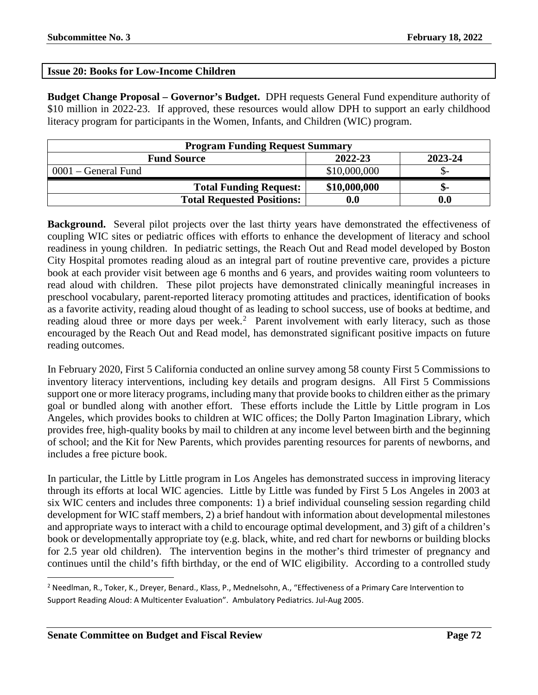# **Issue 20: Books for Low-Income Children**

**Budget Change Proposal – Governor's Budget.** DPH requests General Fund expenditure authority of \$10 million in 2022-23. If approved, these resources would allow DPH to support an early childhood literacy program for participants in the Women, Infants, and Children (WIC) program.

| <b>Program Funding Request Summary</b> |                    |         |  |  |
|----------------------------------------|--------------------|---------|--|--|
| <b>Fund Source</b>                     | 2022-23            | 2023-24 |  |  |
| 0001 – General Fund                    | \$10,000,000       |         |  |  |
| <b>Total Funding Request:</b>          | \$10,000,000       | ת-      |  |  |
| <b>Total Requested Positions:</b>      | $\boldsymbol{0.0}$ | 0.0     |  |  |

**Background.** Several pilot projects over the last thirty years have demonstrated the effectiveness of coupling WIC sites or pediatric offices with efforts to enhance the development of literacy and school readiness in young children. In pediatric settings, the Reach Out and Read model developed by Boston City Hospital promotes reading aloud as an integral part of routine preventive care, provides a picture book at each provider visit between age 6 months and 6 years, and provides waiting room volunteers to read aloud with children. These pilot projects have demonstrated clinically meaningful increases in preschool vocabulary, parent-reported literacy promoting attitudes and practices, identification of books as a favorite activity, reading aloud thought of as leading to school success, use of books at bedtime, and reading aloud three or more days per week.<sup>[2](#page-71-0)</sup> Parent involvement with early literacy, such as those encouraged by the Reach Out and Read model, has demonstrated significant positive impacts on future reading outcomes.

In February 2020, First 5 California conducted an online survey among 58 county First 5 Commissions to inventory literacy interventions, including key details and program designs. All First 5 Commissions support one or more literacy programs, including many that provide books to children either as the primary goal or bundled along with another effort. These efforts include the Little by Little program in Los Angeles, which provides books to children at WIC offices; the Dolly Parton Imagination Library, which provides free, high-quality books by mail to children at any income level between birth and the beginning of school; and the Kit for New Parents, which provides parenting resources for parents of newborns, and includes a free picture book.

In particular, the Little by Little program in Los Angeles has demonstrated success in improving literacy through its efforts at local WIC agencies. Little by Little was funded by First 5 Los Angeles in 2003 at six WIC centers and includes three components: 1) a brief individual counseling session regarding child development for WIC staff members, 2) a brief handout with information about developmental milestones and appropriate ways to interact with a child to encourage optimal development, and 3) gift of a children's book or developmentally appropriate toy (e.g. black, white, and red chart for newborns or building blocks for 2.5 year old children). The intervention begins in the mother's third trimester of pregnancy and continues until the child's fifth birthday, or the end of WIC eligibility. According to a controlled study

<span id="page-71-0"></span> <sup>2</sup> Needlman, R., Toker, K., Dreyer, Benard., Klass, P., Mednelsohn, A., "Effectiveness of a Primary Care Intervention to Support Reading Aloud: A Multicenter Evaluation". Ambulatory Pediatrics. Jul-Aug 2005.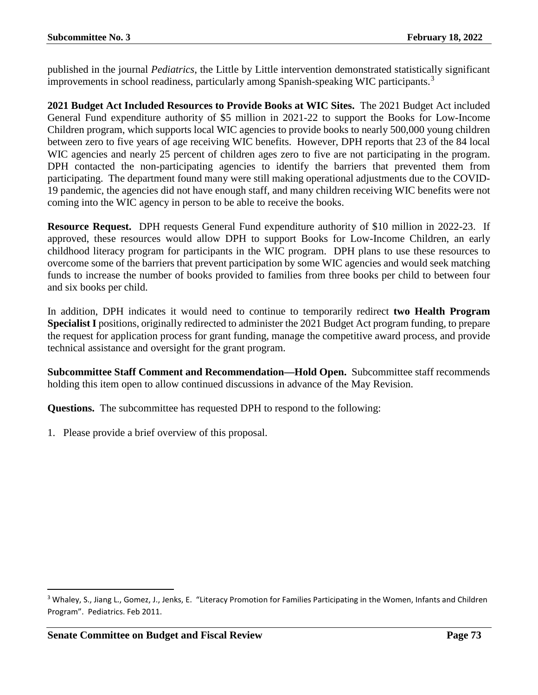published in the journal *Pediatrics*, the Little by Little intervention demonstrated statistically significant improvements in school readiness, particularly among Spanish-speaking WIC participants.<sup>[3](#page-72-0)</sup>

**2021 Budget Act Included Resources to Provide Books at WIC Sites.** The 2021 Budget Act included General Fund expenditure authority of \$5 million in 2021-22 to support the Books for Low-Income Children program, which supports local WIC agencies to provide books to nearly 500,000 young children between zero to five years of age receiving WIC benefits. However, DPH reports that 23 of the 84 local WIC agencies and nearly 25 percent of children ages zero to five are not participating in the program. DPH contacted the non-participating agencies to identify the barriers that prevented them from participating. The department found many were still making operational adjustments due to the COVID-19 pandemic, the agencies did not have enough staff, and many children receiving WIC benefits were not coming into the WIC agency in person to be able to receive the books.

**Resource Request.** DPH requests General Fund expenditure authority of \$10 million in 2022-23. If approved, these resources would allow DPH to support Books for Low-Income Children, an early childhood literacy program for participants in the WIC program. DPH plans to use these resources to overcome some of the barriers that prevent participation by some WIC agencies and would seek matching funds to increase the number of books provided to families from three books per child to between four and six books per child.

In addition, DPH indicates it would need to continue to temporarily redirect **two Health Program Specialist I** positions, originally redirected to administer the 2021 Budget Act program funding, to prepare the request for application process for grant funding, manage the competitive award process, and provide technical assistance and oversight for the grant program.

**Subcommittee Staff Comment and Recommendation—Hold Open.** Subcommittee staff recommends holding this item open to allow continued discussions in advance of the May Revision.

**Questions.** The subcommittee has requested DPH to respond to the following:

<span id="page-72-0"></span><sup>&</sup>lt;sup>3</sup> Whaley, S., Jiang L., Gomez, J., Jenks, E. "Literacy Promotion for Families Participating in the Women, Infants and Children Program". Pediatrics. Feb 2011.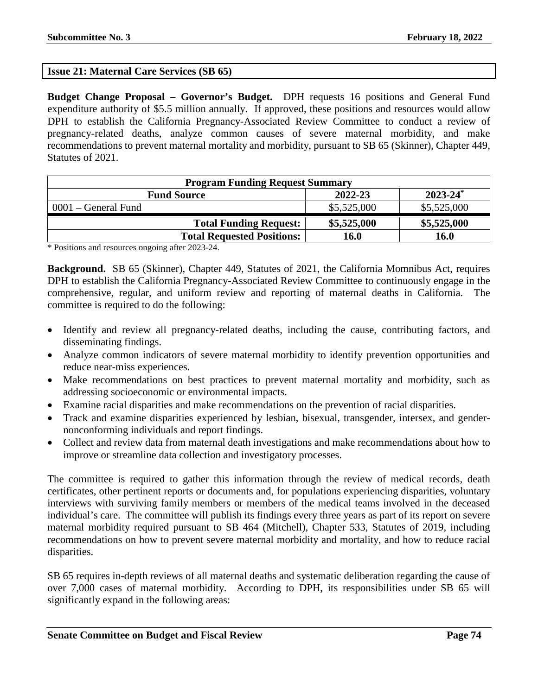## **Issue 21: Maternal Care Services (SB 65)**

**Budget Change Proposal – Governor's Budget.** DPH requests 16 positions and General Fund expenditure authority of \$5.5 million annually. If approved, these positions and resources would allow DPH to establish the California Pregnancy-Associated Review Committee to conduct a review of pregnancy-related deaths, analyze common causes of severe maternal morbidity, and make recommendations to prevent maternal mortality and morbidity, pursuant to SB 65 (Skinner), Chapter 449, Statutes of 2021.

| <b>Program Funding Request Summary</b> |             |               |
|----------------------------------------|-------------|---------------|
| <b>Fund Source</b>                     | 2022-23     | $2023 - 24^*$ |
| $0001$ – General Fund                  | \$5,525,000 | \$5,525,000   |
| <b>Total Funding Request:</b>          | \$5,525,000 | \$5,525,000   |
| <b>Total Requested Positions:</b>      | 16.0        | <b>16.0</b>   |

\* Positions and resources ongoing after 2023-24.

**Background.** SB 65 (Skinner), Chapter 449, Statutes of 2021, the California Momnibus Act, requires DPH to establish the California Pregnancy-Associated Review Committee to continuously engage in the comprehensive, regular, and uniform review and reporting of maternal deaths in California. The committee is required to do the following:

- Identify and review all pregnancy-related deaths, including the cause, contributing factors, and disseminating findings.
- Analyze common indicators of severe maternal morbidity to identify prevention opportunities and reduce near-miss experiences.
- Make recommendations on best practices to prevent maternal mortality and morbidity, such as addressing socioeconomic or environmental impacts.
- Examine racial disparities and make recommendations on the prevention of racial disparities.
- Track and examine disparities experienced by lesbian, bisexual, transgender, intersex, and gendernonconforming individuals and report findings.
- Collect and review data from maternal death investigations and make recommendations about how to improve or streamline data collection and investigatory processes.

The committee is required to gather this information through the review of medical records, death certificates, other pertinent reports or documents and, for populations experiencing disparities, voluntary interviews with surviving family members or members of the medical teams involved in the deceased individual's care. The committee will publish its findings every three years as part of its report on severe maternal morbidity required pursuant to SB 464 (Mitchell), Chapter 533, Statutes of 2019, including recommendations on how to prevent severe maternal morbidity and mortality, and how to reduce racial disparities.

SB 65 requires in-depth reviews of all maternal deaths and systematic deliberation regarding the cause of over 7,000 cases of maternal morbidity. According to DPH, its responsibilities under SB 65 will significantly expand in the following areas: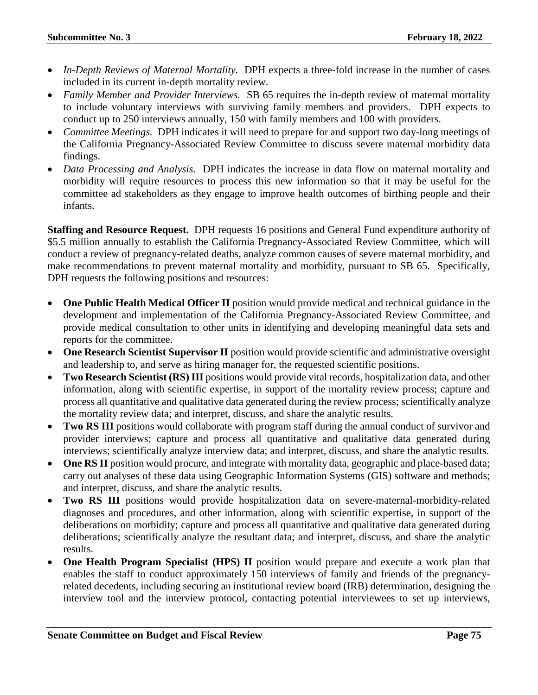- *In-Depth Reviews of Maternal Mortality.* DPH expects a three-fold increase in the number of cases included in its current in-depth mortality review.
- *Family Member and Provider Interviews.* SB 65 requires the in-depth review of maternal mortality to include voluntary interviews with surviving family members and providers. DPH expects to conduct up to 250 interviews annually, 150 with family members and 100 with providers.
- *Committee Meetings.* DPH indicates it will need to prepare for and support two day-long meetings of the California Pregnancy-Associated Review Committee to discuss severe maternal morbidity data findings.
- *Data Processing and Analysis.* DPH indicates the increase in data flow on maternal mortality and morbidity will require resources to process this new information so that it may be useful for the committee ad stakeholders as they engage to improve health outcomes of birthing people and their infants.

**Staffing and Resource Request.** DPH requests 16 positions and General Fund expenditure authority of \$5.5 million annually to establish the California Pregnancy-Associated Review Committee, which will conduct a review of pregnancy-related deaths, analyze common causes of severe maternal morbidity, and make recommendations to prevent maternal mortality and morbidity, pursuant to SB 65. Specifically, DPH requests the following positions and resources:

- **One Public Health Medical Officer II** position would provide medical and technical guidance in the development and implementation of the California Pregnancy-Associated Review Committee, and provide medical consultation to other units in identifying and developing meaningful data sets and reports for the committee.
- **One Research Scientist Supervisor II** position would provide scientific and administrative oversight and leadership to, and serve as hiring manager for, the requested scientific positions.
- **Two Research Scientist (RS) III** positions would provide vital records, hospitalization data, and other information, along with scientific expertise, in support of the mortality review process; capture and process all quantitative and qualitative data generated during the review process; scientifically analyze the mortality review data; and interpret, discuss, and share the analytic results.
- **Two RS III** positions would collaborate with program staff during the annual conduct of survivor and provider interviews; capture and process all quantitative and qualitative data generated during interviews; scientifically analyze interview data; and interpret, discuss, and share the analytic results.
- **One RS II** position would procure, and integrate with mortality data, geographic and place-based data; carry out analyses of these data using Geographic Information Systems (GIS) software and methods; and interpret, discuss, and share the analytic results.
- **Two RS III** positions would provide hospitalization data on severe-maternal-morbidity-related diagnoses and procedures, and other information, along with scientific expertise, in support of the deliberations on morbidity; capture and process all quantitative and qualitative data generated during deliberations; scientifically analyze the resultant data; and interpret, discuss, and share the analytic results.
- **One Health Program Specialist (HPS) II** position would prepare and execute a work plan that enables the staff to conduct approximately 150 interviews of family and friends of the pregnancyrelated decedents, including securing an institutional review board (IRB) determination, designing the interview tool and the interview protocol, contacting potential interviewees to set up interviews,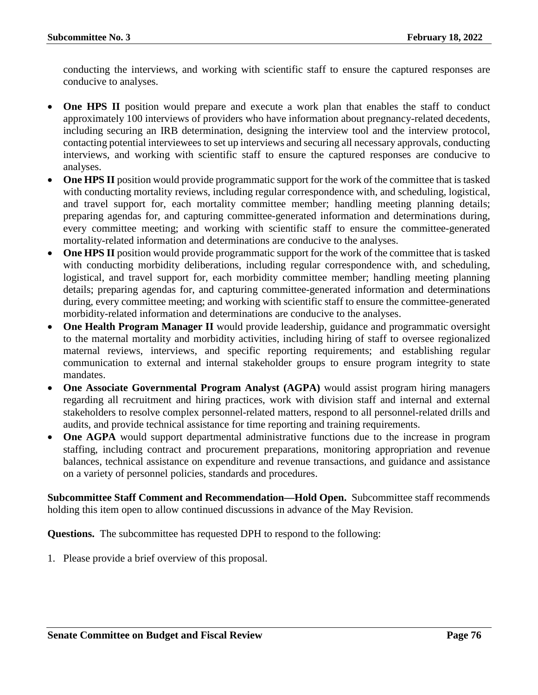conducting the interviews, and working with scientific staff to ensure the captured responses are conducive to analyses.

- **One HPS II** position would prepare and execute a work plan that enables the staff to conduct approximately 100 interviews of providers who have information about pregnancy-related decedents, including securing an IRB determination, designing the interview tool and the interview protocol, contacting potential interviewees to set up interviews and securing all necessary approvals, conducting interviews, and working with scientific staff to ensure the captured responses are conducive to analyses.
- **One HPS II** position would provide programmatic support for the work of the committee that is tasked with conducting mortality reviews, including regular correspondence with, and scheduling, logistical, and travel support for, each mortality committee member; handling meeting planning details; preparing agendas for, and capturing committee-generated information and determinations during, every committee meeting; and working with scientific staff to ensure the committee-generated mortality-related information and determinations are conducive to the analyses.
- **One HPS II** position would provide programmatic support for the work of the committee that is tasked with conducting morbidity deliberations, including regular correspondence with, and scheduling, logistical, and travel support for, each morbidity committee member; handling meeting planning details; preparing agendas for, and capturing committee-generated information and determinations during, every committee meeting; and working with scientific staff to ensure the committee-generated morbidity-related information and determinations are conducive to the analyses.
- **One Health Program Manager II** would provide leadership, guidance and programmatic oversight to the maternal mortality and morbidity activities, including hiring of staff to oversee regionalized maternal reviews, interviews, and specific reporting requirements; and establishing regular communication to external and internal stakeholder groups to ensure program integrity to state mandates.
- **One Associate Governmental Program Analyst (AGPA)** would assist program hiring managers regarding all recruitment and hiring practices, work with division staff and internal and external stakeholders to resolve complex personnel-related matters, respond to all personnel-related drills and audits, and provide technical assistance for time reporting and training requirements.
- **One AGPA** would support departmental administrative functions due to the increase in program staffing, including contract and procurement preparations, monitoring appropriation and revenue balances, technical assistance on expenditure and revenue transactions, and guidance and assistance on a variety of personnel policies, standards and procedures.

**Subcommittee Staff Comment and Recommendation—Hold Open.** Subcommittee staff recommends holding this item open to allow continued discussions in advance of the May Revision.

**Questions.** The subcommittee has requested DPH to respond to the following: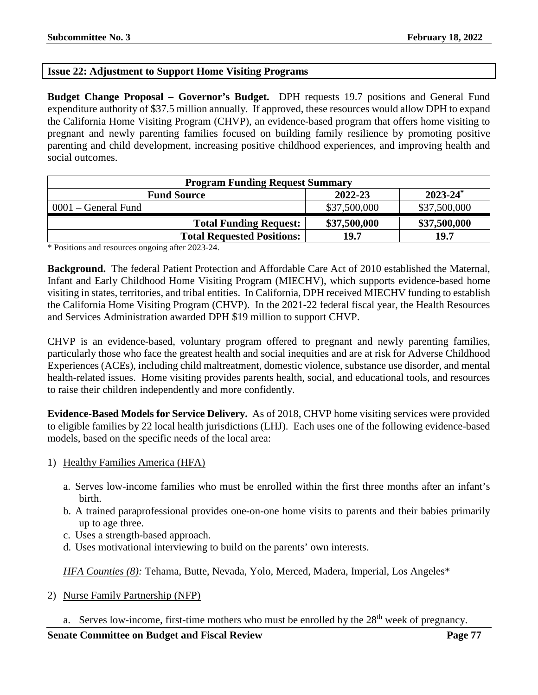# **Issue 22: Adjustment to Support Home Visiting Programs**

**Budget Change Proposal – Governor's Budget.** DPH requests 19.7 positions and General Fund expenditure authority of \$37.5 million annually. If approved, these resources would allow DPH to expand the California Home Visiting Program (CHVP), an evidence-based program that offers home visiting to pregnant and newly parenting families focused on building family resilience by promoting positive parenting and child development, increasing positive childhood experiences, and improving health and social outcomes.

| <b>Program Funding Request Summary</b> |              |               |
|----------------------------------------|--------------|---------------|
| <b>Fund Source</b>                     | 2022-23      | $2023 - 24^*$ |
| $0001$ – General Fund                  | \$37,500,000 | \$37,500,000  |
| <b>Total Funding Request:</b>          | \$37,500,000 | \$37,500,000  |
| <b>Total Requested Positions:</b>      | 19.7         | 19.7          |

\* Positions and resources ongoing after 2023-24.

**Background.** The federal Patient Protection and Affordable Care Act of 2010 established the Maternal, Infant and Early Childhood Home Visiting Program (MIECHV), which supports evidence-based home visiting in states, territories, and tribal entities. In California, DPH received MIECHV funding to establish the California Home Visiting Program (CHVP). In the 2021-22 federal fiscal year, the Health Resources and Services Administration awarded DPH \$19 million to support CHVP.

CHVP is an evidence-based, voluntary program offered to pregnant and newly parenting families, particularly those who face the greatest health and social inequities and are at risk for Adverse Childhood Experiences (ACEs), including child maltreatment, domestic violence, substance use disorder, and mental health-related issues. Home visiting provides parents health, social, and educational tools, and resources to raise their children independently and more confidently.

**Evidence-Based Models for Service Delivery.** As of 2018, CHVP home visiting services were provided to eligible families by 22 local health jurisdictions (LHJ). Each uses one of the following evidence-based models, based on the specific needs of the local area:

- 1) Healthy Families America (HFA)
	- a. Serves low-income families who must be enrolled within the first three months after an infant's birth.
	- b. A trained paraprofessional provides one-on-one home visits to parents and their babies primarily up to age three.
	- c. Uses a strength-based approach.
	- d. Uses motivational interviewing to build on the parents' own interests.

*HFA Counties (8):* Tehama, Butte, Nevada, Yolo, Merced, Madera, Imperial, Los Angeles\*

- 2) Nurse Family Partnership (NFP)
	- a. Serves low-income, first-time mothers who must be enrolled by the 28<sup>th</sup> week of pregnancy.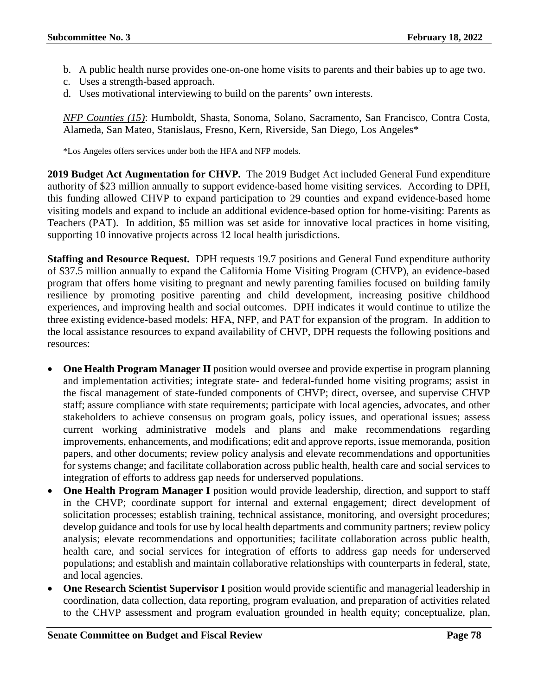- b. A public health nurse provides one-on-one home visits to parents and their babies up to age two.
- c. Uses a strength-based approach.
- d. Uses motivational interviewing to build on the parents' own interests.

*NFP Counties (15)*: Humboldt, Shasta, Sonoma, Solano, Sacramento, San Francisco, Contra Costa, Alameda, San Mateo, Stanislaus, Fresno, Kern, Riverside, San Diego, Los Angeles\*

\*Los Angeles offers services under both the HFA and NFP models.

**2019 Budget Act Augmentation for CHVP.** The 2019 Budget Act included General Fund expenditure authority of \$23 million annually to support evidence-based home visiting services. According to DPH, this funding allowed CHVP to expand participation to 29 counties and expand evidence-based home visiting models and expand to include an additional evidence-based option for home-visiting: Parents as Teachers (PAT). In addition, \$5 million was set aside for innovative local practices in home visiting, supporting 10 innovative projects across 12 local health jurisdictions.

**Staffing and Resource Request.** DPH requests 19.7 positions and General Fund expenditure authority of \$37.5 million annually to expand the California Home Visiting Program (CHVP), an evidence-based program that offers home visiting to pregnant and newly parenting families focused on building family resilience by promoting positive parenting and child development, increasing positive childhood experiences, and improving health and social outcomes. DPH indicates it would continue to utilize the three existing evidence-based models: HFA, NFP, and PAT for expansion of the program. In addition to the local assistance resources to expand availability of CHVP, DPH requests the following positions and resources:

- **One Health Program Manager II** position would oversee and provide expertise in program planning and implementation activities; integrate state- and federal-funded home visiting programs; assist in the fiscal management of state-funded components of CHVP; direct, oversee, and supervise CHVP staff; assure compliance with state requirements; participate with local agencies, advocates, and other stakeholders to achieve consensus on program goals, policy issues, and operational issues; assess current working administrative models and plans and make recommendations regarding improvements, enhancements, and modifications; edit and approve reports, issue memoranda, position papers, and other documents; review policy analysis and elevate recommendations and opportunities for systems change; and facilitate collaboration across public health, health care and social services to integration of efforts to address gap needs for underserved populations.
- **One Health Program Manager I** position would provide leadership, direction, and support to staff in the CHVP; coordinate support for internal and external engagement; direct development of solicitation processes; establish training, technical assistance, monitoring, and oversight procedures; develop guidance and tools for use by local health departments and community partners; review policy analysis; elevate recommendations and opportunities; facilitate collaboration across public health, health care, and social services for integration of efforts to address gap needs for underserved populations; and establish and maintain collaborative relationships with counterparts in federal, state, and local agencies.
- **One Research Scientist Supervisor I** position would provide scientific and managerial leadership in coordination, data collection, data reporting, program evaluation, and preparation of activities related to the CHVP assessment and program evaluation grounded in health equity; conceptualize, plan,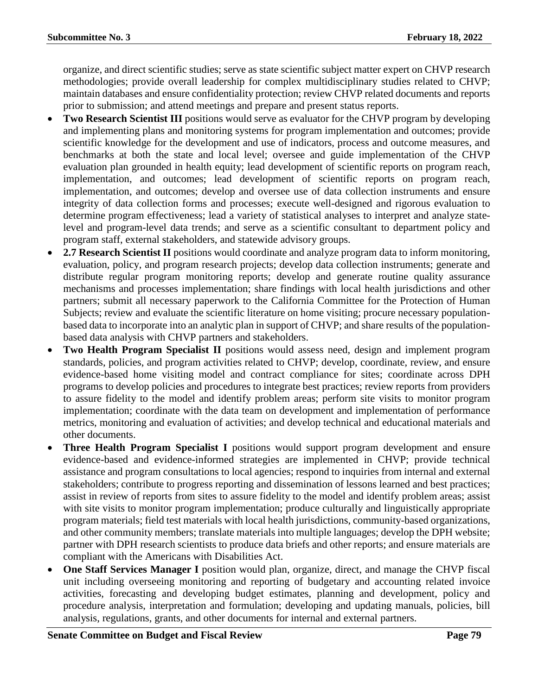organize, and direct scientific studies; serve as state scientific subject matter expert on CHVP research methodologies; provide overall leadership for complex multidisciplinary studies related to CHVP; maintain databases and ensure confidentiality protection; review CHVP related documents and reports prior to submission; and attend meetings and prepare and present status reports.

- **Two Research Scientist III** positions would serve as evaluator for the CHVP program by developing and implementing plans and monitoring systems for program implementation and outcomes; provide scientific knowledge for the development and use of indicators, process and outcome measures, and benchmarks at both the state and local level; oversee and guide implementation of the CHVP evaluation plan grounded in health equity; lead development of scientific reports on program reach, implementation, and outcomes; lead development of scientific reports on program reach, implementation, and outcomes; develop and oversee use of data collection instruments and ensure integrity of data collection forms and processes; execute well-designed and rigorous evaluation to determine program effectiveness; lead a variety of statistical analyses to interpret and analyze statelevel and program-level data trends; and serve as a scientific consultant to department policy and program staff, external stakeholders, and statewide advisory groups.
- **2.7 Research Scientist II** positions would coordinate and analyze program data to inform monitoring, evaluation, policy, and program research projects; develop data collection instruments; generate and distribute regular program monitoring reports; develop and generate routine quality assurance mechanisms and processes implementation; share findings with local health jurisdictions and other partners; submit all necessary paperwork to the California Committee for the Protection of Human Subjects; review and evaluate the scientific literature on home visiting; procure necessary populationbased data to incorporate into an analytic plan in support of CHVP; and share results of the populationbased data analysis with CHVP partners and stakeholders.
- **Two Health Program Specialist II** positions would assess need, design and implement program standards, policies, and program activities related to CHVP; develop, coordinate, review, and ensure evidence-based home visiting model and contract compliance for sites; coordinate across DPH programs to develop policies and procedures to integrate best practices; review reports from providers to assure fidelity to the model and identify problem areas; perform site visits to monitor program implementation; coordinate with the data team on development and implementation of performance metrics, monitoring and evaluation of activities; and develop technical and educational materials and other documents.
- **Three Health Program Specialist I** positions would support program development and ensure evidence-based and evidence-informed strategies are implemented in CHVP; provide technical assistance and program consultations to local agencies; respond to inquiries from internal and external stakeholders; contribute to progress reporting and dissemination of lessons learned and best practices; assist in review of reports from sites to assure fidelity to the model and identify problem areas; assist with site visits to monitor program implementation; produce culturally and linguistically appropriate program materials; field test materials with local health jurisdictions, community-based organizations, and other community members; translate materials into multiple languages; develop the DPH website; partner with DPH research scientists to produce data briefs and other reports; and ensure materials are compliant with the Americans with Disabilities Act.
- **One Staff Services Manager I** position would plan, organize, direct, and manage the CHVP fiscal unit including overseeing monitoring and reporting of budgetary and accounting related invoice activities, forecasting and developing budget estimates, planning and development, policy and procedure analysis, interpretation and formulation; developing and updating manuals, policies, bill analysis, regulations, grants, and other documents for internal and external partners.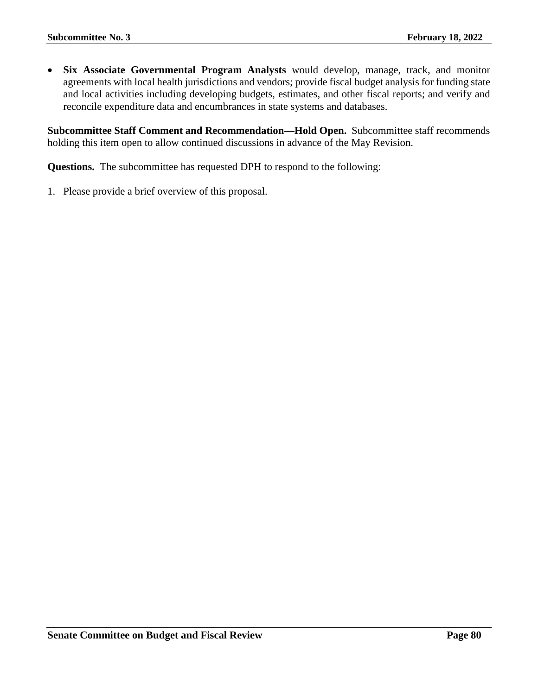• **Six Associate Governmental Program Analysts** would develop, manage, track, and monitor agreements with local health jurisdictions and vendors; provide fiscal budget analysis for funding state and local activities including developing budgets, estimates, and other fiscal reports; and verify and reconcile expenditure data and encumbrances in state systems and databases.

**Subcommittee Staff Comment and Recommendation—Hold Open.** Subcommittee staff recommends holding this item open to allow continued discussions in advance of the May Revision.

**Questions.** The subcommittee has requested DPH to respond to the following: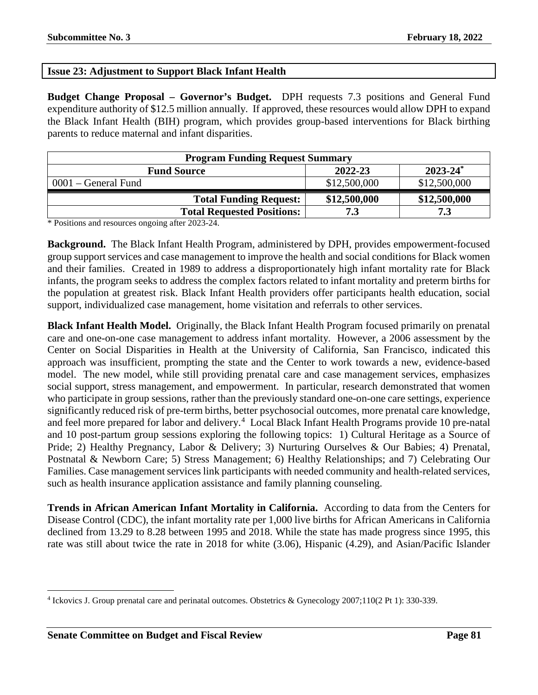## **Issue 23: Adjustment to Support Black Infant Health**

**Budget Change Proposal – Governor's Budget.** DPH requests 7.3 positions and General Fund expenditure authority of \$12.5 million annually. If approved, these resources would allow DPH to expand the Black Infant Health (BIH) program, which provides group-based interventions for Black birthing parents to reduce maternal and infant disparities.

| <b>Program Funding Request Summary</b> |              |               |
|----------------------------------------|--------------|---------------|
| <b>Fund Source</b>                     | 2022-23      | $2023 - 24^*$ |
| $0001$ – General Fund                  | \$12,500,000 | \$12,500,000  |
| <b>Total Funding Request:</b>          | \$12,500,000 | \$12,500,000  |
| <b>Total Requested Positions:</b>      | 7.3          | 72            |

\* Positions and resources ongoing after 2023-24.

**Background.** The Black Infant Health Program, administered by DPH, provides empowerment-focused group support services and case management to improve the health and social conditions for Black women and their families. Created in 1989 to address a disproportionately high infant mortality rate for Black infants, the program seeks to address the complex factors related to infant mortality and preterm births for the population at greatest risk. Black Infant Health providers offer participants health education, social support, individualized case management, home visitation and referrals to other services.

**Black Infant Health Model.** Originally, the Black Infant Health Program focused primarily on prenatal care and one-on-one case management to address infant mortality. However, a 2006 assessment by the Center on Social Disparities in Health at the University of California, San Francisco, indicated this approach was insufficient, prompting the state and the Center to work towards a new, evidence-based model. The new model, while still providing prenatal care and case management services, emphasizes social support, stress management, and empowerment. In particular, research demonstrated that women who participate in group sessions, rather than the previously standard one-on-one care settings, experience significantly reduced risk of pre-term births, better psychosocial outcomes, more prenatal care knowledge, and feel more prepared for labor and delivery.<sup>[4](#page-80-0)</sup> Local Black Infant Health Programs provide 10 pre-natal and 10 post-partum group sessions exploring the following topics: 1) Cultural Heritage as a Source of Pride; 2) Healthy Pregnancy, Labor & Delivery; 3) Nurturing Ourselves & Our Babies; 4) Prenatal, Postnatal & Newborn Care; 5) Stress Management; 6) Healthy Relationships; and 7) Celebrating Our Families. Case management services link participants with needed community and health-related services, such as health insurance application assistance and family planning counseling.

**Trends in African American Infant Mortality in California.** According to data from the Centers for Disease Control (CDC), the infant mortality rate per 1,000 live births for African Americans in California declined from 13.29 to 8.28 between 1995 and 2018. While the state has made progress since 1995, this rate was still about twice the rate in 2018 for white (3.06), Hispanic (4.29), and Asian/Pacific Islander

 $\overline{a}$ 

<span id="page-80-0"></span><sup>4</sup> Ickovics J. Group prenatal care and perinatal outcomes. Obstetrics & Gynecology 2007;110(2 Pt 1): 330-339.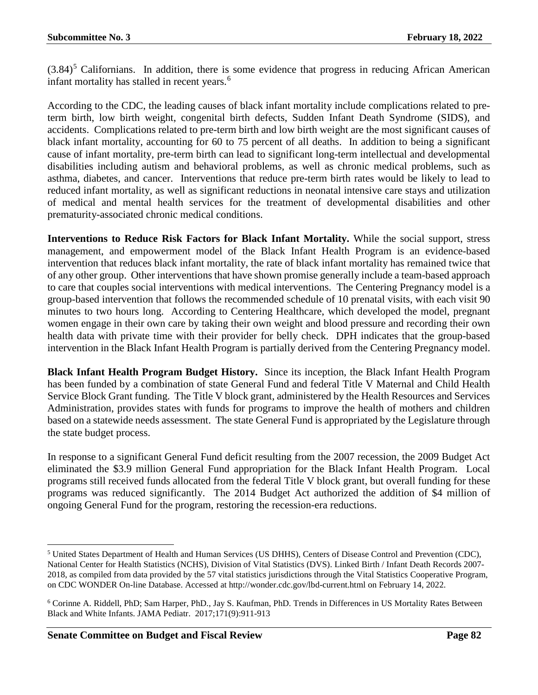$(3.84)^5$  $(3.84)^5$  Californians. In addition, there is some evidence that progress in reducing African American infant mortality has stalled in recent years.<sup>[6](#page-81-1)</sup>

According to the CDC, the leading causes of black infant mortality include complications related to preterm birth, low birth weight, congenital birth defects, Sudden Infant Death Syndrome (SIDS), and accidents. Complications related to pre-term birth and low birth weight are the most significant causes of black infant mortality, accounting for 60 to 75 percent of all deaths. In addition to being a significant cause of infant mortality, pre-term birth can lead to significant long-term intellectual and developmental disabilities including autism and behavioral problems, as well as chronic medical problems, such as asthma, diabetes, and cancer. Interventions that reduce pre-term birth rates would be likely to lead to reduced infant mortality, as well as significant reductions in neonatal intensive care stays and utilization of medical and mental health services for the treatment of developmental disabilities and other prematurity-associated chronic medical conditions.

**Interventions to Reduce Risk Factors for Black Infant Mortality.** While the social support, stress management, and empowerment model of the Black Infant Health Program is an evidence-based intervention that reduces black infant mortality, the rate of black infant mortality has remained twice that of any other group. Other interventions that have shown promise generally include a team-based approach to care that couples social interventions with medical interventions. The Centering Pregnancy model is a group-based intervention that follows the recommended schedule of 10 prenatal visits, with each visit 90 minutes to two hours long. According to Centering Healthcare, which developed the model, pregnant women engage in their own care by taking their own weight and blood pressure and recording their own health data with private time with their provider for belly check. DPH indicates that the group-based intervention in the Black Infant Health Program is partially derived from the Centering Pregnancy model.

**Black Infant Health Program Budget History.** Since its inception, the Black Infant Health Program has been funded by a combination of state General Fund and federal Title V Maternal and Child Health Service Block Grant funding. The Title V block grant, administered by the Health Resources and Services Administration, provides states with funds for programs to improve the health of mothers and children based on a statewide needs assessment. The state General Fund is appropriated by the Legislature through the state budget process.

In response to a significant General Fund deficit resulting from the 2007 recession, the 2009 Budget Act eliminated the \$3.9 million General Fund appropriation for the Black Infant Health Program. Local programs still received funds allocated from the federal Title V block grant, but overall funding for these programs was reduced significantly. The 2014 Budget Act authorized the addition of \$4 million of ongoing General Fund for the program, restoring the recession-era reductions.

l

<span id="page-81-0"></span><sup>5</sup> United States Department of Health and Human Services (US DHHS), Centers of Disease Control and Prevention (CDC), National Center for Health Statistics (NCHS), Division of Vital Statistics (DVS). Linked Birth / Infant Death Records 2007- 2018, as compiled from data provided by the 57 vital statistics jurisdictions through the Vital Statistics Cooperative Program, on CDC WONDER On-line Database. Accessed at http://wonder.cdc.gov/lbd-current.html on February 14, 2022.

<span id="page-81-1"></span><sup>6</sup> Corinne A. Riddell, PhD; Sam Harper, PhD., Jay S. Kaufman, PhD. Trends in Differences in US Mortality Rates Between Black and White Infants. JAMA Pediatr. 2017;171(9):911-913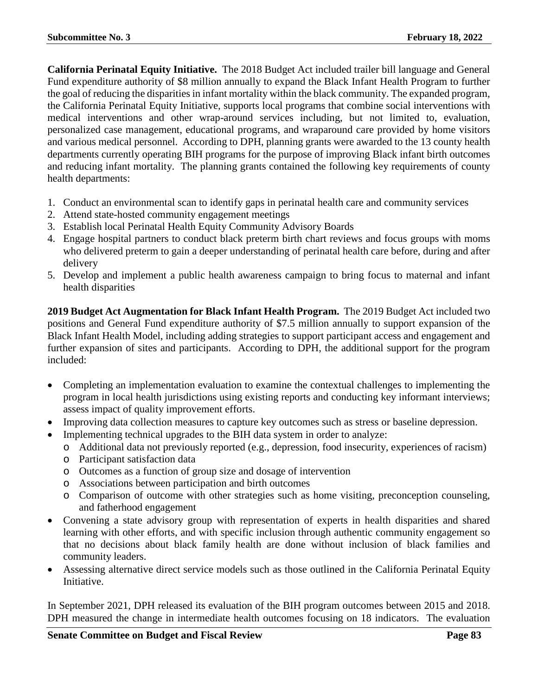**California Perinatal Equity Initiative.** The 2018 Budget Act included trailer bill language and General Fund expenditure authority of \$8 million annually to expand the Black Infant Health Program to further the goal of reducing the disparities in infant mortality within the black community. The expanded program, the California Perinatal Equity Initiative, supports local programs that combine social interventions with medical interventions and other wrap-around services including, but not limited to, evaluation, personalized case management, educational programs, and wraparound care provided by home visitors and various medical personnel. According to DPH, planning grants were awarded to the 13 county health departments currently operating BIH programs for the purpose of improving Black infant birth outcomes and reducing infant mortality. The planning grants contained the following key requirements of county health departments:

- 1. Conduct an environmental scan to identify gaps in perinatal health care and community services
- 2. Attend state-hosted community engagement meetings
- 3. Establish local Perinatal Health Equity Community Advisory Boards
- 4. Engage hospital partners to conduct black preterm birth chart reviews and focus groups with moms who delivered preterm to gain a deeper understanding of perinatal health care before, during and after delivery
- 5. Develop and implement a public health awareness campaign to bring focus to maternal and infant health disparities

**2019 Budget Act Augmentation for Black Infant Health Program.** The 2019 Budget Act included two positions and General Fund expenditure authority of \$7.5 million annually to support expansion of the Black Infant Health Model, including adding strategies to support participant access and engagement and further expansion of sites and participants. According to DPH, the additional support for the program included:

- Completing an implementation evaluation to examine the contextual challenges to implementing the program in local health jurisdictions using existing reports and conducting key informant interviews; assess impact of quality improvement efforts.
- Improving data collection measures to capture key outcomes such as stress or baseline depression.
- Implementing technical upgrades to the BIH data system in order to analyze:
	- o Additional data not previously reported (e.g., depression, food insecurity, experiences of racism)
	- o Participant satisfaction data
	- o Outcomes as a function of group size and dosage of intervention
	- o Associations between participation and birth outcomes
	- o Comparison of outcome with other strategies such as home visiting, preconception counseling, and fatherhood engagement
- Convening a state advisory group with representation of experts in health disparities and shared learning with other efforts, and with specific inclusion through authentic community engagement so that no decisions about black family health are done without inclusion of black families and community leaders.
- Assessing alternative direct service models such as those outlined in the California Perinatal Equity Initiative.

In September 2021, DPH released its evaluation of the BIH program outcomes between 2015 and 2018. DPH measured the change in intermediate health outcomes focusing on 18 indicators. The evaluation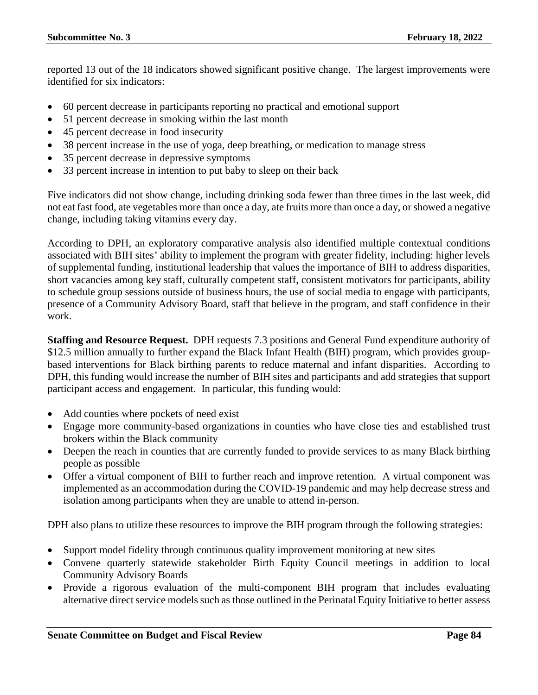reported 13 out of the 18 indicators showed significant positive change. The largest improvements were identified for six indicators:

- 60 percent decrease in participants reporting no practical and emotional support
- 51 percent decrease in smoking within the last month
- 45 percent decrease in food insecurity
- 38 percent increase in the use of yoga, deep breathing, or medication to manage stress
- 35 percent decrease in depressive symptoms
- 33 percent increase in intention to put baby to sleep on their back

Five indicators did not show change, including drinking soda fewer than three times in the last week, did not eat fast food, ate vegetables more than once a day, ate fruits more than once a day, or showed a negative change, including taking vitamins every day.

According to DPH, an exploratory comparative analysis also identified multiple contextual conditions associated with BIH sites' ability to implement the program with greater fidelity, including: higher levels of supplemental funding, institutional leadership that values the importance of BIH to address disparities, short vacancies among key staff, culturally competent staff, consistent motivators for participants, ability to schedule group sessions outside of business hours, the use of social media to engage with participants, presence of a Community Advisory Board, staff that believe in the program, and staff confidence in their work.

**Staffing and Resource Request.** DPH requests 7.3 positions and General Fund expenditure authority of \$12.5 million annually to further expand the Black Infant Health (BIH) program, which provides groupbased interventions for Black birthing parents to reduce maternal and infant disparities. According to DPH, this funding would increase the number of BIH sites and participants and add strategies that support participant access and engagement. In particular, this funding would:

- Add counties where pockets of need exist
- Engage more community-based organizations in counties who have close ties and established trust brokers within the Black community
- Deepen the reach in counties that are currently funded to provide services to as many Black birthing people as possible
- Offer a virtual component of BIH to further reach and improve retention. A virtual component was implemented as an accommodation during the COVID-19 pandemic and may help decrease stress and isolation among participants when they are unable to attend in-person.

DPH also plans to utilize these resources to improve the BIH program through the following strategies:

- Support model fidelity through continuous quality improvement monitoring at new sites
- Convene quarterly statewide stakeholder Birth Equity Council meetings in addition to local Community Advisory Boards
- Provide a rigorous evaluation of the multi-component BIH program that includes evaluating alternative direct service models such as those outlined in the Perinatal Equity Initiative to better assess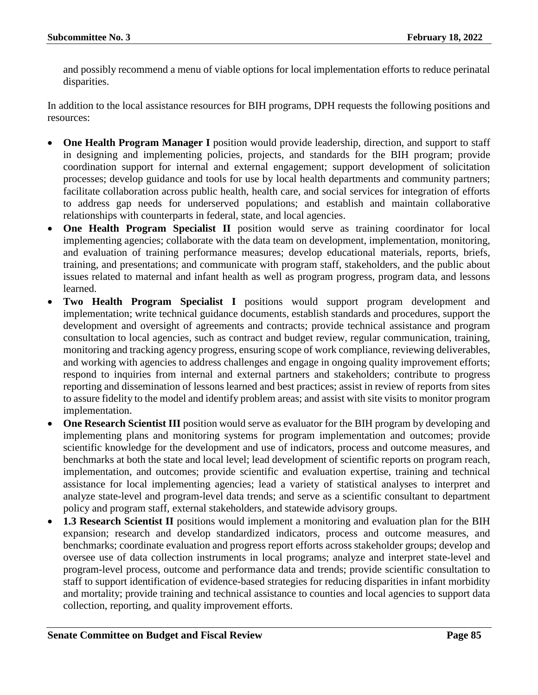and possibly recommend a menu of viable options for local implementation efforts to reduce perinatal disparities.

In addition to the local assistance resources for BIH programs, DPH requests the following positions and resources:

- **One Health Program Manager I** position would provide leadership, direction, and support to staff in designing and implementing policies, projects, and standards for the BIH program; provide coordination support for internal and external engagement; support development of solicitation processes; develop guidance and tools for use by local health departments and community partners; facilitate collaboration across public health, health care, and social services for integration of efforts to address gap needs for underserved populations; and establish and maintain collaborative relationships with counterparts in federal, state, and local agencies.
- **One Health Program Specialist II** position would serve as training coordinator for local implementing agencies; collaborate with the data team on development, implementation, monitoring, and evaluation of training performance measures; develop educational materials, reports, briefs, training, and presentations; and communicate with program staff, stakeholders, and the public about issues related to maternal and infant health as well as program progress, program data, and lessons learned.
- **Two Health Program Specialist I** positions would support program development and implementation; write technical guidance documents, establish standards and procedures, support the development and oversight of agreements and contracts; provide technical assistance and program consultation to local agencies, such as contract and budget review, regular communication, training, monitoring and tracking agency progress, ensuring scope of work compliance, reviewing deliverables, and working with agencies to address challenges and engage in ongoing quality improvement efforts; respond to inquiries from internal and external partners and stakeholders; contribute to progress reporting and dissemination of lessons learned and best practices; assist in review of reports from sites to assure fidelity to the model and identify problem areas; and assist with site visits to monitor program implementation.
- **One Research Scientist III** position would serve as evaluator for the BIH program by developing and implementing plans and monitoring systems for program implementation and outcomes; provide scientific knowledge for the development and use of indicators, process and outcome measures, and benchmarks at both the state and local level; lead development of scientific reports on program reach, implementation, and outcomes; provide scientific and evaluation expertise, training and technical assistance for local implementing agencies; lead a variety of statistical analyses to interpret and analyze state-level and program-level data trends; and serve as a scientific consultant to department policy and program staff, external stakeholders, and statewide advisory groups.
- 1.3 Research Scientist II positions would implement a monitoring and evaluation plan for the BIH expansion; research and develop standardized indicators, process and outcome measures, and benchmarks; coordinate evaluation and progress report efforts across stakeholder groups; develop and oversee use of data collection instruments in local programs; analyze and interpret state-level and program-level process, outcome and performance data and trends; provide scientific consultation to staff to support identification of evidence-based strategies for reducing disparities in infant morbidity and mortality; provide training and technical assistance to counties and local agencies to support data collection, reporting, and quality improvement efforts.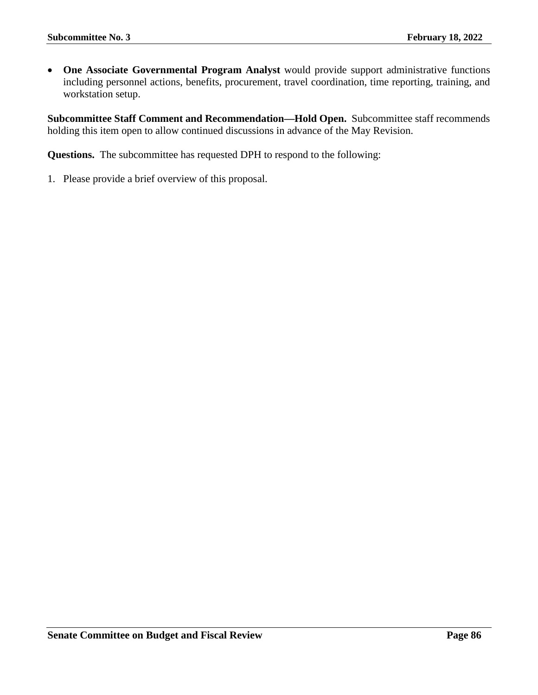• **One Associate Governmental Program Analyst** would provide support administrative functions including personnel actions, benefits, procurement, travel coordination, time reporting, training, and workstation setup.

**Subcommittee Staff Comment and Recommendation—Hold Open.** Subcommittee staff recommends holding this item open to allow continued discussions in advance of the May Revision.

**Questions.** The subcommittee has requested DPH to respond to the following: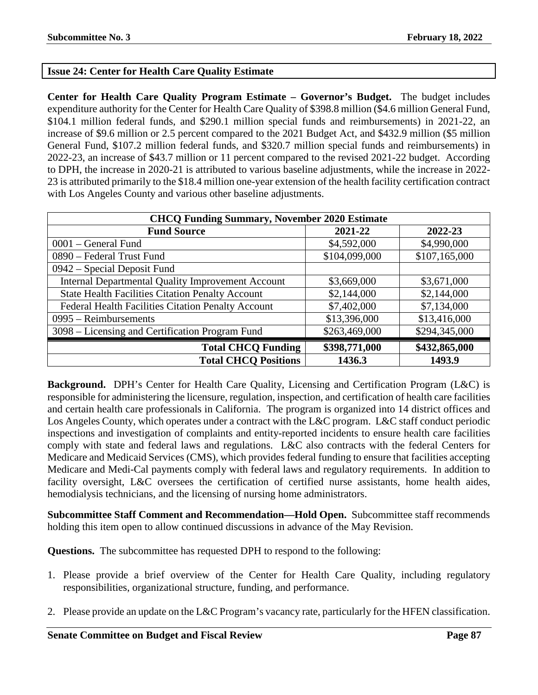# **Issue 24: Center for Health Care Quality Estimate**

**Center for Health Care Quality Program Estimate – Governor's Budget.** The budget includes expenditure authority for the Center for Health Care Quality of \$398.8 million (\$4.6 million General Fund, \$104.1 million federal funds, and \$290.1 million special funds and reimbursements) in 2021-22, an increase of \$9.6 million or 2.5 percent compared to the 2021 Budget Act, and \$432.9 million (\$5 million General Fund, \$107.2 million federal funds, and \$320.7 million special funds and reimbursements) in 2022-23, an increase of \$43.7 million or 11 percent compared to the revised 2021-22 budget. According to DPH, the increase in 2020-21 is attributed to various baseline adjustments, while the increase in 2022- 23 is attributed primarily to the \$18.4 million one-year extension of the health facility certification contract with Los Angeles County and various other baseline adjustments.

| <b>CHCQ Funding Summary, November 2020 Estimate</b>      |               |               |
|----------------------------------------------------------|---------------|---------------|
| <b>Fund Source</b>                                       | 2021-22       | 2022-23       |
| 0001 – General Fund                                      | \$4,592,000   | \$4,990,000   |
| 0890 – Federal Trust Fund                                | \$104,099,000 | \$107,165,000 |
| $0942$ – Special Deposit Fund                            |               |               |
| <b>Internal Departmental Quality Improvement Account</b> | \$3,669,000   | \$3,671,000   |
| <b>State Health Facilities Citation Penalty Account</b>  | \$2,144,000   | \$2,144,000   |
| Federal Health Facilities Citation Penalty Account       | \$7,402,000   | \$7,134,000   |
| 0995 – Reimbursements                                    | \$13,396,000  | \$13,416,000  |
| 3098 – Licensing and Certification Program Fund          | \$263,469,000 | \$294,345,000 |
| <b>Total CHCQ Funding</b>                                | \$398,771,000 | \$432,865,000 |
| <b>Total CHCO Positions</b>                              | 1436.3        | 1493.9        |

**Background.** DPH's Center for Health Care Quality, Licensing and Certification Program (L&C) is responsible for administering the licensure, regulation, inspection, and certification of health care facilities and certain health care professionals in California. The program is organized into 14 district offices and Los Angeles County, which operates under a contract with the L&C program. L&C staff conduct periodic inspections and investigation of complaints and entity-reported incidents to ensure health care facilities comply with state and federal laws and regulations. L&C also contracts with the federal Centers for Medicare and Medicaid Services (CMS), which provides federal funding to ensure that facilities accepting Medicare and Medi-Cal payments comply with federal laws and regulatory requirements. In addition to facility oversight, L&C oversees the certification of certified nurse assistants, home health aides, hemodialysis technicians, and the licensing of nursing home administrators.

**Subcommittee Staff Comment and Recommendation—Hold Open.** Subcommittee staff recommends holding this item open to allow continued discussions in advance of the May Revision.

**Questions.** The subcommittee has requested DPH to respond to the following:

- 1. Please provide a brief overview of the Center for Health Care Quality, including regulatory responsibilities, organizational structure, funding, and performance.
- 2. Please provide an update on the L&C Program's vacancy rate, particularly for the HFEN classification.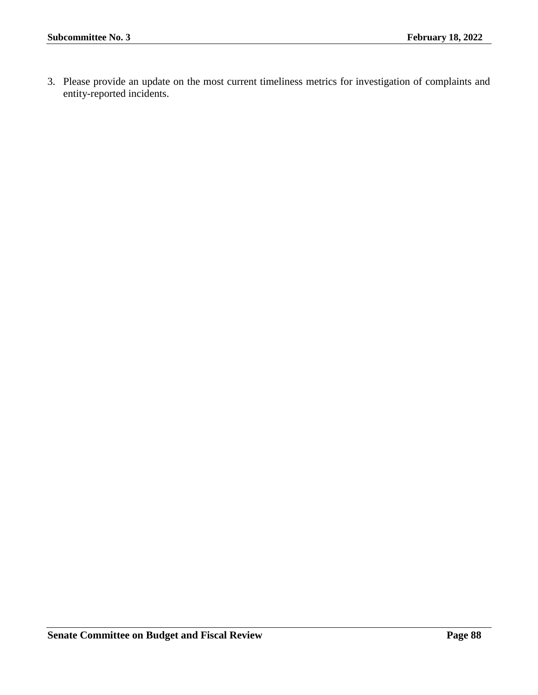3. Please provide an update on the most current timeliness metrics for investigation of complaints and entity-reported incidents.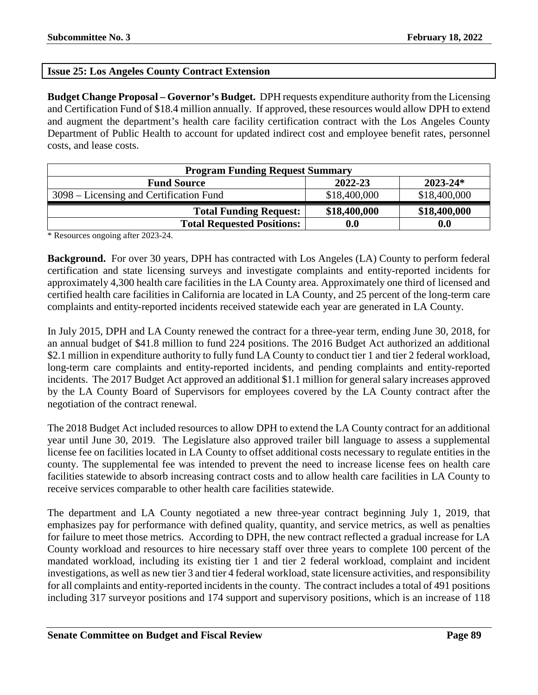# **Issue 25: Los Angeles County Contract Extension**

**Budget Change Proposal – Governor's Budget.** DPH requests expenditure authority from the Licensing and Certification Fund of \$18.4 million annually. If approved, these resources would allow DPH to extend and augment the department's health care facility certification contract with the Los Angeles County Department of Public Health to account for updated indirect cost and employee benefit rates, personnel costs, and lease costs.

| <b>Program Funding Request Summary</b>  |              |              |
|-----------------------------------------|--------------|--------------|
| <b>Fund Source</b>                      | 2022-23      | $2023 - 24*$ |
| 3098 – Licensing and Certification Fund | \$18,400,000 | \$18,400,000 |
| <b>Total Funding Request:</b>           | \$18,400,000 | \$18,400,000 |
| <b>Total Requested Positions:</b>       | 0.0          | 0.0          |

\* Resources ongoing after 2023-24.

**Background.** For over 30 years, DPH has contracted with Los Angeles (LA) County to perform federal certification and state licensing surveys and investigate complaints and entity-reported incidents for approximately 4,300 health care facilities in the LA County area. Approximately one third of licensed and certified health care facilities in California are located in LA County, and 25 percent of the long-term care complaints and entity-reported incidents received statewide each year are generated in LA County.

In July 2015, DPH and LA County renewed the contract for a three-year term, ending June 30, 2018, for an annual budget of \$41.8 million to fund 224 positions. The 2016 Budget Act authorized an additional \$2.1 million in expenditure authority to fully fund LA County to conduct tier 1 and tier 2 federal workload, long-term care complaints and entity-reported incidents, and pending complaints and entity-reported incidents. The 2017 Budget Act approved an additional \$1.1 million for general salary increases approved by the LA County Board of Supervisors for employees covered by the LA County contract after the negotiation of the contract renewal.

The 2018 Budget Act included resources to allow DPH to extend the LA County contract for an additional year until June 30, 2019. The Legislature also approved trailer bill language to assess a supplemental license fee on facilities located in LA County to offset additional costs necessary to regulate entities in the county. The supplemental fee was intended to prevent the need to increase license fees on health care facilities statewide to absorb increasing contract costs and to allow health care facilities in LA County to receive services comparable to other health care facilities statewide.

The department and LA County negotiated a new three-year contract beginning July 1, 2019, that emphasizes pay for performance with defined quality, quantity, and service metrics, as well as penalties for failure to meet those metrics. According to DPH, the new contract reflected a gradual increase for LA County workload and resources to hire necessary staff over three years to complete 100 percent of the mandated workload, including its existing tier 1 and tier 2 federal workload, complaint and incident investigations, as well as new tier 3 and tier 4 federal workload, state licensure activities, and responsibility for all complaints and entity-reported incidents in the county. The contract includes a total of 491 positions including 317 surveyor positions and 174 support and supervisory positions, which is an increase of 118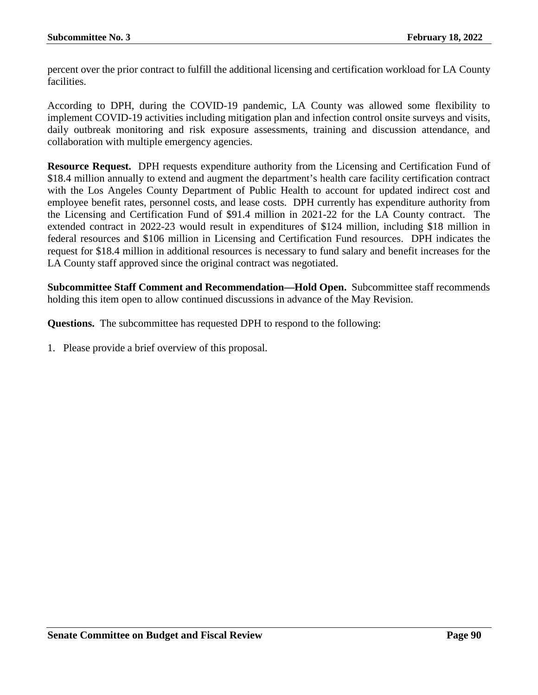percent over the prior contract to fulfill the additional licensing and certification workload for LA County facilities.

According to DPH, during the COVID-19 pandemic, LA County was allowed some flexibility to implement COVID-19 activities including mitigation plan and infection control onsite surveys and visits, daily outbreak monitoring and risk exposure assessments, training and discussion attendance, and collaboration with multiple emergency agencies.

**Resource Request.** DPH requests expenditure authority from the Licensing and Certification Fund of \$18.4 million annually to extend and augment the department's health care facility certification contract with the Los Angeles County Department of Public Health to account for updated indirect cost and employee benefit rates, personnel costs, and lease costs. DPH currently has expenditure authority from the Licensing and Certification Fund of \$91.4 million in 2021-22 for the LA County contract. The extended contract in 2022-23 would result in expenditures of \$124 million, including \$18 million in federal resources and \$106 million in Licensing and Certification Fund resources. DPH indicates the request for \$18.4 million in additional resources is necessary to fund salary and benefit increases for the LA County staff approved since the original contract was negotiated.

**Subcommittee Staff Comment and Recommendation—Hold Open.** Subcommittee staff recommends holding this item open to allow continued discussions in advance of the May Revision.

**Questions.** The subcommittee has requested DPH to respond to the following: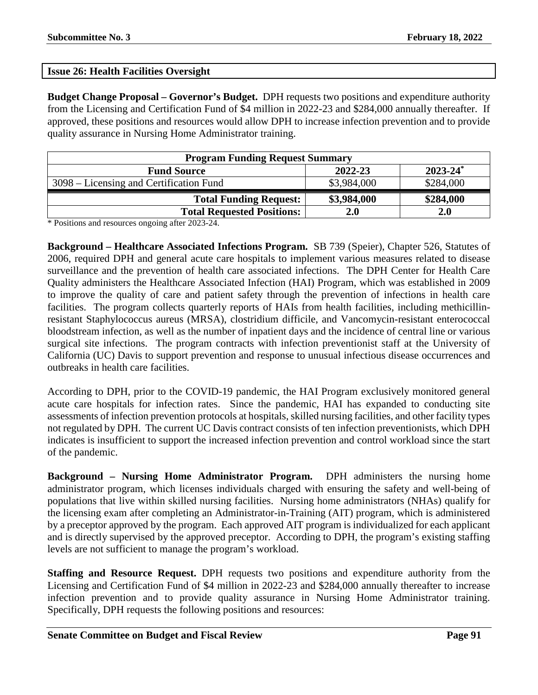#### **Issue 26: Health Facilities Oversight**

**Budget Change Proposal – Governor's Budget.** DPH requests two positions and expenditure authority from the Licensing and Certification Fund of \$4 million in 2022-23 and \$284,000 annually thereafter. If approved, these positions and resources would allow DPH to increase infection prevention and to provide quality assurance in Nursing Home Administrator training.

| <b>Program Funding Request Summary</b>  |             |               |
|-----------------------------------------|-------------|---------------|
| <b>Fund Source</b>                      | 2022-23     | $2023 - 24^*$ |
| 3098 – Licensing and Certification Fund | \$3,984,000 | \$284,000     |
| <b>Total Funding Request:</b>           | \$3,984,000 | \$284,000     |
| <b>Total Requested Positions:</b>       | 2.0         | <b>2.0</b>    |

\* Positions and resources ongoing after 2023-24.

**Background – Healthcare Associated Infections Program.** SB 739 (Speier), Chapter 526, Statutes of 2006, required DPH and general acute care hospitals to implement various measures related to disease surveillance and the prevention of health care associated infections. The DPH Center for Health Care Quality administers the Healthcare Associated Infection (HAI) Program, which was established in 2009 to improve the quality of care and patient safety through the prevention of infections in health care facilities. The program collects quarterly reports of HAIs from health facilities, including methicillinresistant Staphylococcus aureus (MRSA), clostridium difficile, and Vancomycin-resistant enterococcal bloodstream infection, as well as the number of inpatient days and the incidence of central line or various surgical site infections. The program contracts with infection preventionist staff at the University of California (UC) Davis to support prevention and response to unusual infectious disease occurrences and outbreaks in health care facilities.

According to DPH, prior to the COVID-19 pandemic, the HAI Program exclusively monitored general acute care hospitals for infection rates. Since the pandemic, HAI has expanded to conducting site assessments of infection prevention protocols at hospitals, skilled nursing facilities, and other facility types not regulated by DPH. The current UC Davis contract consists of ten infection preventionists, which DPH indicates is insufficient to support the increased infection prevention and control workload since the start of the pandemic.

**Background – Nursing Home Administrator Program.** DPH administers the nursing home administrator program, which licenses individuals charged with ensuring the safety and well-being of populations that live within skilled nursing facilities. Nursing home administrators (NHAs) qualify for the licensing exam after completing an Administrator-in-Training (AIT) program, which is administered by a preceptor approved by the program. Each approved AIT program is individualized for each applicant and is directly supervised by the approved preceptor. According to DPH, the program's existing staffing levels are not sufficient to manage the program's workload.

**Staffing and Resource Request.** DPH requests two positions and expenditure authority from the Licensing and Certification Fund of \$4 million in 2022-23 and \$284,000 annually thereafter to increase infection prevention and to provide quality assurance in Nursing Home Administrator training. Specifically, DPH requests the following positions and resources: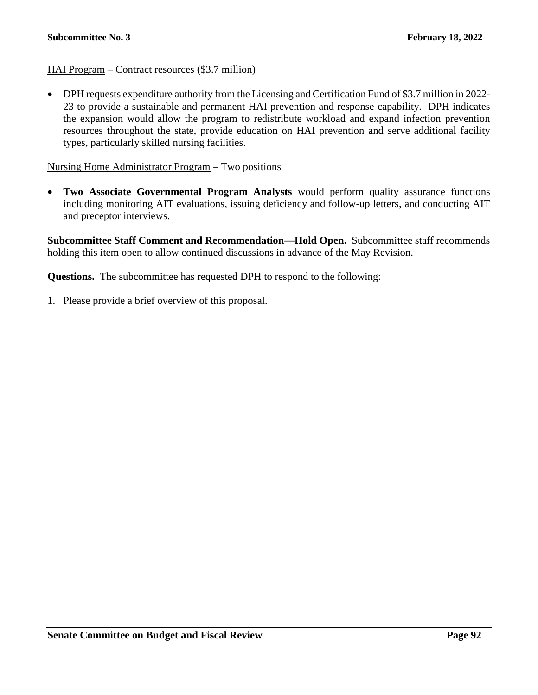HAI Program – Contract resources (\$3.7 million)

• DPH requests expenditure authority from the Licensing and Certification Fund of \$3.7 million in 2022- 23 to provide a sustainable and permanent HAI prevention and response capability. DPH indicates the expansion would allow the program to redistribute workload and expand infection prevention resources throughout the state, provide education on HAI prevention and serve additional facility types, particularly skilled nursing facilities.

Nursing Home Administrator Program – Two positions

• **Two Associate Governmental Program Analysts** would perform quality assurance functions including monitoring AIT evaluations, issuing deficiency and follow-up letters, and conducting AIT and preceptor interviews.

**Subcommittee Staff Comment and Recommendation—Hold Open.** Subcommittee staff recommends holding this item open to allow continued discussions in advance of the May Revision.

**Questions.** The subcommittee has requested DPH to respond to the following: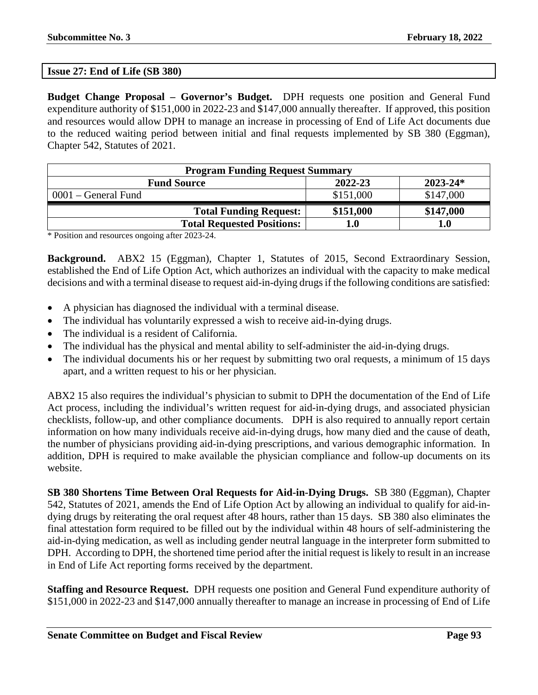#### **Issue 27: End of Life (SB 380)**

**Budget Change Proposal – Governor's Budget.** DPH requests one position and General Fund expenditure authority of \$151,000 in 2022-23 and \$147,000 annually thereafter. If approved, this position and resources would allow DPH to manage an increase in processing of End of Life Act documents due to the reduced waiting period between initial and final requests implemented by SB 380 (Eggman), Chapter 542, Statutes of 2021.

| <b>Program Funding Request Summary</b> |           |              |
|----------------------------------------|-----------|--------------|
| <b>Fund Source</b>                     | 2022-23   | $2023 - 24*$ |
| $0001$ – General Fund                  | \$151,000 | \$147,000    |
| <b>Total Funding Request:</b>          | \$151,000 | \$147,000    |
| <b>Total Requested Positions:</b>      | 1.0       | 1.0          |

\* Position and resources ongoing after 2023-24.

**Background.** ABX2 15 (Eggman), Chapter 1, Statutes of 2015, Second Extraordinary Session, established the End of Life Option Act, which authorizes an individual with the capacity to make medical decisions and with a terminal disease to request aid-in-dying drugs if the following conditions are satisfied:

- A physician has diagnosed the individual with a terminal disease.
- The individual has voluntarily expressed a wish to receive aid-in-dying drugs.
- The individual is a resident of California.
- The individual has the physical and mental ability to self-administer the aid-in-dying drugs.
- The individual documents his or her request by submitting two oral requests, a minimum of 15 days apart, and a written request to his or her physician.

ABX2 15 also requires the individual's physician to submit to DPH the documentation of the End of Life Act process, including the individual's written request for aid-in-dying drugs, and associated physician checklists, follow-up, and other compliance documents. DPH is also required to annually report certain information on how many individuals receive aid-in-dying drugs, how many died and the cause of death, the number of physicians providing aid-in-dying prescriptions, and various demographic information. In addition, DPH is required to make available the physician compliance and follow-up documents on its website.

**SB 380 Shortens Time Between Oral Requests for Aid-in-Dying Drugs.** SB 380 (Eggman), Chapter 542, Statutes of 2021, amends the End of Life Option Act by allowing an individual to qualify for aid-indying drugs by reiterating the oral request after 48 hours, rather than 15 days. SB 380 also eliminates the final attestation form required to be filled out by the individual within 48 hours of self-administering the aid-in-dying medication, as well as including gender neutral language in the interpreter form submitted to DPH. According to DPH, the shortened time period after the initial request is likely to result in an increase in End of Life Act reporting forms received by the department.

**Staffing and Resource Request.** DPH requests one position and General Fund expenditure authority of \$151,000 in 2022-23 and \$147,000 annually thereafter to manage an increase in processing of End of Life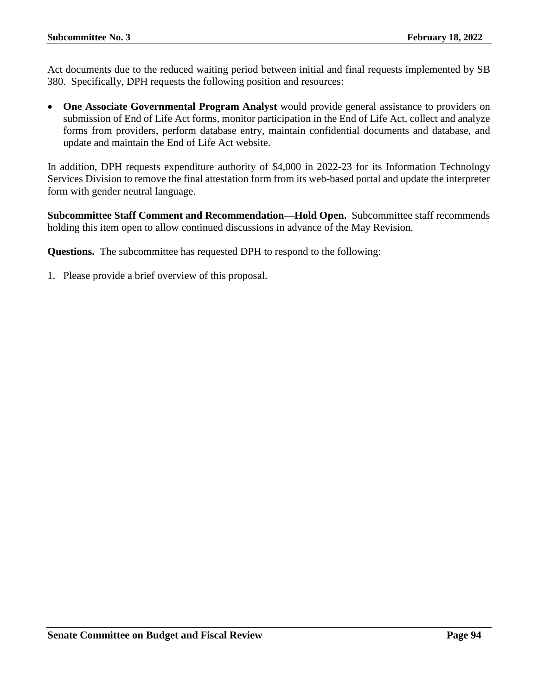Act documents due to the reduced waiting period between initial and final requests implemented by SB 380. Specifically, DPH requests the following position and resources:

• One Associate Governmental Program Analyst would provide general assistance to providers on submission of End of Life Act forms, monitor participation in the End of Life Act, collect and analyze forms from providers, perform database entry, maintain confidential documents and database, and update and maintain the End of Life Act website.

In addition, DPH requests expenditure authority of \$4,000 in 2022-23 for its Information Technology Services Division to remove the final attestation form from its web-based portal and update the interpreter form with gender neutral language.

**Subcommittee Staff Comment and Recommendation—Hold Open.** Subcommittee staff recommends holding this item open to allow continued discussions in advance of the May Revision.

**Questions.** The subcommittee has requested DPH to respond to the following: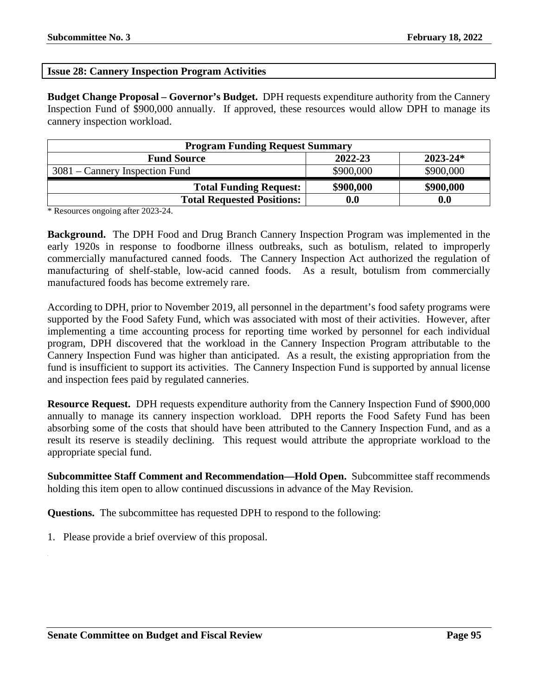### **Issue 28: Cannery Inspection Program Activities**

**Budget Change Proposal – Governor's Budget.** DPH requests expenditure authority from the Cannery Inspection Fund of \$900,000 annually. If approved, these resources would allow DPH to manage its cannery inspection workload.

| <b>Program Funding Request Summary</b> |           |              |
|----------------------------------------|-----------|--------------|
| <b>Fund Source</b>                     | 2022-23   | $2023 - 24*$ |
| $3081$ – Cannery Inspection Fund       | \$900,000 | \$900,000    |
| <b>Total Funding Request:</b>          | \$900,000 | \$900,000    |
| <b>Total Requested Positions:</b>      | 0.0       | 0.0          |

\* Resources ongoing after 2023-24.

**Background.** The DPH Food and Drug Branch Cannery Inspection Program was implemented in the early 1920s in response to foodborne illness outbreaks, such as botulism, related to improperly commercially manufactured canned foods. The Cannery Inspection Act authorized the regulation of manufacturing of shelf-stable, low-acid canned foods. As a result, botulism from commercially manufactured foods has become extremely rare.

According to DPH, prior to November 2019, all personnel in the department's food safety programs were supported by the Food Safety Fund, which was associated with most of their activities. However, after implementing a time accounting process for reporting time worked by personnel for each individual program, DPH discovered that the workload in the Cannery Inspection Program attributable to the Cannery Inspection Fund was higher than anticipated. As a result, the existing appropriation from the fund is insufficient to support its activities. The Cannery Inspection Fund is supported by annual license and inspection fees paid by regulated canneries.

**Resource Request.** DPH requests expenditure authority from the Cannery Inspection Fund of \$900,000 annually to manage its cannery inspection workload. DPH reports the Food Safety Fund has been absorbing some of the costs that should have been attributed to the Cannery Inspection Fund, and as a result its reserve is steadily declining. This request would attribute the appropriate workload to the appropriate special fund.

**Subcommittee Staff Comment and Recommendation—Hold Open.** Subcommittee staff recommends holding this item open to allow continued discussions in advance of the May Revision.

**Questions.** The subcommittee has requested DPH to respond to the following: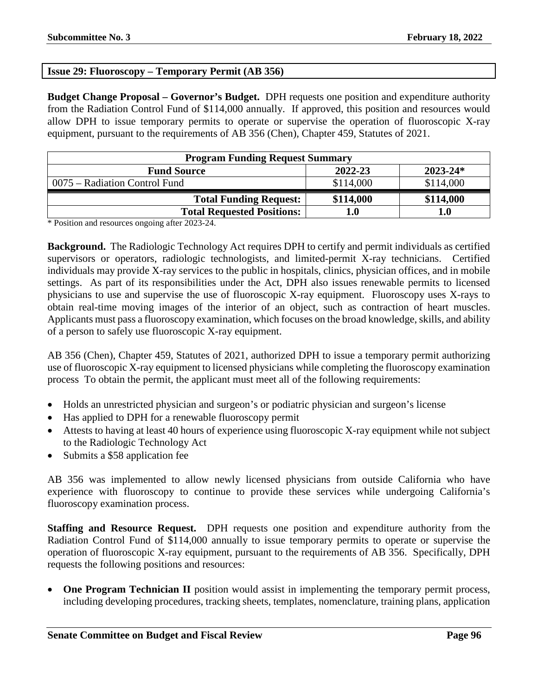# **Issue 29: Fluoroscopy – Temporary Permit (AB 356)**

**Budget Change Proposal – Governor's Budget.** DPH requests one position and expenditure authority from the Radiation Control Fund of \$114,000 annually. If approved, this position and resources would allow DPH to issue temporary permits to operate or supervise the operation of fluoroscopic X-ray equipment, pursuant to the requirements of AB 356 (Chen), Chapter 459, Statutes of 2021.

| <b>Program Funding Request Summary</b> |           |              |
|----------------------------------------|-----------|--------------|
| <b>Fund Source</b>                     | 2022-23   | $2023 - 24*$ |
| 0075 – Radiation Control Fund          | \$114,000 | \$114,000    |
| <b>Total Funding Request:</b>          | \$114,000 | \$114,000    |
| <b>Total Requested Positions:</b>      | l.0       | 1.0          |

\* Position and resources ongoing after 2023-24.

**Background.** The Radiologic Technology Act requires DPH to certify and permit individuals as certified supervisors or operators, radiologic technologists, and limited-permit X-ray technicians. Certified individuals may provide X-ray services to the public in hospitals, clinics, physician offices, and in mobile settings. As part of its responsibilities under the Act, DPH also issues renewable permits to licensed physicians to use and supervise the use of fluoroscopic X-ray equipment. Fluoroscopy uses X-rays to obtain real-time moving images of the interior of an object, such as contraction of heart muscles. Applicants must pass a fluoroscopy examination, which focuses on the broad knowledge, skills, and ability of a person to safely use fluoroscopic X-ray equipment.

AB 356 (Chen), Chapter 459, Statutes of 2021, authorized DPH to issue a temporary permit authorizing use of fluoroscopic X-ray equipment to licensed physicians while completing the fluoroscopy examination process To obtain the permit, the applicant must meet all of the following requirements:

- Holds an unrestricted physician and surgeon's or podiatric physician and surgeon's license
- Has applied to DPH for a renewable fluoroscopy permit
- Attests to having at least 40 hours of experience using fluoroscopic X-ray equipment while not subject to the Radiologic Technology Act
- Submits a \$58 application fee

AB 356 was implemented to allow newly licensed physicians from outside California who have experience with fluoroscopy to continue to provide these services while undergoing California's fluoroscopy examination process.

**Staffing and Resource Request.** DPH requests one position and expenditure authority from the Radiation Control Fund of \$114,000 annually to issue temporary permits to operate or supervise the operation of fluoroscopic X-ray equipment, pursuant to the requirements of AB 356. Specifically, DPH requests the following positions and resources:

• **One Program Technician II** position would assist in implementing the temporary permit process, including developing procedures, tracking sheets, templates, nomenclature, training plans, application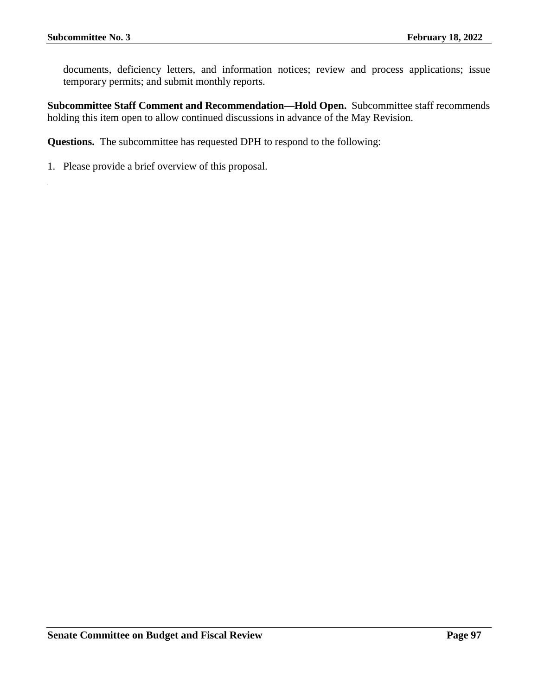documents, deficiency letters, and information notices; review and process applications; issue temporary permits; and submit monthly reports.

**Subcommittee Staff Comment and Recommendation—Hold Open.** Subcommittee staff recommends holding this item open to allow continued discussions in advance of the May Revision.

**Questions.** The subcommittee has requested DPH to respond to the following: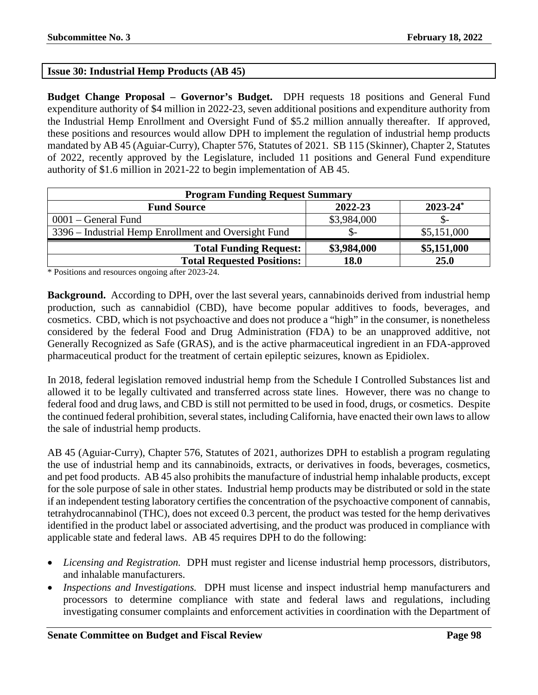### **Issue 30: Industrial Hemp Products (AB 45)**

**Budget Change Proposal – Governor's Budget.** DPH requests 18 positions and General Fund expenditure authority of \$4 million in 2022-23, seven additional positions and expenditure authority from the Industrial Hemp Enrollment and Oversight Fund of \$5.2 million annually thereafter. If approved, these positions and resources would allow DPH to implement the regulation of industrial hemp products mandated by AB 45 (Aguiar-Curry), Chapter 576, Statutes of 2021. SB 115 (Skinner), Chapter 2, Statutes of 2022, recently approved by the Legislature, included 11 positions and General Fund expenditure authority of \$1.6 million in 2021-22 to begin implementation of AB 45.

| <b>Program Funding Request Summary</b>               |             |                          |
|------------------------------------------------------|-------------|--------------------------|
| <b>Fund Source</b>                                   | 2022-23     | $2023 - 24$ <sup>*</sup> |
| $0001$ – General Fund                                | \$3,984,000 |                          |
| 3396 – Industrial Hemp Enrollment and Oversight Fund |             | \$5,151,000              |
| <b>Total Funding Request:</b>                        | \$3,984,000 | \$5,151,000              |
| <b>Total Requested Positions:</b>                    | 18.0        | 25.0                     |

\* Positions and resources ongoing after 2023-24.

**Background.** According to DPH, over the last several years, cannabinoids derived from industrial hemp production, such as cannabidiol (CBD), have become popular additives to foods, beverages, and cosmetics. CBD, which is not psychoactive and does not produce a "high" in the consumer, is nonetheless considered by the federal Food and Drug Administration (FDA) to be an unapproved additive, not Generally Recognized as Safe (GRAS), and is the active pharmaceutical ingredient in an FDA-approved pharmaceutical product for the treatment of certain epileptic seizures, known as Epidiolex.

In 2018, federal legislation removed industrial hemp from the Schedule I Controlled Substances list and allowed it to be legally cultivated and transferred across state lines. However, there was no change to federal food and drug laws, and CBD is still not permitted to be used in food, drugs, or cosmetics. Despite the continued federal prohibition, several states, including California, have enacted their own laws to allow the sale of industrial hemp products.

AB 45 (Aguiar-Curry), Chapter 576, Statutes of 2021, authorizes DPH to establish a program regulating the use of industrial hemp and its cannabinoids, extracts, or derivatives in foods, beverages, cosmetics, and pet food products. AB 45 also prohibits the manufacture of industrial hemp inhalable products, except for the sole purpose of sale in other states. Industrial hemp products may be distributed or sold in the state if an independent testing laboratory certifies the concentration of the psychoactive component of cannabis, tetrahydrocannabinol (THC), does not exceed 0.3 percent, the product was tested for the hemp derivatives identified in the product label or associated advertising, and the product was produced in compliance with applicable state and federal laws. AB 45 requires DPH to do the following:

- *Licensing and Registration.* DPH must register and license industrial hemp processors, distributors, and inhalable manufacturers.
- *Inspections and Investigations.* DPH must license and inspect industrial hemp manufacturers and processors to determine compliance with state and federal laws and regulations, including investigating consumer complaints and enforcement activities in coordination with the Department of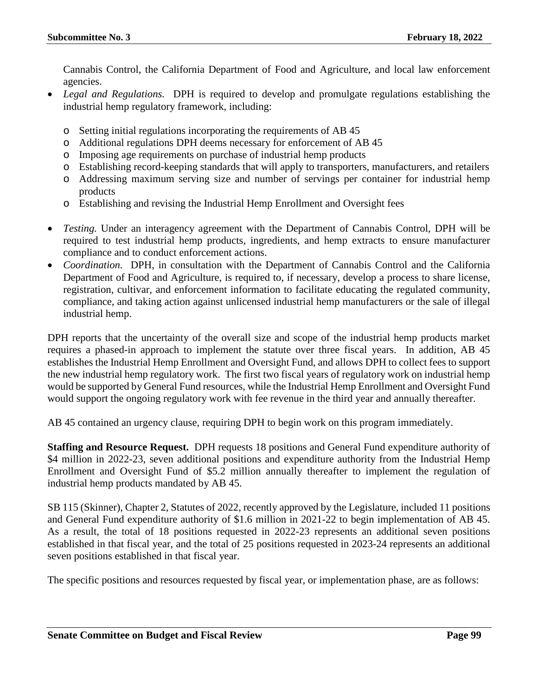Cannabis Control, the California Department of Food and Agriculture, and local law enforcement agencies.

- *Legal and Regulations.* DPH is required to develop and promulgate regulations establishing the industrial hemp regulatory framework, including:
	- o Setting initial regulations incorporating the requirements of AB 45
	- o Additional regulations DPH deems necessary for enforcement of AB 45
	- o Imposing age requirements on purchase of industrial hemp products
	- o Establishing record-keeping standards that will apply to transporters, manufacturers, and retailers
	- o Addressing maximum serving size and number of servings per container for industrial hemp products
	- o Establishing and revising the Industrial Hemp Enrollment and Oversight fees
- *Testing.* Under an interagency agreement with the Department of Cannabis Control, DPH will be required to test industrial hemp products, ingredients, and hemp extracts to ensure manufacturer compliance and to conduct enforcement actions.
- *Coordination.* DPH, in consultation with the Department of Cannabis Control and the California Department of Food and Agriculture, is required to, if necessary, develop a process to share license, registration, cultivar, and enforcement information to facilitate educating the regulated community, compliance, and taking action against unlicensed industrial hemp manufacturers or the sale of illegal industrial hemp.

DPH reports that the uncertainty of the overall size and scope of the industrial hemp products market requires a phased-in approach to implement the statute over three fiscal years. In addition, AB 45 establishes the Industrial Hemp Enrollment and Oversight Fund, and allows DPH to collect fees to support the new industrial hemp regulatory work. The first two fiscal years of regulatory work on industrial hemp would be supported by General Fund resources, while the Industrial Hemp Enrollment and Oversight Fund would support the ongoing regulatory work with fee revenue in the third year and annually thereafter.

AB 45 contained an urgency clause, requiring DPH to begin work on this program immediately.

**Staffing and Resource Request.** DPH requests 18 positions and General Fund expenditure authority of \$4 million in 2022-23, seven additional positions and expenditure authority from the Industrial Hemp Enrollment and Oversight Fund of \$5.2 million annually thereafter to implement the regulation of industrial hemp products mandated by AB 45.

SB 115 (Skinner), Chapter 2, Statutes of 2022, recently approved by the Legislature, included 11 positions and General Fund expenditure authority of \$1.6 million in 2021-22 to begin implementation of AB 45. As a result, the total of 18 positions requested in 2022-23 represents an additional seven positions established in that fiscal year, and the total of 25 positions requested in 2023-24 represents an additional seven positions established in that fiscal year.

The specific positions and resources requested by fiscal year, or implementation phase, are as follows: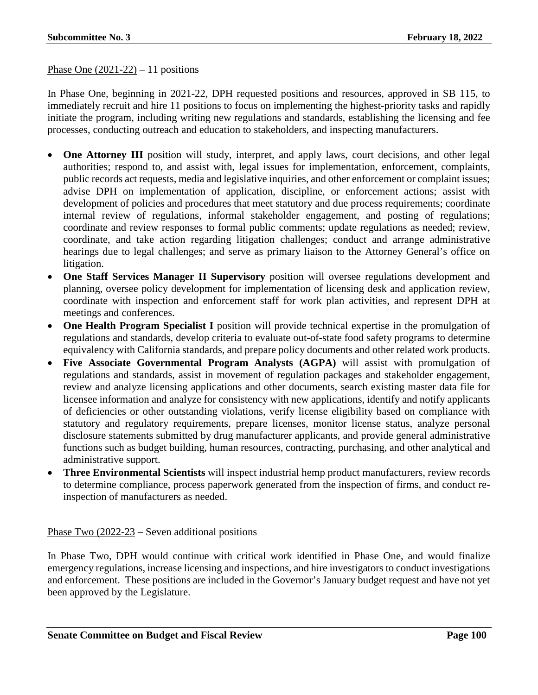#### Phase One  $(2021-22) - 11$  positions

In Phase One, beginning in 2021-22, DPH requested positions and resources, approved in SB 115, to immediately recruit and hire 11 positions to focus on implementing the highest-priority tasks and rapidly initiate the program, including writing new regulations and standards, establishing the licensing and fee processes, conducting outreach and education to stakeholders, and inspecting manufacturers.

- **One Attorney III** position will study, interpret, and apply laws, court decisions, and other legal authorities; respond to, and assist with, legal issues for implementation, enforcement, complaints, public records act requests, media and legislative inquiries, and other enforcement or complaint issues; advise DPH on implementation of application, discipline, or enforcement actions; assist with development of policies and procedures that meet statutory and due process requirements; coordinate internal review of regulations, informal stakeholder engagement, and posting of regulations; coordinate and review responses to formal public comments; update regulations as needed; review, coordinate, and take action regarding litigation challenges; conduct and arrange administrative hearings due to legal challenges; and serve as primary liaison to the Attorney General's office on litigation.
- **One Staff Services Manager II Supervisory** position will oversee regulations development and planning, oversee policy development for implementation of licensing desk and application review, coordinate with inspection and enforcement staff for work plan activities, and represent DPH at meetings and conferences.
- **One Health Program Specialist I** position will provide technical expertise in the promulgation of regulations and standards, develop criteria to evaluate out-of-state food safety programs to determine equivalency with California standards, and prepare policy documents and other related work products.
- **Five Associate Governmental Program Analysts (AGPA)** will assist with promulgation of regulations and standards, assist in movement of regulation packages and stakeholder engagement, review and analyze licensing applications and other documents, search existing master data file for licensee information and analyze for consistency with new applications, identify and notify applicants of deficiencies or other outstanding violations, verify license eligibility based on compliance with statutory and regulatory requirements, prepare licenses, monitor license status, analyze personal disclosure statements submitted by drug manufacturer applicants, and provide general administrative functions such as budget building, human resources, contracting, purchasing, and other analytical and administrative support.
- **Three Environmental Scientists** will inspect industrial hemp product manufacturers, review records to determine compliance, process paperwork generated from the inspection of firms, and conduct reinspection of manufacturers as needed.

Phase Two (2022-23 – Seven additional positions

In Phase Two, DPH would continue with critical work identified in Phase One, and would finalize emergency regulations, increase licensing and inspections, and hire investigators to conduct investigations and enforcement. These positions are included in the Governor's January budget request and have not yet been approved by the Legislature.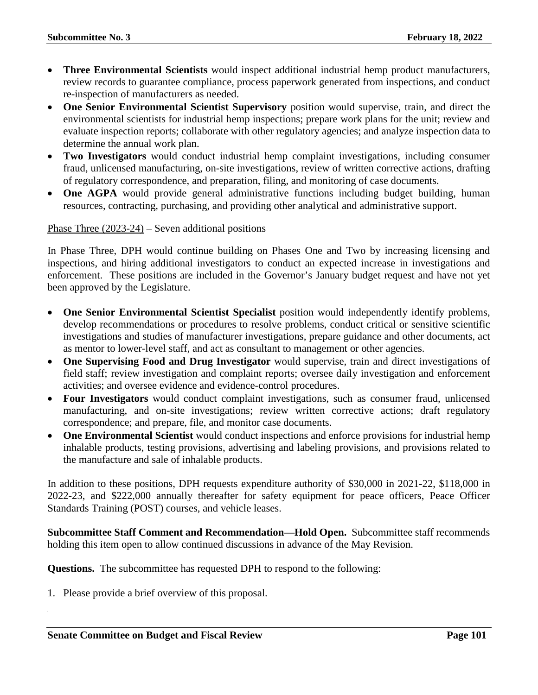- **Three Environmental Scientists** would inspect additional industrial hemp product manufacturers, review records to guarantee compliance, process paperwork generated from inspections, and conduct re-inspection of manufacturers as needed.
- **One Senior Environmental Scientist Supervisory** position would supervise, train, and direct the environmental scientists for industrial hemp inspections; prepare work plans for the unit; review and evaluate inspection reports; collaborate with other regulatory agencies; and analyze inspection data to determine the annual work plan.
- **Two Investigators** would conduct industrial hemp complaint investigations, including consumer fraud, unlicensed manufacturing, on-site investigations, review of written corrective actions, drafting of regulatory correspondence, and preparation, filing, and monitoring of case documents.
- **One AGPA** would provide general administrative functions including budget building, human resources, contracting, purchasing, and providing other analytical and administrative support.

Phase Three (2023-24) – Seven additional positions

In Phase Three, DPH would continue building on Phases One and Two by increasing licensing and inspections, and hiring additional investigators to conduct an expected increase in investigations and enforcement. These positions are included in the Governor's January budget request and have not yet been approved by the Legislature.

- **One Senior Environmental Scientist Specialist** position would independently identify problems, develop recommendations or procedures to resolve problems, conduct critical or sensitive scientific investigations and studies of manufacturer investigations, prepare guidance and other documents, act as mentor to lower-level staff, and act as consultant to management or other agencies.
- **One Supervising Food and Drug Investigator** would supervise, train and direct investigations of field staff; review investigation and complaint reports; oversee daily investigation and enforcement activities; and oversee evidence and evidence-control procedures.
- **Four Investigators** would conduct complaint investigations, such as consumer fraud, unlicensed manufacturing, and on-site investigations; review written corrective actions; draft regulatory correspondence; and prepare, file, and monitor case documents.
- **One Environmental Scientist** would conduct inspections and enforce provisions for industrial hemp inhalable products, testing provisions, advertising and labeling provisions, and provisions related to the manufacture and sale of inhalable products.

In addition to these positions, DPH requests expenditure authority of \$30,000 in 2021-22, \$118,000 in 2022-23, and \$222,000 annually thereafter for safety equipment for peace officers, Peace Officer Standards Training (POST) courses, and vehicle leases.

**Subcommittee Staff Comment and Recommendation—Hold Open.** Subcommittee staff recommends holding this item open to allow continued discussions in advance of the May Revision.

**Questions.** The subcommittee has requested DPH to respond to the following: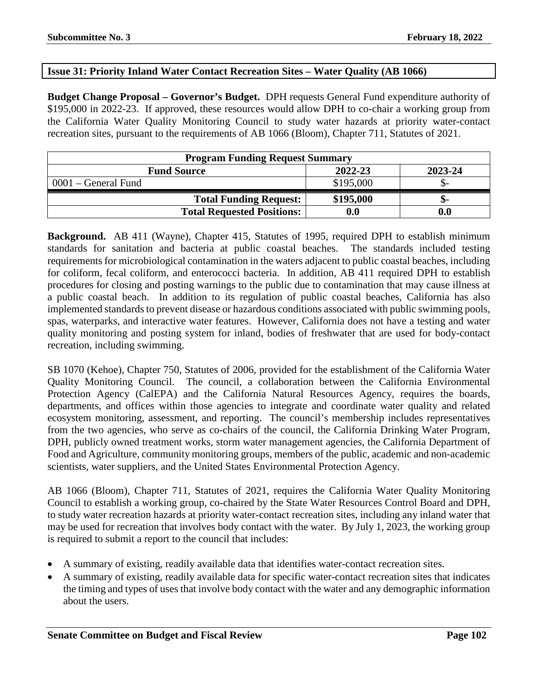#### **Issue 31: Priority Inland Water Contact Recreation Sites – Water Quality (AB 1066)**

**Budget Change Proposal – Governor's Budget.** DPH requests General Fund expenditure authority of \$195,000 in 2022-23. If approved, these resources would allow DPH to co-chair a working group from the California Water Quality Monitoring Council to study water hazards at priority water-contact recreation sites, pursuant to the requirements of AB 1066 (Bloom), Chapter 711, Statutes of 2021.

| <b>Program Funding Request Summary</b> |           |         |
|----------------------------------------|-----------|---------|
| <b>Fund Source</b>                     | 2022-23   | 2023-24 |
| $0001$ – General Fund                  | \$195,000 |         |
| <b>Total Funding Request:</b>          | \$195,000 | -ת.     |
| <b>Total Requested Positions:</b>      | 0.0       | 0.0     |

**Background.** AB 411 (Wayne), Chapter 415, Statutes of 1995, required DPH to establish minimum standards for sanitation and bacteria at public coastal beaches. The standards included testing requirements for microbiological contamination in the waters adjacent to public coastal beaches, including for coliform, fecal coliform, and enterococci bacteria. In addition, AB 411 required DPH to establish procedures for closing and posting warnings to the public due to contamination that may cause illness at a public coastal beach. In addition to its regulation of public coastal beaches, California has also implemented standards to prevent disease or hazardous conditions associated with public swimming pools, spas, waterparks, and interactive water features. However, California does not have a testing and water quality monitoring and posting system for inland, bodies of freshwater that are used for body-contact recreation, including swimming.

SB 1070 (Kehoe), Chapter 750, Statutes of 2006, provided for the establishment of the California Water Quality Monitoring Council. The council, a collaboration between the California Environmental Protection Agency (CalEPA) and the California Natural Resources Agency, requires the boards, departments, and offices within those agencies to integrate and coordinate water quality and related ecosystem monitoring, assessment, and reporting. The council's membership includes representatives from the two agencies, who serve as co-chairs of the council, the California Drinking Water Program, DPH, publicly owned treatment works, storm water management agencies, the California Department of Food and Agriculture, community monitoring groups, members of the public, academic and non-academic scientists, water suppliers, and the United States Environmental Protection Agency.

AB 1066 (Bloom), Chapter 711, Statutes of 2021, requires the California Water Quality Monitoring Council to establish a working group, co-chaired by the State Water Resources Control Board and DPH, to study water recreation hazards at priority water-contact recreation sites, including any inland water that may be used for recreation that involves body contact with the water. By July 1, 2023, the working group is required to submit a report to the council that includes:

- A summary of existing, readily available data that identifies water-contact recreation sites.
- A summary of existing, readily available data for specific water-contact recreation sites that indicates the timing and types of uses that involve body contact with the water and any demographic information about the users.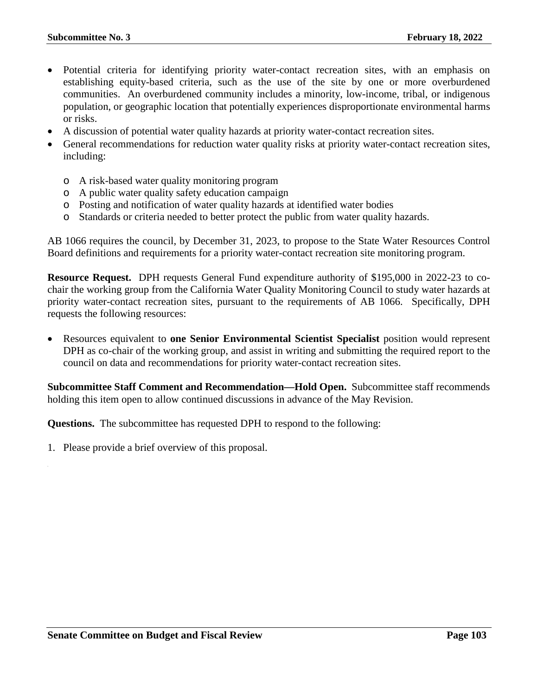- Potential criteria for identifying priority water-contact recreation sites, with an emphasis on establishing equity-based criteria, such as the use of the site by one or more overburdened communities. An overburdened community includes a minority, low-income, tribal, or indigenous population, or geographic location that potentially experiences disproportionate environmental harms or risks.
- A discussion of potential water quality hazards at priority water-contact recreation sites.
- General recommendations for reduction water quality risks at priority water-contact recreation sites, including:
	- o A risk-based water quality monitoring program
	- o A public water quality safety education campaign
	- o Posting and notification of water quality hazards at identified water bodies
	- o Standards or criteria needed to better protect the public from water quality hazards.

AB 1066 requires the council, by December 31, 2023, to propose to the State Water Resources Control Board definitions and requirements for a priority water-contact recreation site monitoring program.

**Resource Request.** DPH requests General Fund expenditure authority of \$195,000 in 2022-23 to cochair the working group from the California Water Quality Monitoring Council to study water hazards at priority water-contact recreation sites, pursuant to the requirements of AB 1066. Specifically, DPH requests the following resources:

• Resources equivalent to **one Senior Environmental Scientist Specialist** position would represent DPH as co-chair of the working group, and assist in writing and submitting the required report to the council on data and recommendations for priority water-contact recreation sites.

**Subcommittee Staff Comment and Recommendation—Hold Open.** Subcommittee staff recommends holding this item open to allow continued discussions in advance of the May Revision.

**Questions.** The subcommittee has requested DPH to respond to the following: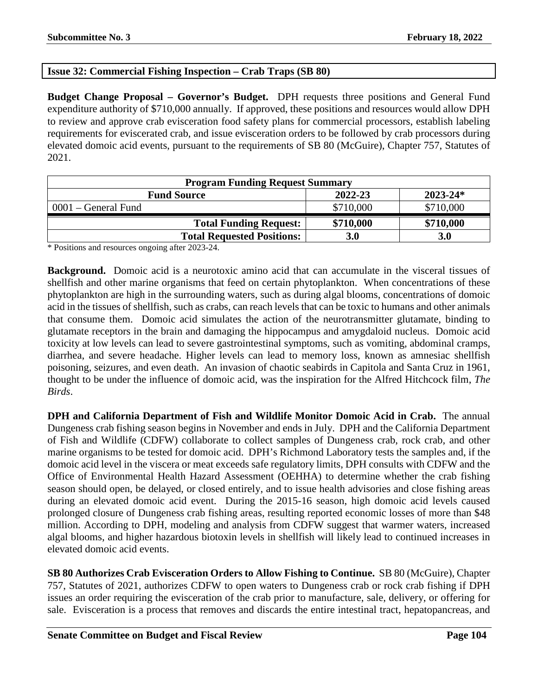# **Issue 32: Commercial Fishing Inspection – Crab Traps (SB 80)**

**Budget Change Proposal – Governor's Budget.** DPH requests three positions and General Fund expenditure authority of \$710,000 annually. If approved, these positions and resources would allow DPH to review and approve crab evisceration food safety plans for commercial processors, establish labeling requirements for eviscerated crab, and issue evisceration orders to be followed by crab processors during elevated domoic acid events, pursuant to the requirements of SB 80 (McGuire), Chapter 757, Statutes of 2021.

| <b>Program Funding Request Summary</b> |           |              |
|----------------------------------------|-----------|--------------|
| <b>Fund Source</b>                     | 2022-23   | $2023 - 24*$ |
| $0001$ – General Fund                  | \$710,000 | \$710,000    |
| <b>Total Funding Request:</b>          | \$710,000 | \$710,000    |
| <b>Total Requested Positions:</b>      | 3.0       | <b>3.0</b>   |

\* Positions and resources ongoing after 2023-24.

**Background.** Domoic acid is a neurotoxic amino acid that can accumulate in the visceral tissues of shellfish and other marine organisms that feed on certain phytoplankton. When concentrations of these phytoplankton are high in the surrounding waters, such as during algal blooms, concentrations of domoic acid in the tissues of shellfish, such as crabs, can reach levels that can be toxic to humans and other animals that consume them. Domoic acid simulates the action of the neurotransmitter glutamate, binding to glutamate receptors in the brain and damaging the hippocampus and amygdaloid nucleus. Domoic acid toxicity at low levels can lead to severe gastrointestinal symptoms, such as vomiting, abdominal cramps, diarrhea, and severe headache. Higher levels can lead to memory loss, known as amnesiac shellfish poisoning, seizures, and even death. An invasion of chaotic seabirds in Capitola and Santa Cruz in 1961, thought to be under the influence of domoic acid, was the inspiration for the Alfred Hitchcock film, *The Birds*.

**DPH and California Department of Fish and Wildlife Monitor Domoic Acid in Crab.** The annual Dungeness crab fishing season begins in November and ends in July. DPH and the California Department of Fish and Wildlife (CDFW) collaborate to collect samples of Dungeness crab, rock crab, and other marine organisms to be tested for domoic acid. DPH's Richmond Laboratory tests the samples and, if the domoic acid level in the viscera or meat exceeds safe regulatory limits, DPH consults with CDFW and the Office of Environmental Health Hazard Assessment (OEHHA) to determine whether the crab fishing season should open, be delayed, or closed entirely, and to issue health advisories and close fishing areas during an elevated domoic acid event. During the 2015-16 season, high domoic acid levels caused prolonged closure of Dungeness crab fishing areas, resulting reported economic losses of more than \$48 million. According to DPH, modeling and analysis from CDFW suggest that warmer waters, increased algal blooms, and higher hazardous biotoxin levels in shellfish will likely lead to continued increases in elevated domoic acid events.

**SB 80 Authorizes Crab Evisceration Orders to Allow Fishing to Continue.** SB 80 (McGuire), Chapter 757, Statutes of 2021, authorizes CDFW to open waters to Dungeness crab or rock crab fishing if DPH issues an order requiring the evisceration of the crab prior to manufacture, sale, delivery, or offering for sale. Evisceration is a process that removes and discards the entire intestinal tract, hepatopancreas, and